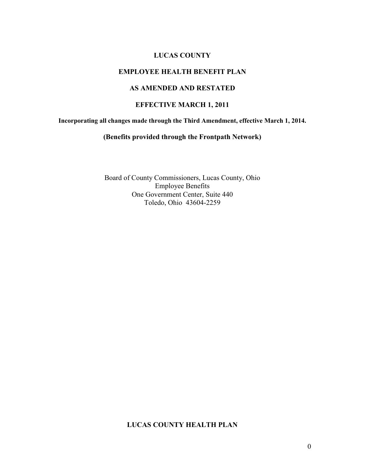#### **LUCAS COUNTY**

### **EMPLOYEE HEALTH BENEFIT PLAN**

### **AS AMENDED AND RESTATED**

### **EFFECTIVE MARCH 1, 2011**

**Incorporating all changes made through the Third Amendment, effective March 1, 2014.** 

#### **(Benefits provided through the Frontpath Network)**

Board of County Commissioners, Lucas County, Ohio Employee Benefits One Government Center, Suite 440 Toledo, Ohio 43604-2259

#### **LUCAS COUNTY HEALTH PLAN**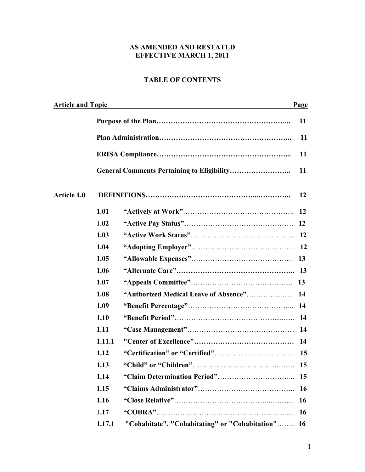# **AS AMENDED AND RESTATED EFFECTIVE MARCH 1, 2011**

# **TABLE OF CONTENTS**

|                    | <b>Article and Topic</b> |                                                   | Page |  |
|--------------------|--------------------------|---------------------------------------------------|------|--|
|                    |                          |                                                   | 11   |  |
|                    |                          |                                                   | 11   |  |
|                    |                          |                                                   | 11   |  |
|                    |                          | <b>General Comments Pertaining to Eligibility</b> | 11   |  |
| <b>Article 1.0</b> |                          |                                                   | 12   |  |
|                    | 1.01                     |                                                   | 12   |  |
|                    | 1.02                     |                                                   | 12   |  |
|                    | 1.03                     |                                                   |      |  |
|                    | 1.04                     |                                                   |      |  |
|                    | 1.05                     |                                                   |      |  |
|                    | 1.06                     |                                                   |      |  |
|                    | 1.07                     |                                                   | 13   |  |
|                    | 1.08                     |                                                   | 14   |  |
|                    | 1.09                     |                                                   |      |  |
|                    | 1.10                     |                                                   |      |  |
|                    | 1.11                     |                                                   | 14   |  |
|                    | 1.11.1                   |                                                   | 14   |  |
|                    | 1.12                     |                                                   | 15   |  |
|                    | 1.13                     |                                                   | 15   |  |
|                    | 1.14                     |                                                   | 15   |  |
|                    | 1.15                     |                                                   | 16   |  |
|                    | 1.16                     |                                                   | 16   |  |
|                    | 1.17                     |                                                   | 16   |  |
|                    | 1.17.1                   | "Cohabitate", "Cohabitating" or "Cohabitation" 16 |      |  |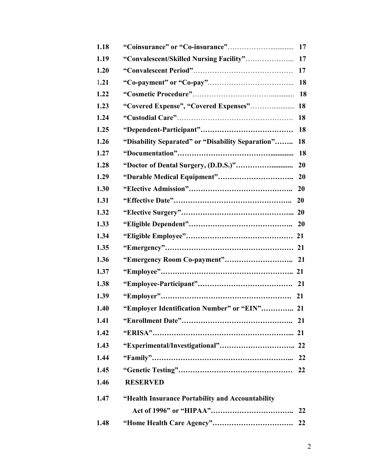| 1.18 |                                                   | 17        |
|------|---------------------------------------------------|-----------|
| 1.19 |                                                   | 17        |
| 1.20 |                                                   | 17        |
| 1.21 |                                                   | <b>18</b> |
| 1.22 |                                                   | <b>18</b> |
| 1.23 |                                                   |           |
| 1.24 |                                                   | 18        |
| 1.25 |                                                   | <b>18</b> |
| 1.26 | "Disability Separated" or "Disability Separation" | 18        |
| 1.27 |                                                   | <b>18</b> |
| 1.28 |                                                   | <b>20</b> |
| 1.29 |                                                   |           |
| 1.30 |                                                   |           |
| 1.31 |                                                   |           |
| 1.32 |                                                   |           |
| 1.33 |                                                   |           |
| 1.34 |                                                   |           |
| 1.35 |                                                   |           |
| 1.36 |                                                   |           |
| 1.37 |                                                   |           |
| 1.38 |                                                   |           |
| 1.39 |                                                   |           |
| 1.40 | "Employer Identification Number" or "EIN" 21      |           |
| 1.41 |                                                   |           |
| 1.42 |                                                   |           |
| 1.43 |                                                   |           |
| 1.44 |                                                   |           |
| 1.45 |                                                   |           |
| 1.46 | <b>RESERVED</b>                                   |           |
| 1.47 | "Health Insurance Portability and Accountability  |           |
|      |                                                   |           |
| 1.48 |                                                   |           |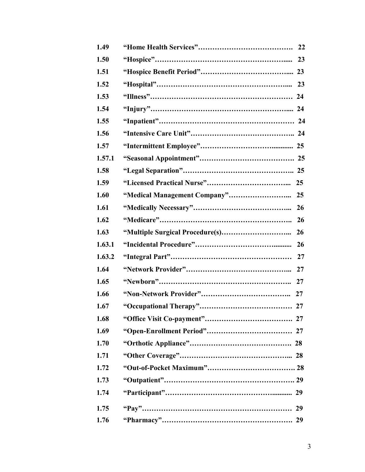| 1.49   |    |
|--------|----|
| 1.50   | 23 |
| 1.51   |    |
| 1.52   |    |
| 1.53   |    |
| 1.54   |    |
| 1.55   |    |
| 1.56   |    |
| 1.57   |    |
| 1.57.1 |    |
| 1.58   |    |
| 1.59   |    |
| 1.60   |    |
| 1.61   |    |
| 1.62   |    |
| 1.63   |    |
| 1.63.1 |    |
| 1.63.2 |    |
| 1.64   |    |
| 1.65   |    |
| 1.66   |    |
| 1.67   |    |
| 1.68   |    |
| 1.69   |    |
| 1.70   |    |
| 1.71   |    |
| 1.72   |    |
| 1.73   |    |
| 1.74   |    |
| 1.75   | 29 |
| 1.76   | 29 |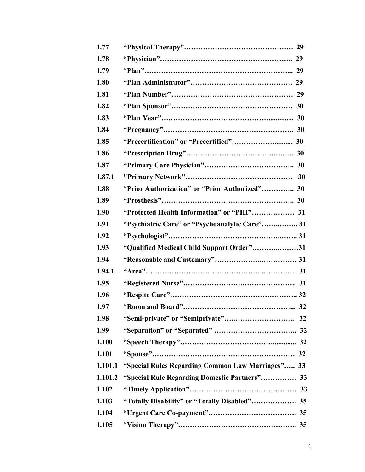| 1.77    |                                                   |
|---------|---------------------------------------------------|
| 1.78    |                                                   |
| 1.79    |                                                   |
| 1.80    |                                                   |
| 1.81    |                                                   |
| 1.82    |                                                   |
| 1.83    |                                                   |
| 1.84    |                                                   |
| 1.85    |                                                   |
| 1.86    |                                                   |
| 1.87    |                                                   |
| 1.87.1  |                                                   |
| 1.88    | "Prior Authorization" or "Prior Authorized" 30    |
| 1.89    |                                                   |
| 1.90    | "Protected Health Information" or "PHI" 31        |
| 1.91    | "Psychiatric Care" or "Psychoanalytic Care" 31    |
| 1.92    |                                                   |
| 1.93    | "Qualified Medical Child Support Order"31         |
| 1.94    |                                                   |
| 1.94.1  |                                                   |
| 1.95    |                                                   |
| 1.96    |                                                   |
| 1.97    |                                                   |
| 1.98    |                                                   |
| 1.99    |                                                   |
| 1.100   |                                                   |
| 1.101   |                                                   |
| 1.101.1 | "Special Rules Regarding Common Law Marriages" 33 |
| 1.101.2 | "Special Rule Regarding Domestic Partners" 33     |
| 1.102   |                                                   |
| 1.103   |                                                   |
| 1.104   |                                                   |
| 1.105   |                                                   |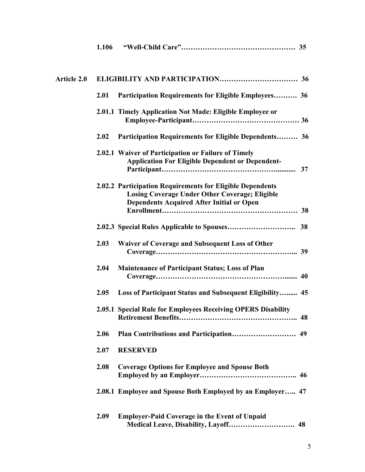|                    | 1.106 |                                                                                                                                                                        |
|--------------------|-------|------------------------------------------------------------------------------------------------------------------------------------------------------------------------|
| <b>Article 2.0</b> |       |                                                                                                                                                                        |
|                    | 2.01  | Participation Requirements for Eligible Employees 36                                                                                                                   |
|                    |       | 2.01.1 Timely Application Not Made: Eligible Employee or                                                                                                               |
|                    | 2.02  | Participation Requirements for Eligible Dependents 36                                                                                                                  |
|                    |       | 2.02.1 Waiver of Participation or Failure of Timely<br><b>Application For Eligible Dependent or Dependent-</b>                                                         |
|                    |       | 2.02.2 Participation Requirements for Eligible Dependents<br><b>Losing Coverage Under Other Coverage; Eligible</b><br><b>Dependents Acquired After Initial or Open</b> |
|                    |       |                                                                                                                                                                        |
|                    | 2.03  | Waiver of Coverage and Subsequent Loss of Other                                                                                                                        |
|                    | 2.04  | <b>Maintenance of Participant Status; Loss of Plan</b>                                                                                                                 |
|                    | 2.05  | Loss of Participant Status and Subsequent Eligibility 45                                                                                                               |
|                    |       | 2.05.1 Special Rule for Employees Receiving OPERS Disability                                                                                                           |
|                    | 2.06  |                                                                                                                                                                        |
|                    | 2.07  | <b>RESERVED</b>                                                                                                                                                        |
|                    | 2.08  | <b>Coverage Options for Employee and Spouse Both</b>                                                                                                                   |
|                    |       | 2.08.1 Employee and Spouse Both Employed by an Employer 47                                                                                                             |
|                    | 2.09  | <b>Employer-Paid Coverage in the Event of Unpaid</b>                                                                                                                   |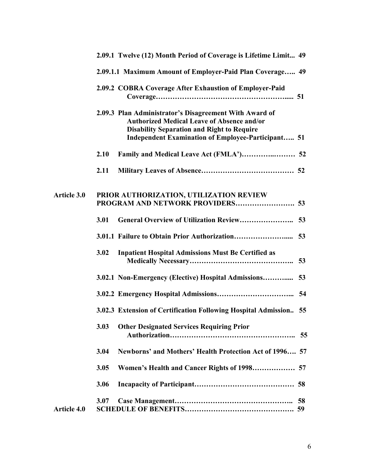|                    | 2.09.1 Twelve (12) Month Period of Coverage is Lifetime Limit 49                                                                                                                                                              |
|--------------------|-------------------------------------------------------------------------------------------------------------------------------------------------------------------------------------------------------------------------------|
|                    | 2.09.1.1 Maximum Amount of Employer-Paid Plan Coverage 49                                                                                                                                                                     |
|                    | 2.09.2 COBRA Coverage After Exhaustion of Employer-Paid                                                                                                                                                                       |
|                    | 2.09.3 Plan Administrator's Disagreement With Award of<br><b>Authorized Medical Leave of Absence and/or</b><br><b>Disability Separation and Right to Require</b><br><b>Independent Examination of Employee-Participant 51</b> |
|                    | 2.10                                                                                                                                                                                                                          |
|                    | 2.11                                                                                                                                                                                                                          |
| <b>Article 3.0</b> | PRIOR AUTHORIZATION, UTILIZATION REVIEW                                                                                                                                                                                       |
|                    | 3.01                                                                                                                                                                                                                          |
|                    |                                                                                                                                                                                                                               |
|                    | <b>Inpatient Hospital Admissions Must Be Certified as</b><br>3.02                                                                                                                                                             |
|                    | 3.02.1 Non-Emergency (Elective) Hospital Admissions 53                                                                                                                                                                        |
|                    |                                                                                                                                                                                                                               |
|                    | 3.02.3 Extension of Certification Following Hospital Admission 55                                                                                                                                                             |
|                    | 3.03<br><b>Other Designated Services Requiring Prior</b><br>55                                                                                                                                                                |
|                    | Newborns' and Mothers' Health Protection Act of 1996 57<br>3.04                                                                                                                                                               |
|                    | 3.05                                                                                                                                                                                                                          |
|                    | 3.06                                                                                                                                                                                                                          |
| <b>Article 4.0</b> | 3.07<br>58                                                                                                                                                                                                                    |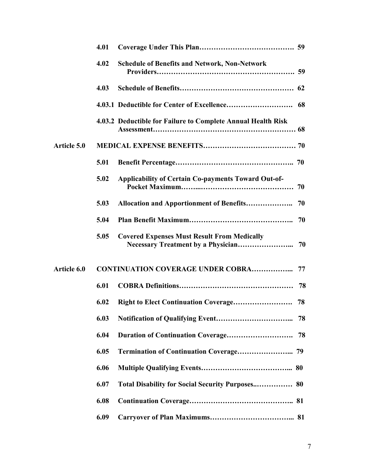|                    | 4.01 |                                                              |    |
|--------------------|------|--------------------------------------------------------------|----|
|                    | 4.02 | <b>Schedule of Benefits and Network, Non-Network</b>         |    |
|                    | 4.03 |                                                              |    |
|                    |      |                                                              | 68 |
|                    |      | 4.03.2 Deductible for Failure to Complete Annual Health Risk |    |
| <b>Article 5.0</b> |      |                                                              |    |
|                    | 5.01 |                                                              |    |
|                    | 5.02 | Applicability of Certain Co-payments Toward Out-of-          |    |
|                    | 5.03 | Allocation and Apportionment of Benefits                     | 70 |
|                    | 5.04 |                                                              | 70 |
|                    | 5.05 | <b>Covered Expenses Must Result From Medically</b>           |    |
| Article 6.0        |      | <b>CONTINUATION COVERAGE UNDER COBRA</b>                     | 77 |
|                    | 6.01 |                                                              | 78 |
|                    | 6.02 |                                                              |    |
|                    | 6.03 |                                                              | 78 |
|                    | 6.04 |                                                              | 78 |
|                    | 6.05 |                                                              |    |
|                    | 6.06 |                                                              |    |
|                    | 6.07 |                                                              |    |
|                    | 6.08 |                                                              |    |
|                    | 6.09 |                                                              |    |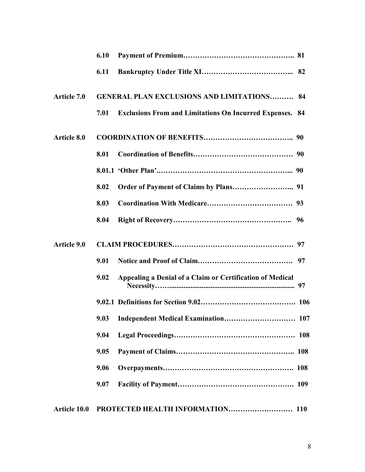|                    | 6.10 |                                                              |      |
|--------------------|------|--------------------------------------------------------------|------|
|                    | 6.11 |                                                              |      |
| <b>Article 7.0</b> |      | <b>GENERAL PLAN EXCLUSIONS AND LIMITATIONS</b>               | 84   |
|                    | 7.01 | <b>Exclusions From and Limitations On Incurred Expenses.</b> | - 84 |
| Article 8.0        |      |                                                              |      |
|                    | 8.01 |                                                              |      |
|                    |      |                                                              |      |
|                    | 8.02 |                                                              |      |
|                    | 8.03 |                                                              |      |
|                    | 8.04 |                                                              | -96  |
| Article 9.0        |      |                                                              |      |
|                    | 9.01 |                                                              | 97   |
|                    | 9.02 | Appealing a Denial of a Claim or Certification of Medical    |      |
|                    |      |                                                              |      |
|                    |      |                                                              |      |
|                    | 9.04 |                                                              |      |
|                    | 9.05 |                                                              |      |
|                    | 9.06 |                                                              |      |
|                    | 9.07 |                                                              |      |
| Article 10.0       |      |                                                              |      |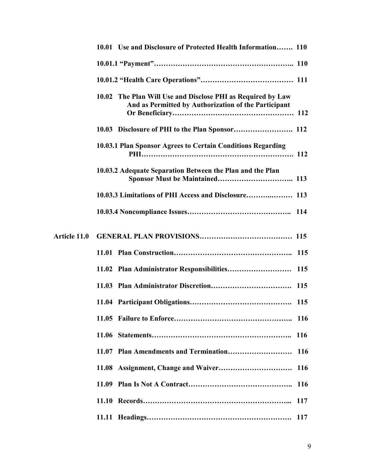|                     | 10.01 Use and Disclosure of Protected Health Information 110                                                        |  |
|---------------------|---------------------------------------------------------------------------------------------------------------------|--|
|                     |                                                                                                                     |  |
|                     |                                                                                                                     |  |
|                     | 10.02 The Plan Will Use and Disclose PHI as Required by Law<br>And as Permitted by Authorization of the Participant |  |
|                     |                                                                                                                     |  |
|                     | 10.03.1 Plan Sponsor Agrees to Certain Conditions Regarding                                                         |  |
|                     | 10.03.2 Adequate Separation Between the Plan and the Plan                                                           |  |
|                     | 10.03.3 Limitations of PHI Access and Disclosure 113                                                                |  |
|                     |                                                                                                                     |  |
| <b>Article 11.0</b> |                                                                                                                     |  |
|                     |                                                                                                                     |  |
|                     | 11.02 Plan Administrator Responsibilities<br>115                                                                    |  |
|                     |                                                                                                                     |  |
|                     |                                                                                                                     |  |
|                     |                                                                                                                     |  |
|                     | 11.06                                                                                                               |  |
|                     | <b>116</b>                                                                                                          |  |
|                     | <b>116</b>                                                                                                          |  |
|                     | 11.09<br><b>116</b>                                                                                                 |  |
|                     | 117                                                                                                                 |  |
|                     | 117                                                                                                                 |  |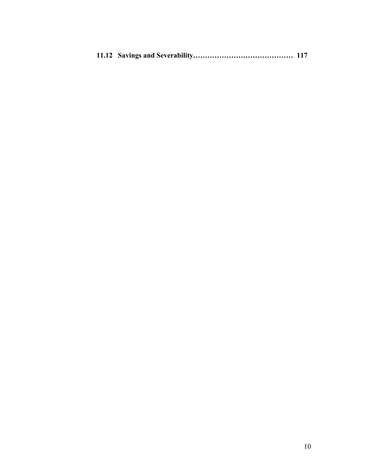|--|--|--|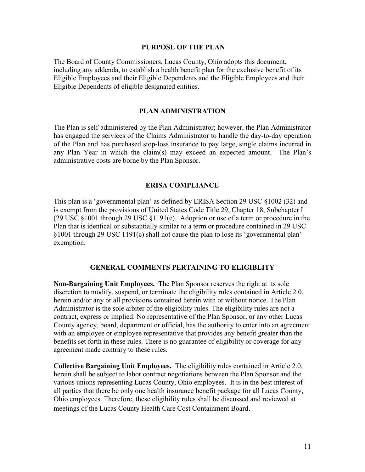#### **PURPOSE OF THE PLAN**

The Board of County Commissioners, Lucas County, Ohio adopts this document, including any addenda, to establish a health benefit plan for the exclusive benefit of its Eligible Employees and their Eligible Dependents and the Eligible Employees and their Eligible Dependents of eligible designated entities.

#### **PLAN ADMINISTRATION**

The Plan is self-administered by the Plan Administrator; however, the Plan Administrator has engaged the services of the Claims Administrator to handle the day-to-day operation of the Plan and has purchased stop-loss insurance to pay large, single claims incurred in any Plan Year in which the claim(s) may exceed an expected amount. The Plan's administrative costs are borne by the Plan Sponsor.

#### **ERISA COMPLIANCE**

This plan is a 'governmental plan' as defined by ERISA Section 29 USC §1002 (32) and is exempt from the provisions of United States Code Title 29, Chapter 18, Subchapter I (29 USC §1001 through 29 USC §1191(c). Adoption or use of a term or procedure in the Plan that is identical or substantially similar to a term or procedure contained in 29 USC §1001 through 29 USC 1191(c) shall not cause the plan to lose its 'governmental plan' exemption.

#### **GENERAL COMMENTS PERTAINING TO ELIGIBLITY**

**Non-Bargaining Unit Employees.** The Plan Sponsor reserves the right at its sole discretion to modify, suspend, or terminate the eligibility rules contained in Article 2.0, herein and/or any or all provisions contained herein with or without notice. The Plan Administrator is the sole arbiter of the eligibility rules. The eligibility rules are not a contract, express or implied. No representative of the Plan Sponsor, or any other Lucas County agency, board, department or official, has the authority to enter into an agreement with an employee or employee representative that provides any benefit greater than the benefits set forth in these rules. There is no guarantee of eligibility or coverage for any agreement made contrary to these rules.

**Collective Bargaining Unit Employees.** The eligibility rules contained in Article 2.0, herein shall be subject to labor contract negotiations between the Plan Sponsor and the various unions representing Lucas County, Ohio employees. It is in the best interest of all parties that there be only one health insurance benefit package for all Lucas County, Ohio employees. Therefore, these eligibility rules shall be discussed and reviewed at meetings of the Lucas County Health Care Cost Containment Board.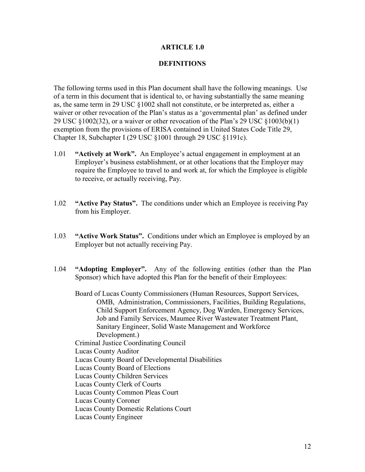### **ARTICLE 1.0**

### **DEFINITIONS**

The following terms used in this Plan document shall have the following meanings. Use of a term in this document that is identical to, or having substantially the same meaning as, the same term in 29 USC §1002 shall not constitute, or be interpreted as, either a waiver or other revocation of the Plan's status as a 'governmental plan' as defined under 29 USC  $\S 1002(32)$ , or a waiver or other revocation of the Plan's 29 USC  $\S 1003(b)(1)$ exemption from the provisions of ERISA contained in United States Code Title 29, Chapter 18, Subchapter I (29 USC §1001 through 29 USC §1191c).

- 1.01 **"Actively at Work".** An Employee's actual engagement in employment at an Employer's business establishment, or at other locations that the Employer may require the Employee to travel to and work at, for which the Employee is eligible to receive, or actually receiving, Pay.
- 1.02 **"Active Pay Status".** The conditions under which an Employee is receiving Pay from his Employer.
- 1.03 **"Active Work Status".** Conditions under which an Employee is employed by an Employer but not actually receiving Pay.
- 1.04 **"Adopting Employer".** Any of the following entities (other than the Plan Sponsor) which have adopted this Plan for the benefit of their Employees:

 Board of Lucas County Commissioners (Human Resources, Support Services, OMB, Administration, Commissioners, Facilities, Building Regulations, Child Support Enforcement Agency, Dog Warden, Emergency Services, Job and Family Services, Maumee River Wastewater Treatment Plant, Sanitary Engineer, Solid Waste Management and Workforce Development.) Criminal Justice Coordinating Council Lucas County Auditor Lucas County Board of Developmental Disabilities Lucas County Board of Elections Lucas County Children Services Lucas County Clerk of Courts Lucas County Common Pleas Court Lucas County Coroner Lucas County Domestic Relations Court Lucas County Engineer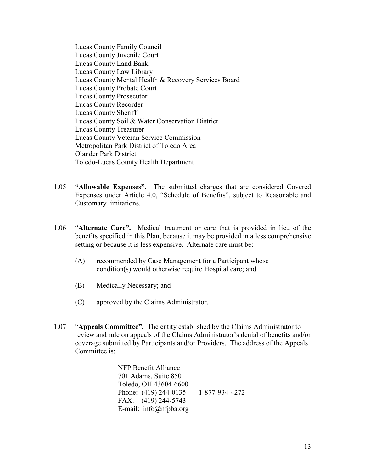Lucas County Family Council Lucas County Juvenile Court Lucas County Land Bank Lucas County Law Library Lucas County Mental Health & Recovery Services Board Lucas County Probate Court Lucas County Prosecutor Lucas County Recorder Lucas County Sheriff Lucas County Soil & Water Conservation District Lucas County Treasurer Lucas County Veteran Service Commission Metropolitan Park District of Toledo Area Olander Park District Toledo-Lucas County Health Department

- 1.05 **"Allowable Expenses".** The submitted charges that are considered Covered Expenses under Article 4.0, "Schedule of Benefits", subject to Reasonable and Customary limitations.
- 1.06 "**Alternate Care".** Medical treatment or care that is provided in lieu of the benefits specified in this Plan, because it may be provided in a less comprehensive setting or because it is less expensive. Alternate care must be:
	- (A) recommended by Case Management for a Participant whose condition(s) would otherwise require Hospital care; and
	- (B) Medically Necessary; and
	- (C) approved by the Claims Administrator.
- 1.07 "**Appeals Committee".** The entity established by the Claims Administrator to review and rule on appeals of the Claims Administrator's denial of benefits and/or coverage submitted by Participants and/or Providers. The address of the Appeals Committee is:

 NFP Benefit Alliance 701 Adams, Suite 850 Toledo, OH 43604-6600 Phone: (419) 244-0135 1-877-934-4272 FAX: (419) 244-5743 E-mail: info@nfpba.org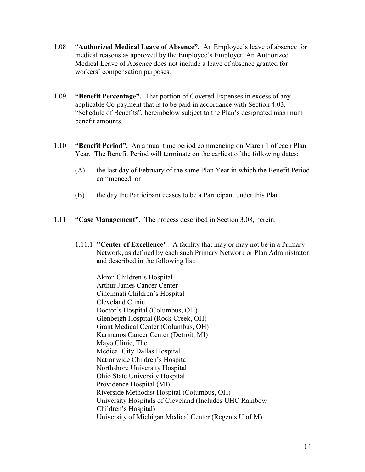- 1.08 "**Authorized Medical Leave of Absence".** An Employee's leave of absence for medical reasons as approved by the Employee's Employer. An Authorized Medical Leave of Absence does not include a leave of absence granted for workers' compensation purposes.
- 1.09 **"Benefit Percentage".** That portion of Covered Expenses in excess of any applicable Co-payment that is to be paid in accordance with Section 4.03, "Schedule of Benefits", hereinbelow subject to the Plan's designated maximum benefit amounts.
- 1.10 **"Benefit Period".** An annual time period commencing on March 1 of each Plan Year. The Benefit Period will terminate on the earliest of the following dates:
	- (A) the last day of February of the same Plan Year in which the Benefit Period commenced; or
	- (B) the day the Participant ceases to be a Participant under this Plan.
- 1.11 **"Case Management".** The process described in Section 3.08, herein.
	- 1.11.1 **"Center of Excellence"**. A facility that may or may not be in a Primary Network, as defined by each such Primary Network or Plan Administrator and described in the following list:

 Akron Children's Hospital Arthur James Cancer Center Cincinnati Children's Hospital Cleveland Clinic Doctor's Hospital (Columbus, OH) Glenbeigh Hospital (Rock Creek, OH) Grant Medical Center (Columbus, OH) Karmanos Cancer Center (Detroit, MI) Mayo Clinic, The Medical City Dallas Hospital Nationwide Children's Hospital Northshore University Hospital Ohio State University Hospital Providence Hospital (MI) Riverside Methodist Hospital (Columbus, OH) University Hospitals of Cleveland (Includes UHC Rainbow Children's Hospital) University of Michigan Medical Center (Regents U of M)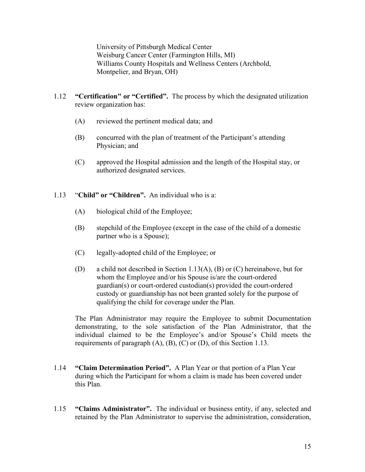University of Pittsburgh Medical Center Weisburg Cancer Center (Farmington Hills, MI) Williams County Hospitals and Wellness Centers (Archbold, Montpelier, and Bryan, OH)

- 1.12 **"Certification" or "Certified".** The process by which the designated utilization review organization has:
	- (A) reviewed the pertinent medical data; and
	- (B) concurred with the plan of treatment of the Participant's attending Physician; and
	- (C) approved the Hospital admission and the length of the Hospital stay, or authorized designated services.

# 1.13 "**Child" or "Children".** An individual who is a:

- (A) biological child of the Employee;
- (B) stepchild of the Employee (except in the case of the child of a domestic partner who is a Spouse);
- (C) legally-adopted child of the Employee; or
- (D) a child not described in Section 1.13(A), (B) or (C) hereinabove, but for whom the Employee and/or his Spouse is/are the court-ordered guardian(s) or court-ordered custodian(s) provided the court-ordered custody or guardianship has not been granted solely for the purpose of qualifying the child for coverage under the Plan.

The Plan Administrator may require the Employee to submit Documentation demonstrating, to the sole satisfaction of the Plan Administrator, that the individual claimed to be the Employee's and/or Spouse's Child meets the requirements of paragraph  $(A)$ ,  $(B)$ ,  $(C)$  or  $(D)$ , of this Section 1.13.

- 1.14 **"Claim Determination Period".** A Plan Year or that portion of a Plan Year during which the Participant for whom a claim is made has been covered under this Plan.
- 1.15 **"Claims Administrator".** The individual or business entity, if any, selected and retained by the Plan Administrator to supervise the administration, consideration,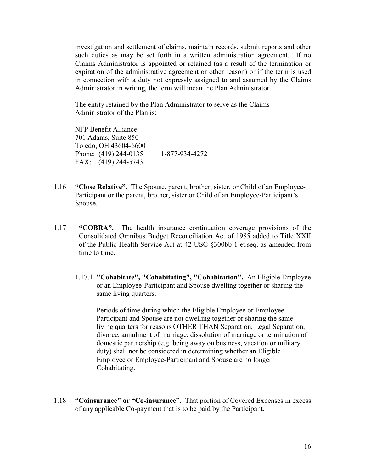investigation and settlement of claims, maintain records, submit reports and other such duties as may be set forth in a written administration agreement. If no Claims Administrator is appointed or retained (as a result of the termination or expiration of the administrative agreement or other reason) or if the term is used in connection with a duty not expressly assigned to and assumed by the Claims Administrator in writing, the term will mean the Plan Administrator.

The entity retained by the Plan Administrator to serve as the Claims Administrator of the Plan is:

 NFP Benefit Alliance 701 Adams, Suite 850 Toledo, OH 43604-6600 Phone: (419) 244-0135 1-877-934-4272 FAX: (419) 244-5743

- 1.16 **"Close Relative".** The Spouse, parent, brother, sister, or Child of an Employee-Participant or the parent, brother, sister or Child of an Employee-Participant's Spouse.
- 1.17 **"COBRA".** The health insurance continuation coverage provisions of the Consolidated Omnibus Budget Reconciliation Act of 1985 added to Title XXII of the Public Health Service Act at 42 USC §300bb-1 et.seq. as amended from time to time.
	- 1.17.1 **"Cohabitate", "Cohabitating", "Cohabitation".** An Eligible Employee or an Employee-Participant and Spouse dwelling together or sharing the same living quarters.

 Periods of time during which the Eligible Employee or Employee- Participant and Spouse are not dwelling together or sharing the same living quarters for reasons OTHER THAN Separation, Legal Separation, divorce, annulment of marriage, dissolution of marriage or termination of domestic partnership (e.g. being away on business, vacation or military duty) shall not be considered in determining whether an Eligible Employee or Employee-Participant and Spouse are no longer Cohabitating.

1.18 **"Coinsurance" or "Co-insurance".** That portion of Covered Expenses in excess of any applicable Co-payment that is to be paid by the Participant.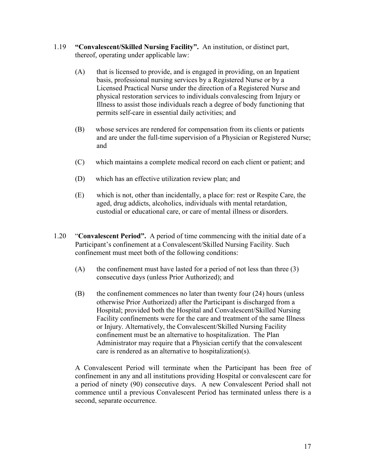- 1.19 **"Convalescent/Skilled Nursing Facility".** An institution, or distinct part, thereof, operating under applicable law:
	- (A) that is licensed to provide, and is engaged in providing, on an Inpatient basis, professional nursing services by a Registered Nurse or by a Licensed Practical Nurse under the direction of a Registered Nurse and physical restoration services to individuals convalescing from Injury or Illness to assist those individuals reach a degree of body functioning that permits self-care in essential daily activities; and
	- (B) whose services are rendered for compensation from its clients or patients and are under the full-time supervision of a Physician or Registered Nurse; and
	- (C) which maintains a complete medical record on each client or patient; and
	- (D) which has an effective utilization review plan; and
	- (E) which is not, other than incidentally, a place for: rest or Respite Care, the aged, drug addicts, alcoholics, individuals with mental retardation, custodial or educational care, or care of mental illness or disorders.
- 1.20 "**Convalescent Period".** A period of time commencing with the initial date of a Participant's confinement at a Convalescent/Skilled Nursing Facility. Such confinement must meet both of the following conditions:
	- $(A)$  the confinement must have lasted for a period of not less than three  $(3)$ consecutive days (unless Prior Authorized); and
	- (B) the confinement commences no later than twenty four (24) hours (unless otherwise Prior Authorized) after the Participant is discharged from a Hospital; provided both the Hospital and Convalescent/Skilled Nursing Facility confinements were for the care and treatment of the same Illness or Injury. Alternatively, the Convalescent/Skilled Nursing Facility confinement must be an alternative to hospitalization. The Plan Administrator may require that a Physician certify that the convalescent care is rendered as an alternative to hospitalization(s).

A Convalescent Period will terminate when the Participant has been free of confinement in any and all institutions providing Hospital or convalescent care for a period of ninety (90) consecutive days. A new Convalescent Period shall not commence until a previous Convalescent Period has terminated unless there is a second, separate occurrence.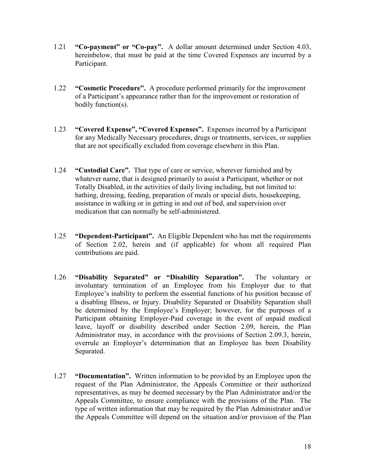- 1.21 **"Co-payment" or "Co-pay".** A dollar amount determined under Section 4.03, hereinbelow, that must be paid at the time Covered Expenses are incurred by a Participant.
- 1.22 **"Cosmetic Procedure".** A procedure performed primarily for the improvement of a Participant's appearance rather than for the improvement or restoration of bodily function(s).
- 1.23 **"Covered Expense", "Covered Expenses".** Expenses incurred by a Participant for any Medically Necessary procedures, drugs or treatments, services, or supplies that are not specifically excluded from coverage elsewhere in this Plan.
- 1.24 **"Custodial Care".** That type of care or service, wherever furnished and by whatever name, that is designed primarily to assist a Participant, whether or not Totally Disabled, in the activities of daily living including, but not limited to: bathing, dressing, feeding, preparation of meals or special diets, housekeeping, assistance in walking or in getting in and out of bed, and supervision over medication that can normally be self-administered.
- 1.25 **"Dependent-Participant".** An Eligible Dependent who has met the requirements of Section 2.02, herein and (if applicable) for whom all required Plan contributions are paid.
- 1.26 **"Disability Separated" or "Disability Separation".** The voluntary or involuntary termination of an Employee from his Employer due to that Employee's inability to perform the essential functions of his position because of a disabling Illness, or Injury. Disability Separated or Disability Separation shall be determined by the Employee's Employer; however, for the purposes of a Participant obtaining Employer-Paid coverage in the event of unpaid medical leave, layoff or disability described under Section 2.09, herein, the Plan Administrator may, in accordance with the provisions of Section 2.09.3, herein, overrule an Employer's determination that an Employee has been Disability Separated.
- 1.27 **"Documentation".** Written information to be provided by an Employee upon the request of the Plan Administrator, the Appeals Committee or their authorized representatives, as may be deemed necessary by the Plan Administrator and/or the Appeals Committee, to ensure compliance with the provisions of the Plan. The type of written information that may be required by the Plan Administrator and/or the Appeals Committee will depend on the situation and/or provision of the Plan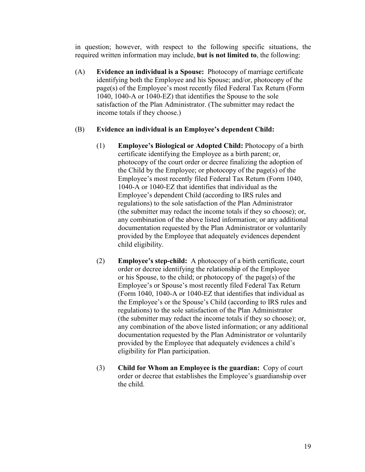in question; however, with respect to the following specific situations, the required written information may include, **but is not limited to**, the following:

 (A) **Evidence an individual is a Spouse:** Photocopy of marriage certificate identifying both the Employee and his Spouse; and/or, photocopy of the page(s) of the Employee's most recently filed Federal Tax Return (Form 1040, 1040-A or 1040-EZ) that identifies the Spouse to the sole satisfaction of the Plan Administrator. (The submitter may redact the income totals if they choose.)

# (B) **Evidence an individual is an Employee's dependent Child:**

- (1) **Employee's Biological or Adopted Child:** Photocopy of a birth certificate identifying the Employee as a birth parent; or, photocopy of the court order or decree finalizing the adoption of the Child by the Employee; or photocopy of the page(s) of the Employee's most recently filed Federal Tax Return (Form 1040, 1040-A or 1040-EZ that identifies that individual as the Employee's dependent Child (according to IRS rules and regulations) to the sole satisfaction of the Plan Administrator (the submitter may redact the income totals if they so choose); or, any combination of the above listed information; or any additional documentation requested by the Plan Administrator or voluntarily provided by the Employee that adequately evidences dependent child eligibility.
- (2) **Employee's step-child:** A photocopy of a birth certificate, court order or decree identifying the relationship of the Employee or his Spouse, to the child; or photocopy of the page(s) of the Employee's or Spouse's most recently filed Federal Tax Return (Form 1040, 1040-A or 1040-EZ that identifies that individual as the Employee's or the Spouse's Child (according to IRS rules and regulations) to the sole satisfaction of the Plan Administrator (the submitter may redact the income totals if they so choose); or, any combination of the above listed information; or any additional documentation requested by the Plan Administrator or voluntarily provided by the Employee that adequately evidences a child's eligibility for Plan participation.
- (3) **Child for Whom an Employee is the guardian:** Copy of court order or decree that establishes the Employee's guardianship over the child.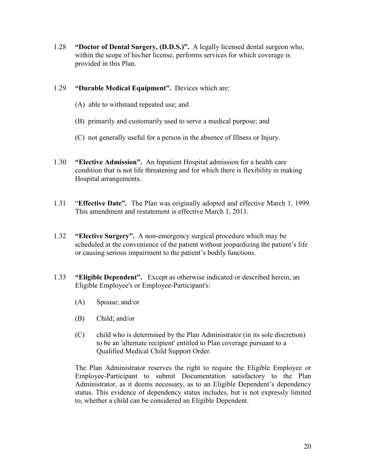- 1.28 **"Doctor of Dental Surgery, (D.D.S.)".** A legally licensed dental surgeon who, within the scope of his/her license, performs services for which coverage is provided in this Plan.
- 1.29 **"Durable Medical Equipment".** Devices which are:
	- (A) able to withstand repeated use; and
	- (B) primarily and customarily used to serve a medical purpose; and
	- (C) not generally useful for a person in the absence of Illness or Injury.
- 1.30 **"Elective Admission".** An Inpatient Hospital admission for a health care condition that is not life threatening and for which there is flexibility in making Hospital arrangements.
- 1.31 "**Effective Date".** The Plan was originally adopted and effective March 1, 1999. This amendment and restatement is effective March 1, 2011.
- 1.32 **"Elective Surgery".** A non-emergency surgical procedure which may be scheduled at the convenience of the patient without jeopardizing the patient's life or causing serious impairment to the patient's bodily functions.
- 1.33 **"Eligible Dependent".** Except as otherwise indicated or described herein, an Eligible Employee's or Employee-Participant's:
	- (A) Spouse; and/or
	- (B) Child; and/or
	- (C) child who is determined by the Plan Administrator (in its sole discretion) to be an 'alternate recipient' entitled to Plan coverage pursuant to a Qualified Medical Child Support Order.

The Plan Administrator reserves the right to require the Eligible Employee or Employee-Participant to submit Documentation satisfactory to the Plan Administrator, as it deems necessary, as to an Eligible Dependent's dependency status. This evidence of dependency status includes, but is not expressly limited to, whether a child can be considered an Eligible Dependent.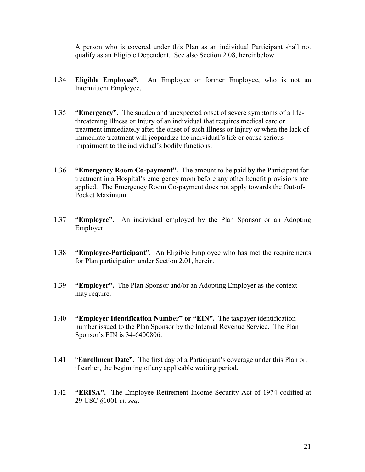A person who is covered under this Plan as an individual Participant shall not qualify as an Eligible Dependent. See also Section 2.08, hereinbelow.

- 1.34 **Eligible Employee".** An Employee or former Employee, who is not an Intermittent Employee.
- 1.35 **"Emergency".** The sudden and unexpected onset of severe symptoms of a lifethreatening Illness or Injury of an individual that requires medical care or treatment immediately after the onset of such Illness or Injury or when the lack of immediate treatment will jeopardize the individual's life or cause serious impairment to the individual's bodily functions.
- 1.36 **"Emergency Room Co-payment".** The amount to be paid by the Participant for treatment in a Hospital's emergency room before any other benefit provisions are applied. The Emergency Room Co-payment does not apply towards the Out-of-Pocket Maximum.
- 1.37 **"Employee".** An individual employed by the Plan Sponsor or an Adopting Employer.
- 1.38 **"Employee-Participant**".An Eligible Employee who has met the requirements for Plan participation under Section 2.01, herein.
- 1.39 **"Employer".** The Plan Sponsor and/or an Adopting Employer as the context may require.
- 1.40 **"Employer Identification Number" or "EIN".** The taxpayer identification number issued to the Plan Sponsor by the Internal Revenue Service. The Plan Sponsor's EIN is 34-6400806.
- 1.41 "**Enrollment Date".** The first day of a Participant's coverage under this Plan or, if earlier, the beginning of any applicable waiting period.
- 1.42 **"ERISA".** The Employee Retirement Income Security Act of 1974 codified at 29 USC §1001 *et. seq*.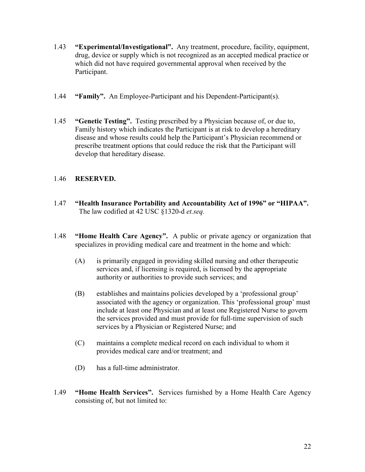- 1.43 **"Experimental/Investigational".** Any treatment, procedure, facility, equipment, drug, device or supply which is not recognized as an accepted medical practice or which did not have required governmental approval when received by the Participant.
- 1.44 **"Family".** An Employee-Participant and his Dependent-Participant(s).
- 1.45 **"Genetic Testing".** Testing prescribed by a Physician because of, or due to, Family history which indicates the Participant is at risk to develop a hereditary disease and whose results could help the Participant's Physician recommend or prescribe treatment options that could reduce the risk that the Participant will develop that hereditary disease.

# 1.46 **RESERVED.**

- 1.47 **"Health Insurance Portability and Accountability Act of 1996" or "HIPAA".**  The law codified at 42 USC §1320-d *et.seq.*
- 1.48 **"Home Health Care Agency".** A public or private agency or organization that specializes in providing medical care and treatment in the home and which:
	- (A) is primarily engaged in providing skilled nursing and other therapeutic services and, if licensing is required, is licensed by the appropriate authority or authorities to provide such services; and
	- (B) establishes and maintains policies developed by a 'professional group' associated with the agency or organization. This 'professional group' must include at least one Physician and at least one Registered Nurse to govern the services provided and must provide for full-time supervision of such services by a Physician or Registered Nurse; and
	- (C) maintains a complete medical record on each individual to whom it provides medical care and/or treatment; and
	- (D) has a full-time administrator.
- 1.49 **"Home Health Services".** Services furnished by a Home Health Care Agency consisting of, but not limited to: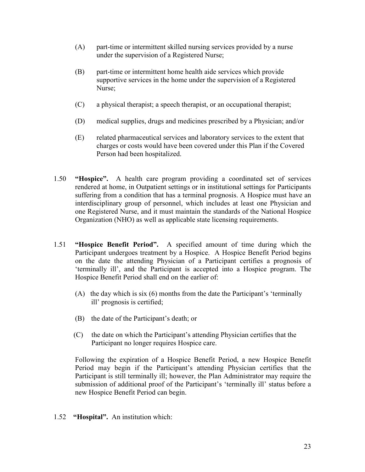- (A) part-time or intermittent skilled nursing services provided by a nurse under the supervision of a Registered Nurse;
- (B) part-time or intermittent home health aide services which provide supportive services in the home under the supervision of a Registered Nurse;
- (C) a physical therapist; a speech therapist, or an occupational therapist;
- (D) medical supplies, drugs and medicines prescribed by a Physician; and/or
- (E) related pharmaceutical services and laboratory services to the extent that charges or costs would have been covered under this Plan if the Covered Person had been hospitalized.
- 1.50 **"Hospice".** A health care program providing a coordinated set of services rendered at home, in Outpatient settings or in institutional settings for Participants suffering from a condition that has a terminal prognosis. A Hospice must have an interdisciplinary group of personnel, which includes at least one Physician and one Registered Nurse, and it must maintain the standards of the National Hospice Organization (NHO) as well as applicable state licensing requirements.
- 1.51 **"Hospice Benefit Period".** A specified amount of time during which the Participant undergoes treatment by a Hospice. A Hospice Benefit Period begins on the date the attending Physician of a Participant certifies a prognosis of 'terminally ill', and the Participant is accepted into a Hospice program. The Hospice Benefit Period shall end on the earlier of:
	- (A) the day which is six (6) months from the date the Participant's 'terminally ill' prognosis is certified;
	- (B) the date of the Participant's death; or
	- (C) the date on which the Participant's attending Physician certifies that the Participant no longer requires Hospice care.

Following the expiration of a Hospice Benefit Period, a new Hospice Benefit Period may begin if the Participant's attending Physician certifies that the Participant is still terminally ill; however, the Plan Administrator may require the submission of additional proof of the Participant's 'terminally ill' status before a new Hospice Benefit Period can begin.

1.52 **"Hospital".** An institution which: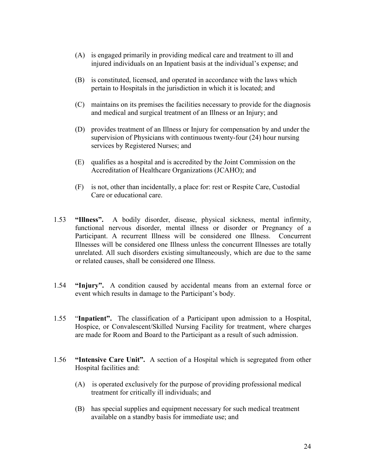- (A) is engaged primarily in providing medical care and treatment to ill and injured individuals on an Inpatient basis at the individual's expense; and
- (B) is constituted, licensed, and operated in accordance with the laws which pertain to Hospitals in the jurisdiction in which it is located; and
- (C) maintains on its premises the facilities necessary to provide for the diagnosis and medical and surgical treatment of an Illness or an Injury; and
- (D) provides treatment of an Illness or Injury for compensation by and under the supervision of Physicians with continuous twenty-four (24) hour nursing services by Registered Nurses; and
- (E) qualifies as a hospital and is accredited by the Joint Commission on the Accreditation of Healthcare Organizations (JCAHO); and
- (F) is not, other than incidentally, a place for: rest or Respite Care, Custodial Care or educational care.
- 1.53 **"Illness".** A bodily disorder, disease, physical sickness, mental infirmity, functional nervous disorder, mental illness or disorder or Pregnancy of a Participant. A recurrent Illness will be considered one Illness. Concurrent Illnesses will be considered one Illness unless the concurrent Illnesses are totally unrelated. All such disorders existing simultaneously, which are due to the same or related causes, shall be considered one Illness.
- 1.54 **"Injury".** A condition caused by accidental means from an external force or event which results in damage to the Participant's body.
- 1.55 "**Inpatient".** The classification of a Participant upon admission to a Hospital, Hospice, or Convalescent/Skilled Nursing Facility for treatment, where charges are made for Room and Board to the Participant as a result of such admission.
- 1.56 **"Intensive Care Unit".** A section of a Hospital which is segregated from other Hospital facilities and:
	- (A) is operated exclusively for the purpose of providing professional medical treatment for critically ill individuals; and
	- (B) has special supplies and equipment necessary for such medical treatment available on a standby basis for immediate use; and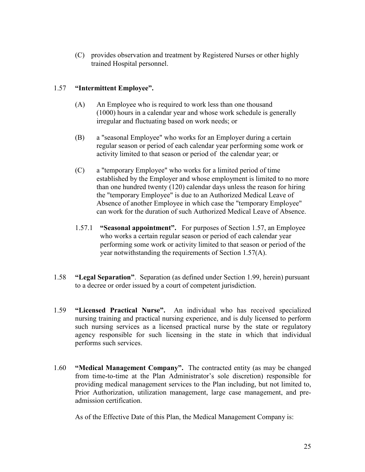(C) provides observation and treatment by Registered Nurses or other highly trained Hospital personnel.

# 1.57 **"Intermittent Employee".**

- (A) An Employee who is required to work less than one thousand (1000) hours in a calendar year and whose work schedule is generally irregular and fluctuating based on work needs; or
- (B) a "seasonal Employee" who works for an Employer during a certain regular season or period of each calendar year performing some work or activity limited to that season or period of the calendar year; or
- (C) a "temporary Employee" who works for a limited period of time established by the Employer and whose employment is limited to no more than one hundred twenty (120) calendar days unless the reason for hiring the "temporary Employee" is due to an Authorized Medical Leave of Absence of another Employee in which case the "temporary Employee" can work for the duration of such Authorized Medical Leave of Absence.
- 1.57.1 **"Seasonal appointment".** For purposes of Section 1.57, an Employee who works a certain regular season or period of each calendar year performing some work or activity limited to that season or period of the year notwithstanding the requirements of Section 1.57(A).
- 1.58 **"Legal Separation"**. Separation (as defined under Section 1.99, herein) pursuant to a decree or order issued by a court of competent jurisdiction.
- 1.59 **"Licensed Practical Nurse".** An individual who has received specialized nursing training and practical nursing experience, and is duly licensed to perform such nursing services as a licensed practical nurse by the state or regulatory agency responsible for such licensing in the state in which that individual performs such services.
- 1.60 **"Medical Management Company".** The contracted entity (as may be changed from time-to-time at the Plan Administrator's sole discretion) responsible for providing medical management services to the Plan including, but not limited to, Prior Authorization, utilization management, large case management, and preadmission certification.

As of the Effective Date of this Plan, the Medical Management Company is: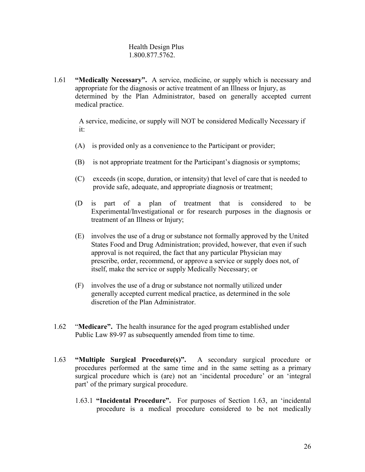### Health Design Plus 1.800.877.5762.

1.61 **"Medically Necessary".** A service, medicine, or supply which is necessary and appropriate for the diagnosis or active treatment of an Illness or Injury, as determined by the Plan Administrator, based on generally accepted current medical practice.

 A service, medicine, or supply will NOT be considered Medically Necessary if it:

- (A) is provided only as a convenience to the Participant or provider;
- (B) is not appropriate treatment for the Participant's diagnosis or symptoms;
- (C) exceeds (in scope, duration, or intensity) that level of care that is needed to provide safe, adequate, and appropriate diagnosis or treatment;
- (D is part of a plan of treatment that is considered to be Experimental/Investigational or for research purposes in the diagnosis or treatment of an Illness or Injury;
- (E) involves the use of a drug or substance not formally approved by the United States Food and Drug Administration; provided, however, that even if such approval is not required, the fact that any particular Physician may prescribe, order, recommend, or approve a service or supply does not, of itself, make the service or supply Medically Necessary; or
- (F) involves the use of a drug or substance not normally utilized under generally accepted current medical practice, as determined in the sole discretion of the Plan Administrator.
- 1.62 "**Medicare".** The health insurance for the aged program established under Public Law 89-97 as subsequently amended from time to time.
- 1.63 **"Multiple Surgical Procedure(s)".** A secondary surgical procedure or procedures performed at the same time and in the same setting as a primary surgical procedure which is (are) not an 'incidental procedure' or an 'integral part' of the primary surgical procedure.
	- 1.63.1 **"Incidental Procedure".** For purposes of Section 1.63, an 'incidental procedure is a medical procedure considered to be not medically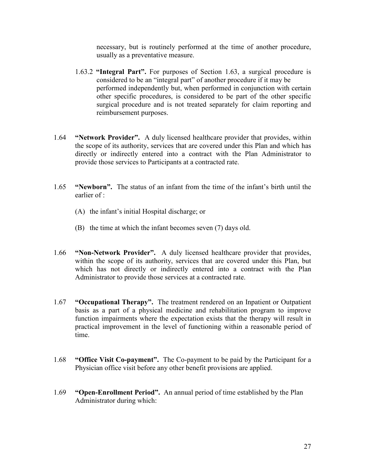necessary, but is routinely performed at the time of another procedure, usually as a preventative measure.

- 1.63.2 **"Integral Part".** For purposes of Section 1.63, a surgical procedure is considered to be an "integral part" of another procedure if it may be performed independently but, when performed in conjunction with certain other specific procedures, is considered to be part of the other specific surgical procedure and is not treated separately for claim reporting and reimbursement purposes.
- 1.64 **"Network Provider".** A duly licensed healthcare provider that provides, within the scope of its authority, services that are covered under this Plan and which has directly or indirectly entered into a contract with the Plan Administrator to provide those services to Participants at a contracted rate.
- 1.65 **"Newborn".** The status of an infant from the time of the infant's birth until the earlier of :
	- (A) the infant's initial Hospital discharge; or
	- (B) the time at which the infant becomes seven (7) days old.
- 1.66 **"Non-Network Provider".** A duly licensed healthcare provider that provides, within the scope of its authority, services that are covered under this Plan, but which has not directly or indirectly entered into a contract with the Plan Administrator to provide those services at a contracted rate.
- 1.67 **"Occupational Therapy".** The treatment rendered on an Inpatient or Outpatient basis as a part of a physical medicine and rehabilitation program to improve function impairments where the expectation exists that the therapy will result in practical improvement in the level of functioning within a reasonable period of time.
- 1.68 **"Office Visit Co-payment".** The Co-payment to be paid by the Participant for a Physician office visit before any other benefit provisions are applied.
- 1.69 **"Open-Enrollment Period".** An annual period of time established by the Plan Administrator during which: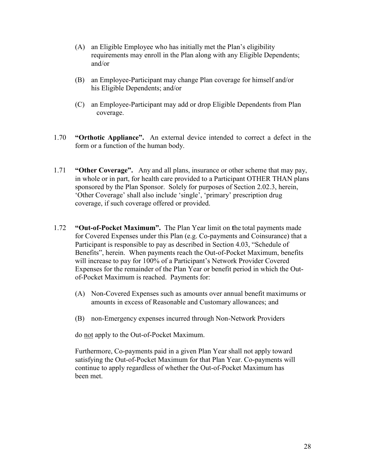- (A) an Eligible Employee who has initially met the Plan's eligibility requirements may enroll in the Plan along with any Eligible Dependents; and/or
- (B) an Employee-Participant may change Plan coverage for himself and/or his Eligible Dependents; and/or
- (C) an Employee-Participant may add or drop Eligible Dependents from Plan coverage.
- 1.70 **"Orthotic Appliance".** An external device intended to correct a defect in the form or a function of the human body.
- 1.71 **"Other Coverage".** Any and all plans, insurance or other scheme that may pay, in whole or in part, for health care provided to a Participant OTHER THAN plans sponsored by the Plan Sponsor. Solely for purposes of Section 2.02.3, herein, 'Other Coverage' shall also include 'single', 'primary' prescription drug coverage, if such coverage offered or provided.
- 1.72 **"Out-of-Pocket Maximum".** The Plan Year limit on **t**he total payments made for Covered Expenses under this Plan (e.g. Co-payments and Coinsurance) that a Participant is responsible to pay as described in Section 4.03, "Schedule of Benefits", herein. When payments reach the Out-of-Pocket Maximum, benefits will increase to pay for 100% of a Participant's Network Provider Covered Expenses for the remainder of the Plan Year or benefit period in which the Outof-Pocket Maximum is reached. Payments for:
	- (A) Non-Covered Expenses such as amounts over annual benefit maximums or amounts in excess of Reasonable and Customary allowances; and
	- (B) non-Emergency expenses incurred through Non-Network Providers

do not apply to the Out-of-Pocket Maximum.

 Furthermore, Co-payments paid in a given Plan Year shall not apply toward satisfying the Out-of-Pocket Maximum for that Plan Year. Co-payments will continue to apply regardless of whether the Out-of-Pocket Maximum has been met.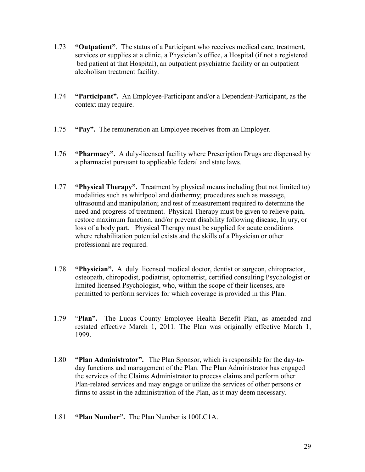- 1.73 **"Outpatient"**. The status of a Participant who receives medical care, treatment, services or supplies at a clinic, a Physician's office, a Hospital (if not a registered bed patient at that Hospital), an outpatient psychiatric facility or an outpatient alcoholism treatment facility.
- 1.74 **"Participant".** An Employee-Participant and/or a Dependent-Participant, as the context may require.
- 1.75 **"Pay".** The remuneration an Employee receives from an Employer.
- 1.76 **"Pharmacy".** A duly-licensed facility where Prescription Drugs are dispensed by a pharmacist pursuant to applicable federal and state laws.
- 1.77 **"Physical Therapy".** Treatment by physical means including (but not limited to) modalities such as whirlpool and diathermy; procedures such as massage, ultrasound and manipulation; and test of measurement required to determine the need and progress of treatment. Physical Therapy must be given to relieve pain, restore maximum function, and/or prevent disability following disease, Injury, or loss of a body part. Physical Therapy must be supplied for acute conditions where rehabilitation potential exists and the skills of a Physician or other professional are required.
- 1.78 **"Physician".** A duly licensed medical doctor, dentist or surgeon, chiropractor, osteopath, chiropodist, podiatrist, optometrist, certified consulting Psychologist or limited licensed Psychologist, who, within the scope of their licenses, are permitted to perform services for which coverage is provided in this Plan.
- 1.79 "**Plan".** The Lucas County Employee Health Benefit Plan, as amended and restated effective March 1, 2011. The Plan was originally effective March 1, 1999.
- 1.80 **"Plan Administrator".** The Plan Sponsor, which is responsible for the day-today functions and management of the Plan. The Plan Administrator has engaged the services of the Claims Administrator to process claims and perform other Plan-related services and may engage or utilize the services of other persons or firms to assist in the administration of the Plan, as it may deem necessary.
- 1.81 **"Plan Number".** The Plan Number is 100LC1A.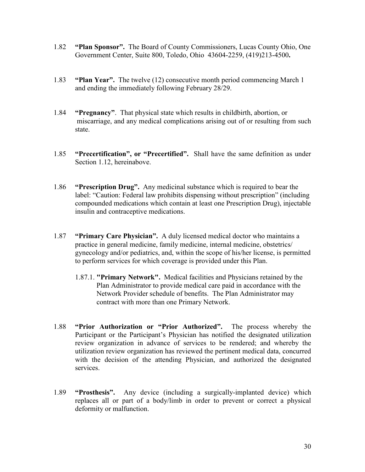- 1.82 **"Plan Sponsor".** The Board of County Commissioners, Lucas County Ohio, One Government Center, Suite 800, Toledo, Ohio 43604-2259, (419)213-4500**.**
- 1.83 **"Plan Year".** The twelve (12) consecutive month period commencing March 1 and ending the immediately following February 28/29.
- 1.84 **"Pregnancy"**. That physical state which results in childbirth, abortion, or miscarriage, and any medical complications arising out of or resulting from such state.
- 1.85 **"Precertification", or "Precertified".** Shall have the same definition as under Section 1.12, hereinabove.
- 1.86 **"Prescription Drug".** Any medicinal substance which is required to bear the label: "Caution: Federal law prohibits dispensing without prescription" (including compounded medications which contain at least one Prescription Drug), injectable insulin and contraceptive medications.
- 1.87 **"Primary Care Physician".** A duly licensed medical doctor who maintains a practice in general medicine, family medicine, internal medicine, obstetrics/ gynecology and/or pediatrics, and, within the scope of his/her license, is permitted to perform services for which coverage is provided under this Plan.
	- 1.87.1. **"Primary Network".** Medical facilities and Physicians retained by the Plan Administrator to provide medical care paid in accordance with the Network Provider schedule of benefits. The Plan Administrator may contract with more than one Primary Network.
- 1.88 **"Prior Authorization or "Prior Authorized".** The process whereby the Participant or the Participant's Physician has notified the designated utilization review organization in advance of services to be rendered; and whereby the utilization review organization has reviewed the pertinent medical data, concurred with the decision of the attending Physician, and authorized the designated services.
- 1.89 **"Prosthesis".** Any device (including a surgically-implanted device) which replaces all or part of a body/limb in order to prevent or correct a physical deformity or malfunction.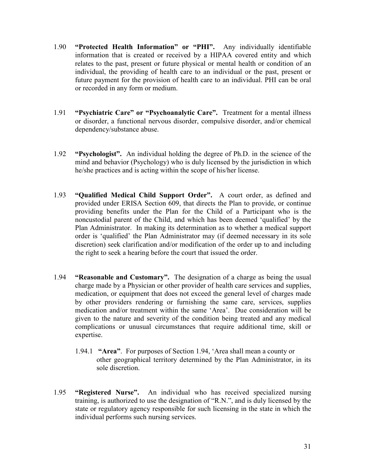- 1.90 **"Protected Health Information" or "PHI".** Any individually identifiable information that is created or received by a HIPAA covered entity and which relates to the past, present or future physical or mental health or condition of an individual, the providing of health care to an individual or the past, present or future payment for the provision of health care to an individual. PHI can be oral or recorded in any form or medium.
- 1.91 **"Psychiatric Care" or "Psychoanalytic Care".** Treatment for a mental illness or disorder, a functional nervous disorder, compulsive disorder, and/or chemical dependency/substance abuse.
- 1.92 **"Psychologist".** An individual holding the degree of Ph.D. in the science of the mind and behavior (Psychology) who is duly licensed by the jurisdiction in which he/she practices and is acting within the scope of his/her license.
- 1.93 **"Qualified Medical Child Support Order".** A court order, as defined and provided under ERISA Section 609, that directs the Plan to provide, or continue providing benefits under the Plan for the Child of a Participant who is the noncustodial parent of the Child, and which has been deemed 'qualified' by the Plan Administrator. In making its determination as to whether a medical support order is 'qualified' the Plan Administrator may (if deemed necessary in its sole discretion) seek clarification and/or modification of the order up to and including the right to seek a hearing before the court that issued the order.
- 1.94 **"Reasonable and Customary".** The designation of a charge as being the usual charge made by a Physician or other provider of health care services and supplies, medication, or equipment that does not exceed the general level of charges made by other providers rendering or furnishing the same care, services, supplies medication and/or treatment within the same 'Area'. Due consideration will be given to the nature and severity of the condition being treated and any medical complications or unusual circumstances that require additional time, skill or expertise.
	- 1.94.1 **"Area"**. For purposes of Section 1.94, 'Area shall mean a county or other geographical territory determined by the Plan Administrator, in its sole discretion.
- 1.95 **"Registered Nurse".** An individual who has received specialized nursing training, is authorized to use the designation of "R.N.", and is duly licensed by the state or regulatory agency responsible for such licensing in the state in which the individual performs such nursing services.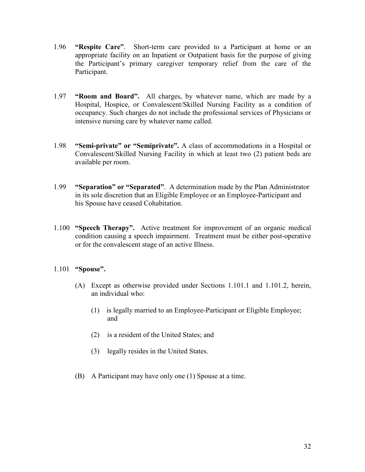- 1.96 **"Respite Care"**. Short-term care provided to a Participant at home or an appropriate facility on an Inpatient or Outpatient basis for the purpose of giving the Participant's primary caregiver temporary relief from the care of the Participant.
- 1.97 **"Room and Board".** All charges, by whatever name, which are made by a Hospital, Hospice, or Convalescent/Skilled Nursing Facility as a condition of occupancy. Such charges do not include the professional services of Physicians or intensive nursing care by whatever name called.
- 1.98 **"Semi-private" or "Semiprivate".** A class of accommodations in a Hospital or Convalescent/Skilled Nursing Facility in which at least two (2) patient beds are available per room.
- 1.99 **"Separation" or "Separated"**. A determination made by the Plan Administrator in its sole discretion that an Eligible Employee or an Employee-Participant and his Spouse have ceased Cohabitation.
- 1.100 **"Speech Therapy".** Active treatment for improvement of an organic medical condition causing a speech impairment. Treatment must be either post-operative or for the convalescent stage of an active Illness.

# 1.101 **"Spouse".**

- (A) Except as otherwise provided under Sections 1.101.1 and 1.101.2, herein, an individual who:
	- (1) is legally married to an Employee-Participant or Eligible Employee; and
	- (2) is a resident of the United States; and
	- (3) legally resides in the United States.
- (B) A Participant may have only one (1) Spouse at a time.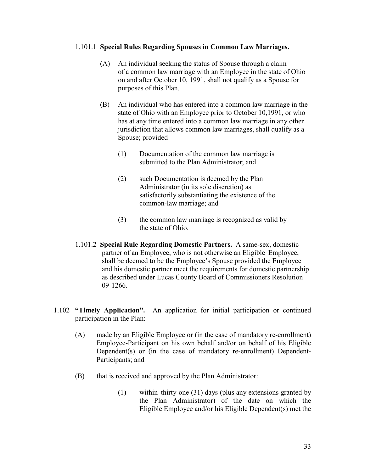#### 1.101.1 **Special Rules Regarding Spouses in Common Law Marriages.**

- (A)An individual seeking the status of Spouse through a claim of a common law marriage with an Employee in the state of Ohio on and after October 10, 1991, shall not qualify as a Spouse for purposes of this Plan.
- (B) An individual who has entered into a common law marriage in the state of Ohio with an Employee prior to October 10,1991, or who has at any time entered into a common law marriage in any other jurisdiction that allows common law marriages, shall qualify as a Spouse; provided
	- (1) Documentation of the common law marriage is submitted to the Plan Administrator; and
	- (2) such Documentation is deemed by the Plan Administrator (in its sole discretion) as satisfactorily substantiating the existence of the common-law marriage; and
	- (3) the common law marriage is recognized as valid by the state of Ohio.
- 1.101.2 **Special Rule Regarding Domestic Partners.** A same-sex, domestic partner of an Employee, who is not otherwise an Eligible Employee, shall be deemed to be the Employee's Spouse provided the Employee and his domestic partner meet the requirements for domestic partnership as described under Lucas County Board of Commissioners Resolution 09-1266.
- 1.102 **"Timely Application".** An application for initial participation or continued participation in the Plan:
	- (A) made by an Eligible Employee or (in the case of mandatory re-enrollment) Employee-Participant on his own behalf and/or on behalf of his Eligible Dependent(s) or (in the case of mandatory re-enrollment) Dependent-Participants; and
	- (B) that is received and approved by the Plan Administrator:
		- (1) within thirty-one (31) days (plus any extensions granted by the Plan Administrator) of the date on which the Eligible Employee and/or his Eligible Dependent(s) met the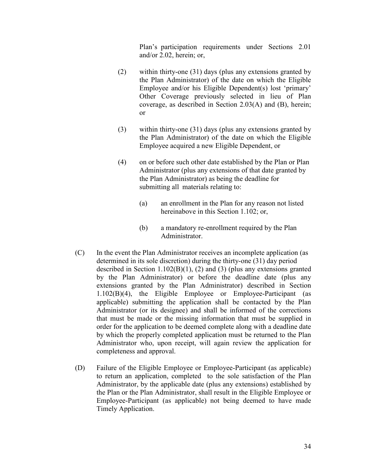Plan's participation requirements under Sections 2.01 and/or 2.02, herein; or,

- (2) within thirty-one (31) days (plus any extensions granted by the Plan Administrator) of the date on which the Eligible Employee and/or his Eligible Dependent(s) lost 'primary' Other Coverage previously selected in lieu of Plan coverage, as described in Section 2.03(A) and (B), herein; or
- (3) within thirty-one (31) days (plus any extensions granted by the Plan Administrator) of the date on which the Eligible Employee acquired a new Eligible Dependent, or
- (4) on or before such other date established by the Plan or Plan Administrator (plus any extensions of that date granted by the Plan Administrator) as being the deadline for submitting all materials relating to:
	- (a) an enrollment in the Plan for any reason not listed hereinabove in this Section 1.102; or,
	- (b) a mandatory re-enrollment required by the Plan Administrator.
- (C) In the event the Plan Administrator receives an incomplete application (as determined in its sole discretion) during the thirty-one (31) day period described in Section 1.102(B)(1), (2) and (3) (plus any extensions granted by the Plan Administrator) or before the deadline date (plus any extensions granted by the Plan Administrator) described in Section 1.102(B)(4), the Eligible Employee or Employee-Participant (as applicable) submitting the application shall be contacted by the Plan Administrator (or its designee) and shall be informed of the corrections that must be made or the missing information that must be supplied in order for the application to be deemed complete along with a deadline date by which the properly completed application must be returned to the Plan Administrator who, upon receipt, will again review the application for completeness and approval.
- (D) Failure of the Eligible Employee or Employee-Participant (as applicable) to return an application, completed to the sole satisfaction of the Plan Administrator, by the applicable date (plus any extensions) established by the Plan or the Plan Administrator, shall result in the Eligible Employee or Employee-Participant (as applicable) not being deemed to have made Timely Application.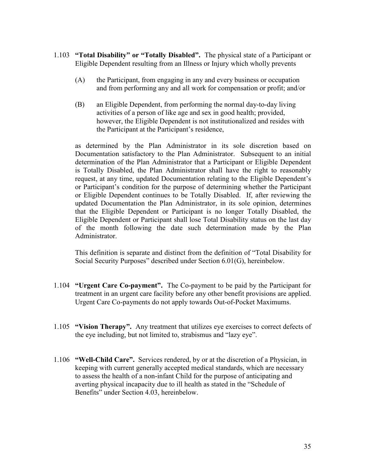- 1.103 **"Total Disability" or "Totally Disabled".** The physical state of a Participant or Eligible Dependent resulting from an Illness or Injury which wholly prevents
	- (A) the Participant, from engaging in any and every business or occupation and from performing any and all work for compensation or profit; and/or
	- (B) an Eligible Dependent, from performing the normal day-to-day living activities of a person of like age and sex in good health; provided, however, the Eligible Dependent is not institutionalized and resides with the Participant at the Participant's residence,

 as determined by the Plan Administrator in its sole discretion based on Documentation satisfactory to the Plan Administrator. Subsequent to an initial determination of the Plan Administrator that a Participant or Eligible Dependent is Totally Disabled, the Plan Administrator shall have the right to reasonably request, at any time, updated Documentation relating to the Eligible Dependent's or Participant's condition for the purpose of determining whether the Participant or Eligible Dependent continues to be Totally Disabled. If, after reviewing the updated Documentation the Plan Administrator, in its sole opinion, determines that the Eligible Dependent or Participant is no longer Totally Disabled, the Eligible Dependent or Participant shall lose Total Disability status on the last day of the month following the date such determination made by the Plan Administrator.

 This definition is separate and distinct from the definition of "Total Disability for Social Security Purposes" described under Section 6.01(G), hereinbelow.

- 1.104 **"Urgent Care Co-payment".** The Co-payment to be paid by the Participant for treatment in an urgent care facility before any other benefit provisions are applied. Urgent Care Co-payments do not apply towards Out-of-Pocket Maximums.
- 1.105 **"Vision Therapy".** Any treatment that utilizes eye exercises to correct defects of the eye including, but not limited to, strabismus and "lazy eye".
- 1.106 **"Well-Child Care".** Services rendered, by or at the discretion of a Physician, in keeping with current generally accepted medical standards, which are necessary to assess the health of a non-infant Child for the purpose of anticipating and averting physical incapacity due to ill health as stated in the "Schedule of Benefits" under Section 4.03, hereinbelow.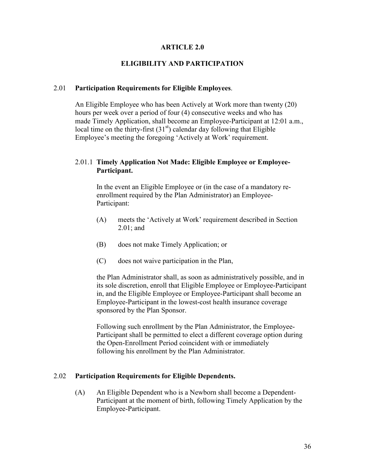#### **ARTICLE 2.0**

## **ELIGIBILITY AND PARTICIPATION**

#### 2.01 **Participation Requirements for Eligible Employees**.

An Eligible Employee who has been Actively at Work more than twenty (20) hours per week over a period of four (4) consecutive weeks and who has made Timely Application, shall become an Employee-Participant at 12:01 a.m., local time on the thirty-first  $(31<sup>st</sup>)$  calendar day following that Eligible Employee's meeting the foregoing 'Actively at Work' requirement.

## 2.01.1 **Timely Application Not Made: Eligible Employee or Employee- Participant.**

 In the event an Eligible Employee or (in the case of a mandatory re enrollment required by the Plan Administrator) an Employee- Participant:

- (A) meets the 'Actively at Work' requirement described in Section 2.01; and
- (B) does not make Timely Application; or
- (C) does not waive participation in the Plan,

 the Plan Administrator shall, as soon as administratively possible, and in its sole discretion, enroll that Eligible Employee or Employee-Participant in, and the Eligible Employee or Employee-Participant shall become an Employee-Participant in the lowest-cost health insurance coverage sponsored by the Plan Sponsor.

 Following such enrollment by the Plan Administrator, the Employee- Participant shall be permitted to elect a different coverage option during the Open-Enrollment Period coincident with or immediately following his enrollment by the Plan Administrator.

#### 2.02 **Participation Requirements for Eligible Dependents.**

(A) An Eligible Dependent who is a Newborn shall become a Dependent- Participant at the moment of birth, following Timely Application by the Employee-Participant.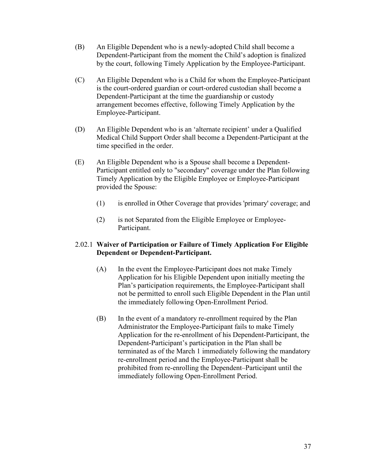- (B) An Eligible Dependent who is a newly-adopted Child shall become a Dependent-Participant from the moment the Child's adoption is finalized by the court, following Timely Application by the Employee-Participant.
- (C) An Eligible Dependent who is a Child for whom the Employee-Participant is the court-ordered guardian or court-ordered custodian shall become a Dependent-Participant at the time the guardianship or custody arrangement becomes effective, following Timely Application by the Employee-Participant.
- (D) An Eligible Dependent who is an 'alternate recipient' under a Qualified Medical Child Support Order shall become a Dependent-Participant at the time specified in the order.
- (E) An Eligible Dependent who is a Spouse shall become a Dependent- Participant entitled only to "secondary" coverage under the Plan following Timely Application by the Eligible Employee or Employee-Participant provided the Spouse:
	- (1) is enrolled in Other Coverage that provides 'primary' coverage; and
	- (2) is not Separated from the Eligible Employee or Employee- Participant.

## 2.02.1 **Waiver of Participation or Failure of Timely Application For Eligible Dependent or Dependent-Participant.**

- (A) In the event the Employee-Participant does not make Timely Application for his Eligible Dependent upon initially meeting the Plan's participation requirements, the Employee-Participant shall not be permitted to enroll such Eligible Dependent in the Plan until the immediately following Open-Enrollment Period.
- (B) In the event of a mandatory re-enrollment required by the Plan Administrator the Employee-Participant fails to make Timely Application for the re-enrollment of his Dependent-Participant, the Dependent-Participant's participation in the Plan shall be terminated as of the March 1 immediately following the mandatory re-enrollment period and the Employee-Participant shall be prohibited from re-enrolling the Dependent–Participant until the immediately following Open-Enrollment Period.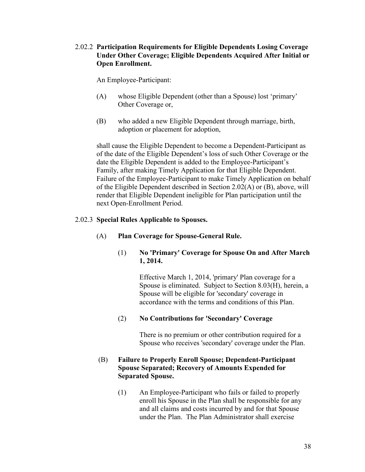## 2.02.2 **Participation Requirements for Eligible Dependents Losing Coverage Under Other Coverage; Eligible Dependents Acquired After Initial or Open Enrollment.**

An Employee-Participant:

- (A) whose Eligible Dependent (other than a Spouse) lost 'primary' Other Coverage or,
- (B) who added a new Eligible Dependent through marriage, birth, adoption or placement for adoption,

shall cause the Eligible Dependent to become a Dependent-Participant as of the date of the Eligible Dependent's loss of such Other Coverage or the date the Eligible Dependent is added to the Employee-Participant's Family, after making Timely Application for that Eligible Dependent. Failure of the Employee-Participant to make Timely Application on behalf of the Eligible Dependent described in Section 2.02(A) or (B), above, will render that Eligible Dependent ineligible for Plan participation until the next Open-Enrollment Period.

## 2.02.3 **Special Rules Applicable to Spouses.**

## (A) **Plan Coverage for Spouse-General Rule.**

### (1) **No 'Primary' Coverage for Spouse On and After March 1, 2014.**

Effective March 1, 2014, 'primary' Plan coverage for a Spouse is eliminated. Subject to Section 8.03(H), herein, a Spouse will be eligible for 'secondary' coverage in accordance with the terms and conditions of this Plan.

## (2) **No Contributions for 'Secondary' Coverage**

There is no premium or other contribution required for a Spouse who receives 'secondary' coverage under the Plan.

## (B) **Failure to Properly Enroll Spouse; Dependent-Participant Spouse Separated; Recovery of Amounts Expended for Separated Spouse.**

(1) An Employee-Participant who fails or failed to properly enroll his Spouse in the Plan shall be responsible for any and all claims and costs incurred by and for that Spouse under the Plan. The Plan Administrator shall exercise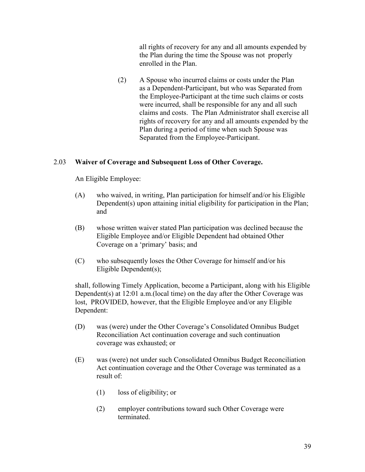all rights of recovery for any and all amounts expended by the Plan during the time the Spouse was not properly enrolled in the Plan.

 (2) A Spouse who incurred claims or costs under the Plan as a Dependent-Participant, but who was Separated from the Employee-Participant at the time such claims or costs were incurred, shall be responsible for any and all such claims and costs. The Plan Administrator shall exercise all rights of recovery for any and all amounts expended by the Plan during a period of time when such Spouse was Separated from the Employee-Participant.

# 2.03 **Waiver of Coverage and Subsequent Loss of Other Coverage.**

An Eligible Employee:

- (A) who waived, in writing, Plan participation for himself and/or his Eligible Dependent(s) upon attaining initial eligibility for participation in the Plan; and
- (B) whose written waiver stated Plan participation was declined because the Eligible Employee and/or Eligible Dependent had obtained Other Coverage on a 'primary' basis; and
- (C) who subsequently loses the Other Coverage for himself and/or his Eligible Dependent(s);

shall, following Timely Application, become a Participant, along with his Eligible Dependent(s) at 12:01 a.m.(local time) on the day after the Other Coverage was lost, PROVIDED, however, that the Eligible Employee and/or any Eligible Dependent:

- (D) was (were) under the Other Coverage's Consolidated Omnibus Budget Reconciliation Act continuation coverage and such continuation coverage was exhausted; or
- (E) was (were) not under such Consolidated Omnibus Budget Reconciliation Act continuation coverage and the Other Coverage was terminated as a result of:
	- (1) loss of eligibility; or
	- (2) employer contributions toward such Other Coverage were terminated.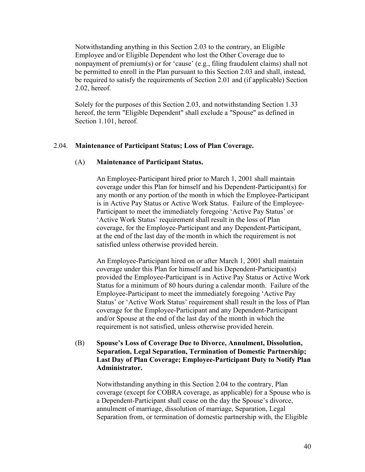Notwithstanding anything in this Section 2.03 to the contrary, an Eligible Employee and/or Eligible Dependent who lost the Other Coverage due to nonpayment of premium(s) or for 'cause' (e.g., filing fraudulent claims) shall not be permitted to enroll in the Plan pursuant to this Section 2.03 and shall, instead, be required to satisfy the requirements of Section 2.01 and (if applicable) Section 2.02, hereof.

Solely for the purposes of this Section 2.03, and notwithstanding Section 1.33 hereof, the term "Eligible Dependent" shall exclude a "Spouse" as defined in Section 1.101, hereof.

### 2.04. **Maintenance of Participant Status; Loss of Plan Coverage.**

#### (A) **Maintenance of Participant Status.**

 An Employee-Participant hired prior to March 1, 2001 shall maintain coverage under this Plan for himself and his Dependent-Participant(s) for any month or any portion of the month in which the Employee-Participant is in Active Pay Status or Active Work Status. Failure of the Employee- Participant to meet the immediately foregoing 'Active Pay Status' or 'Active Work Status' requirement shall result in the loss of Plan coverage, for the Employee-Participant and any Dependent-Participant, at the end of the last day of the month in which the requirement is not satisfied unless otherwise provided herein.

 An Employee-Participant hired on or after March 1, 2001 shall maintain coverage under this Plan for himself and his Dependent-Participant(s) provided the Employee-Participant is in Active Pay Status or Active Work Status for a minimum of 80 hours during a calendar month. Failure of the Employee-Participant to meet the immediately foregoing 'Active Pay Status' or 'Active Work Status' requirement shall result in the loss of Plan coverage for the Employee-Participant and any Dependent-Participant and/or Spouse at the end of the last day of the month in which the requirement is not satisfied, unless otherwise provided herein.

### (B) **Spouse's Loss of Coverage Due to Divorce, Annulment, Dissolution, Separation, Legal Separation, Termination of Domestic Partnership; Last Day of Plan Coverage; Employee-Participant Duty to Notify Plan Administrator.**

Notwithstanding anything in this Section 2.04 to the contrary, Plan coverage (except for COBRA coverage, as applicable) for a Spouse who is a Dependent-Participant shall cease on the day the Spouse's divorce, annulment of marriage, dissolution of marriage, Separation, Legal Separation from, or termination of domestic partnership with, the Eligible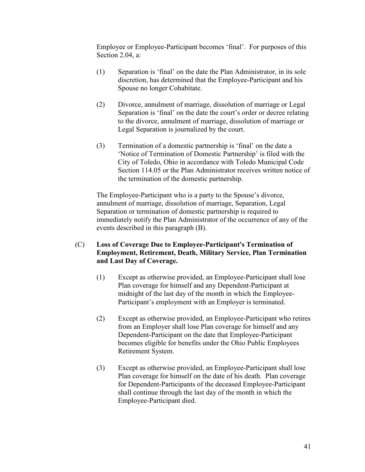Employee or Employee-Participant becomes 'final'. For purposes of this Section 2.04, a:

- (1) Separation is 'final' on the date the Plan Administrator, in its sole discretion, has determined that the Employee-Participant and his Spouse no longer Cohabitate.
- (2) Divorce, annulment of marriage, dissolution of marriage or Legal Separation is 'final' on the date the court's order or decree relating to the divorce, annulment of marriage, dissolution of marriage or Legal Separation is journalized by the court.
- (3) Termination of a domestic partnership is 'final' on the date a 'Notice of Termination of Domestic Partnership' is filed with the City of Toledo, Ohio in accordance with Toledo Municipal Code Section 114.05 or the Plan Administrator receives written notice of the termination of the domestic partnership.

 The Employee-Participant who is a party to the Spouse's divorce, annulment of marriage, dissolution of marriage, Separation, Legal Separation or termination of domestic partnership is required to immediately notify the Plan Administrator of the occurrence of any of the events described in this paragraph (B).

- (C) **Loss of Coverage Due to Employee-Participant's Termination of Employment, Retirement, Death, Military Service, Plan Termination and Last Day of Coverage.** 
	- (1) Except as otherwise provided, an Employee-Participant shall lose Plan coverage for himself and any Dependent-Participant at midnight of the last day of the month in which the Employee- Participant's employment with an Employer is terminated.
	- (2) Except as otherwise provided, an Employee-Participant who retires from an Employer shall lose Plan coverage for himself and any Dependent-Participant on the date that Employee-Participant becomes eligible for benefits under the Ohio Public Employees Retirement System.
	- (3) Except as otherwise provided, an Employee-Participant shall lose Plan coverage for himself on the date of his death. Plan coverage for Dependent-Participants of the deceased Employee-Participant shall continue through the last day of the month in which the Employee-Participant died.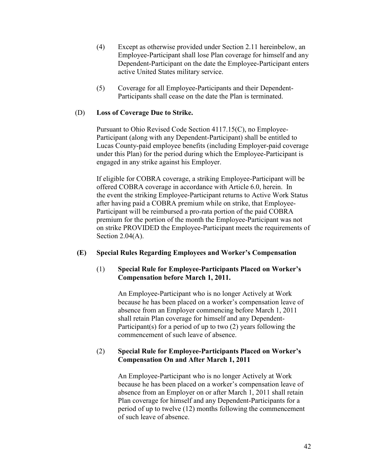- (4) Except as otherwise provided under Section 2.11 hereinbelow, an Employee-Participant shall lose Plan coverage for himself and any Dependent-Participant on the date the Employee-Participant enters active United States military service.
- (5) Coverage for all Employee-Participants and their Dependent- Participants shall cease on the date the Plan is terminated.

## (D) **Loss of Coverage Due to Strike.**

 Pursuant to Ohio Revised Code Section 4117.15(C), no Employee- Participant (along with any Dependent-Participant) shall be entitled to Lucas County-paid employee benefits (including Employer-paid coverage under this Plan) for the period during which the Employee-Participant is engaged in any strike against his Employer.

 If eligible for COBRA coverage, a striking Employee-Participant will be offered COBRA coverage in accordance with Article 6.0, herein. In the event the striking Employee-Participant returns to Active Work Status after having paid a COBRA premium while on strike, that Employee- Participant will be reimbursed a pro-rata portion of the paid COBRA premium for the portion of the month the Employee-Participant was not on strike PROVIDED the Employee-Participant meets the requirements of Section  $2.04(A)$ .

## **(E) Special Rules Regarding Employees and Worker's Compensation**

## (1) **Special Rule for Employee-Participants Placed on Worker's Compensation before March 1, 2011.**

An Employee-Participant who is no longer Actively at Work because he has been placed on a worker's compensation leave of absence from an Employer commencing before March 1, 2011 shall retain Plan coverage for himself and any Dependent- Participant(s) for a period of up to two (2) years following the commencement of such leave of absence.

## (2) **Special Rule for Employee-Participants Placed on Worker's Compensation On and After March 1, 2011**

An Employee-Participant who is no longer Actively at Work because he has been placed on a worker's compensation leave of absence from an Employer on or after March 1, 2011 shall retain Plan coverage for himself and any Dependent-Participants for a period of up to twelve (12) months following the commencement of such leave of absence.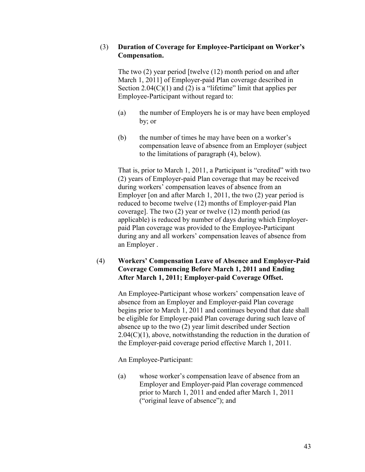## (3) **Duration of Coverage for Employee-Participant on Worker's Compensation.**

The two (2) year period [twelve (12) month period on and after March 1, 2011] of Employer-paid Plan coverage described in Section  $2.04(C)(1)$  and (2) is a "lifetime" limit that applies per Employee-Participant without regard to:

- (a) the number of Employers he is or may have been employed by; or
- (b) the number of times he may have been on a worker's compensation leave of absence from an Employer (subject to the limitations of paragraph (4), below).

That is, prior to March 1, 2011, a Participant is "credited" with two (2) years of Employer-paid Plan coverage that may be received during workers' compensation leaves of absence from an Employer [on and after March 1, 2011, the two (2) year period is reduced to become twelve (12) months of Employer-paid Plan coverage]. The two (2) year or twelve (12) month period (as applicable) is reduced by number of days during which Employerpaid Plan coverage was provided to the Employee-Participant during any and all workers' compensation leaves of absence from an Employer .

## (4) **Workers' Compensation Leave of Absence and Employer-Paid Coverage Commencing Before March 1, 2011 and Ending After March 1, 2011; Employer-paid Coverage Offset.**

An Employee-Participant whose workers' compensation leave of absence from an Employer and Employer-paid Plan coverage begins prior to March 1, 2011 and continues beyond that date shall be eligible for Employer-paid Plan coverage during such leave of absence up to the two (2) year limit described under Section  $2.04(C)(1)$ , above, notwithstanding the reduction in the duration of the Employer-paid coverage period effective March 1, 2011.

An Employee-Participant:

 (a) whose worker's compensation leave of absence from an Employer and Employer-paid Plan coverage commenced prior to March 1, 2011 and ended after March 1, 2011 ("original leave of absence"); and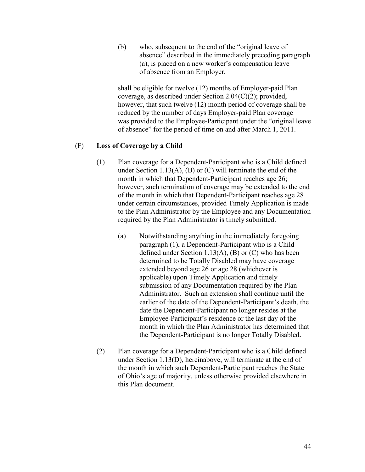(b) who, subsequent to the end of the "original leave of absence" described in the immediately preceding paragraph (a), is placed on a new worker's compensation leave of absence from an Employer,

 shall be eligible for twelve (12) months of Employer-paid Plan coverage, as described under Section 2.04(C)(2); provided, however, that such twelve (12) month period of coverage shall be reduced by the number of days Employer-paid Plan coverage was provided to the Employee-Participant under the "original leave of absence" for the period of time on and after March 1, 2011.

## (F) **Loss of Coverage by a Child**

- (1) Plan coverage for a Dependent-Participant who is a Child defined under Section 1.13(A), (B) or  $(C)$  will terminate the end of the month in which that Dependent-Participant reaches age 26; however, such termination of coverage may be extended to the end of the month in which that Dependent-Participant reaches age 28 under certain circumstances, provided Timely Application is made to the Plan Administrator by the Employee and any Documentation required by the Plan Administrator is timely submitted.
	- (a) Notwithstanding anything in the immediately foregoing paragraph (1), a Dependent-Participant who is a Child defined under Section 1.13(A), (B) or  $(C)$  who has been determined to be Totally Disabled may have coverage extended beyond age 26 or age 28 (whichever is applicable) upon Timely Application and timely submission of any Documentation required by the Plan Administrator. Such an extension shall continue until the earlier of the date of the Dependent-Participant's death, the date the Dependent-Participant no longer resides at the Employee-Participant's residence or the last day of the month in which the Plan Administrator has determined that the Dependent-Participant is no longer Totally Disabled.
- (2) Plan coverage for a Dependent-Participant who is a Child defined under Section 1.13(D), hereinabove, will terminate at the end of the month in which such Dependent-Participant reaches the State of Ohio's age of majority, unless otherwise provided elsewhere in this Plan document.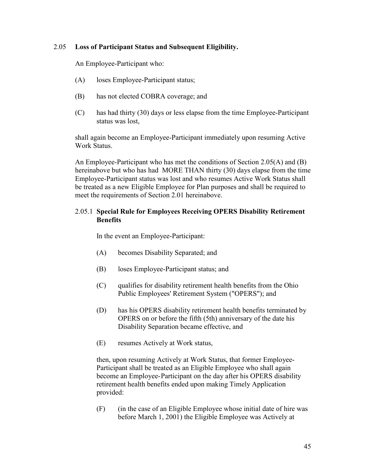### 2.05 **Loss of Participant Status and Subsequent Eligibility.**

An Employee-Participant who:

- (A) loses Employee-Participant status;
- (B) has not elected COBRA coverage; and
- (C) has had thirty (30) days or less elapse from the time Employee-Participant status was lost,

 shall again become an Employee-Participant immediately upon resuming Active Work Status.

An Employee-Participant who has met the conditions of Section 2.05(A) and (B) hereinabove but who has had MORE THAN thirty (30) days elapse from the time Employee-Participant status was lost and who resumes Active Work Status shall be treated as a new Eligible Employee for Plan purposes and shall be required to meet the requirements of Section 2.01 hereinabove.

## 2.05.1 **Special Rule for Employees Receiving OPERS Disability Retirement Benefits**

In the event an Employee-Participant:

- (A) becomes Disability Separated; and
- (B) loses Employee-Participant status; and
- (C) qualifies for disability retirement health benefits from the Ohio Public Employees' Retirement System ("OPERS"); and
- (D) has his OPERS disability retirement health benefits terminated by OPERS on or before the fifth (5th) anniversary of the date his Disability Separation became effective, and
- (E) resumes Actively at Work status,

 then, upon resuming Actively at Work Status, that former Employee- Participant shall be treated as an Eligible Employee who shall again become an Employee- Participant on the day after his OPERS disability retirement health benefits ended upon making Timely Application provided:

 (F) (in the case of an Eligible Employee whose initial date of hire was before March 1, 2001) the Eligible Employee was Actively at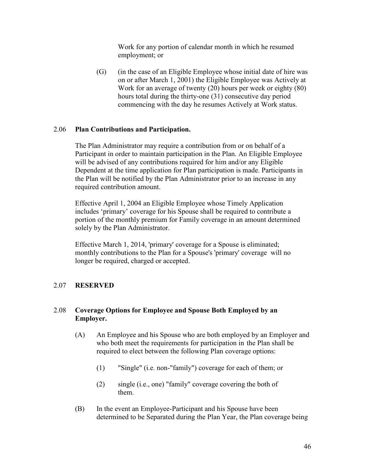Work for any portion of calendar month in which he resumed employment; or

 (G) (in the case of an Eligible Employee whose initial date of hire was on or after March 1, 2001) the Eligible Employee was Actively at Work for an average of twenty (20) hours per week or eighty (80) hours total during the thirty-one (31) consecutive day period commencing with the day he resumes Actively at Work status.

## 2.06 **Plan Contributions and Participation.**

 The Plan Administrator may require a contribution from or on behalf of a Participant in order to maintain participation in the Plan. An Eligible Employee will be advised of any contributions required for him and/or any Eligible Dependent at the time application for Plan participation is made. Participants in the Plan will be notified by the Plan Administrator prior to an increase in any required contribution amount.

 Effective April 1, 2004 an Eligible Employee whose Timely Application includes 'primary' coverage for his Spouse shall be required to contribute a portion of the monthly premium for Family coverage in an amount determined solely by the Plan Administrator.

 Effective March 1, 2014, 'primary' coverage for a Spouse is eliminated; monthly contributions to the Plan for a Spouse's 'primary' coverage will no longer be required, charged or accepted.

## 2.07 **RESERVED**

## 2.08 **Coverage Options for Employee and Spouse Both Employed by an Employer.**

- (A) An Employee and his Spouse who are both employed by an Employer and who both meet the requirements for participation in the Plan shall be required to elect between the following Plan coverage options:
	- (1) "Single" (i.e. non-"family") coverage for each of them; or
	- (2) single (i.e., one) "family" coverage covering the both of them.
- (B) In the event an Employee-Participant and his Spouse have been determined to be Separated during the Plan Year, the Plan coverage being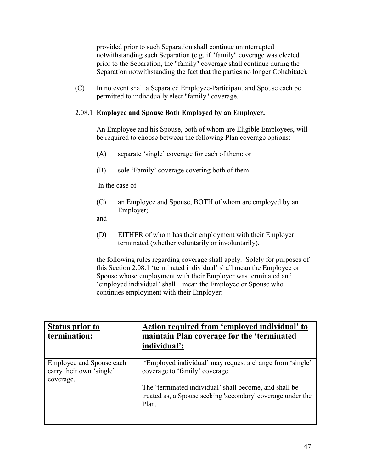provided prior to such Separation shall continue uninterrupted notwithstanding such Separation (e.g. if "family" coverage was elected prior to the Separation, the "family" coverage shall continue during the Separation notwithstanding the fact that the parties no longer Cohabitate).

 (C) In no event shall a Separated Employee-Participant and Spouse each be permitted to individually elect "family" coverage.

# 2.08.1 **Employee and Spouse Both Employed by an Employer.**

An Employee and his Spouse, both of whom are Eligible Employees, will be required to choose between the following Plan coverage options:

- (A) separate 'single' coverage for each of them; or
- (B) sole 'Family' coverage covering both of them.

In the case of

 (C) an Employee and Spouse, BOTH of whom are employed by an Employer;

and

 (D) EITHER of whom has their employment with their Employer terminated (whether voluntarily or involuntarily),

 the following rules regarding coverage shall apply. Solely for purposes of this Section 2.08.1 'terminated individual' shall mean the Employee or Spouse whose employment with their Employer was terminated and 'employed individual' shall mean the Employee or Spouse who continues employment with their Employer:

| <b>Status prior to</b><br>termination:                            | Action required from 'employed individual' to<br>maintain Plan coverage for the 'terminated<br>individual':                                                                                                                  |
|-------------------------------------------------------------------|------------------------------------------------------------------------------------------------------------------------------------------------------------------------------------------------------------------------------|
| Employee and Spouse each<br>carry their own 'single'<br>coverage. | 'Employed individual' may request a change from 'single'<br>coverage to 'family' coverage.<br>The 'terminated individual' shall become, and shall be<br>treated as, a Spouse seeking 'secondary' coverage under the<br>Plan. |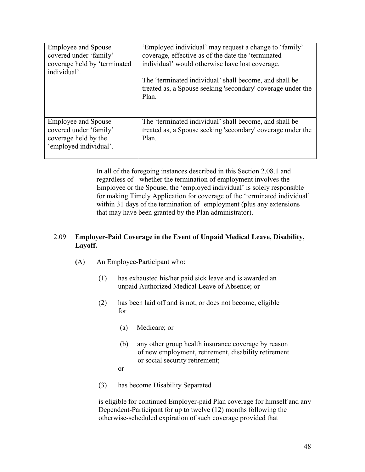| <b>Employee and Spouse</b><br>covered under 'family'<br>coverage held by 'terminated<br>individual'.   | 'Employed individual' may request a change to 'family'<br>coverage, effective as of the date the 'terminated<br>individual' would otherwise have lost coverage.<br>The 'terminated individual' shall become, and shall be<br>treated as, a Spouse seeking 'secondary' coverage under the<br>Plan. |
|--------------------------------------------------------------------------------------------------------|---------------------------------------------------------------------------------------------------------------------------------------------------------------------------------------------------------------------------------------------------------------------------------------------------|
| <b>Employee and Spouse</b><br>covered under 'family'<br>coverage held by the<br>'employed individual'. | The 'terminated individual' shall become, and shall be<br>treated as, a Spouse seeking 'secondary' coverage under the<br>Plan.                                                                                                                                                                    |

 In all of the foregoing instances described in this Section 2.08.1 and regardless of whether the termination of employment involves the Employee or the Spouse, the 'employed individual' is solely responsible for making Timely Application for coverage of the 'terminated individual' within 31 days of the termination of employment (plus any extensions that may have been granted by the Plan administrator).

## 2.09 **Employer-Paid Coverage in the Event of Unpaid Medical Leave, Disability, Layoff.**

- **(**A) An Employee-Participant who:
	- (1) has exhausted his/her paid sick leave and is awarded an unpaid Authorized Medical Leave of Absence; or
	- (2) has been laid off and is not, or does not become, eligible for
		- (a) Medicare; or
		- (b) any other group health insurance coverage by reason of new employment, retirement, disability retirement or social security retirement;
		- or
	- (3) has become Disability Separated

is eligible for continued Employer-paid Plan coverage for himself and any Dependent-Participant for up to twelve (12) months following the otherwise-scheduled expiration of such coverage provided that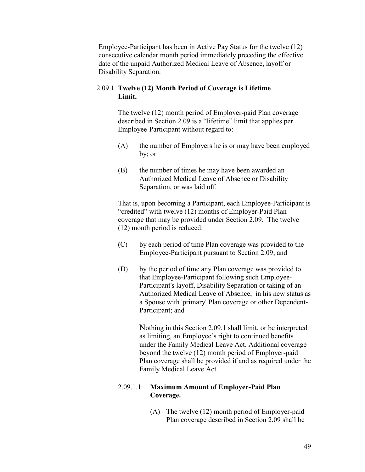Employee-Participant has been in Active Pay Status for the twelve (12) consecutive calendar month period immediately preceding the effective date of the unpaid Authorized Medical Leave of Absence, layoff or Disability Separation.

# 2.09.1 **Twelve (12) Month Period of Coverage is Lifetime Limit.**

 The twelve (12) month period of Employer-paid Plan coverage described in Section 2.09 is a "lifetime" limit that applies per Employee-Participant without regard to:

- (A) the number of Employers he is or may have been employed by; or
- (B) the number of times he may have been awarded an Authorized Medical Leave of Absence or Disability Separation, or was laid off.

 That is, upon becoming a Participant, each Employee-Participant is "credited" with twelve (12) months of Employer-Paid Plan coverage that may be provided under Section 2.09. The twelve (12) month period is reduced:

- (C) by each period of time Plan coverage was provided to the Employee-Participant pursuant to Section 2.09; and
- (D) by the period of time any Plan coverage was provided to that Employee-Participant following such Employee- Participant's layoff, Disability Separation or taking of an Authorized Medical Leave of Absence, in his new status as a Spouse with 'primary' Plan coverage or other Dependent- Participant; and

 Nothing in this Section 2.09.1 shall limit, or be interpreted as limiting, an Employee's right to continued benefits under the Family Medical Leave Act. Additional coverage beyond the twelve (12) month period of Employer-paid Plan coverage shall be provided if and as required under the Family Medical Leave Act.

# 2.09.1.1 **Maximum Amount of Employer-Paid Plan Coverage.**

 (A) The twelve (12) month period of Employer-paid Plan coverage described in Section 2.09 shall be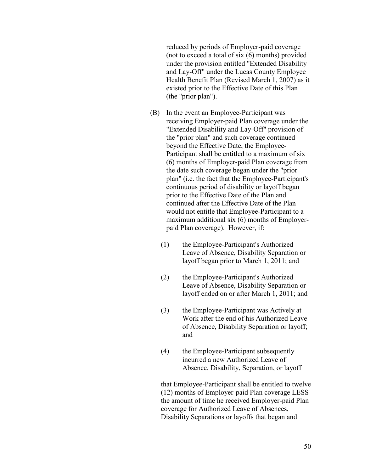reduced by periods of Employer-paid coverage (not to exceed a total of six (6) months) provided under the provision entitled "Extended Disability and Lay-Off" under the Lucas County Employee Health Benefit Plan (Revised March 1, 2007) as it existed prior to the Effective Date of this Plan (the "prior plan").

- (B) In the event an Employee-Participant was receiving Employer-paid Plan coverage under the "Extended Disability and Lay-Off" provision of the "prior plan" and such coverage continued beyond the Effective Date, the Employee- Participant shall be entitled to a maximum of six (6) months of Employer-paid Plan coverage from the date such coverage began under the "prior plan" (i.e. the fact that the Employee-Participant's continuous period of disability or layoff began prior to the Effective Date of the Plan and continued after the Effective Date of the Plan would not entitle that Employee-Participant to a maximum additional six (6) months of Employer paid Plan coverage). However, if:
	- (1) the Employee-Participant's Authorized Leave of Absence, Disability Separation or layoff began prior to March 1, 2011; and
	- (2) the Employee-Participant's Authorized Leave of Absence, Disability Separation or layoff ended on or after March 1, 2011; and
- (3) the Employee-Participant was Actively at Work after the end of his Authorized Leave of Absence, Disability Separation or layoff; and
	- (4) the Employee-Participant subsequently incurred a new Authorized Leave of Absence, Disability, Separation, or layoff

 that Employee-Participant shall be entitled to twelve (12) months of Employer-paid Plan coverage LESS the amount of time he received Employer-paid Plan coverage for Authorized Leave of Absences, Disability Separations or layoffs that began and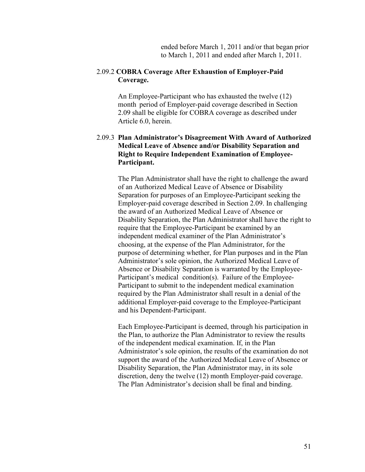ended before March 1, 2011 and/or that began prior to March 1, 2011 and ended after March 1, 2011.

#### 2.09.2 **COBRA Coverage After Exhaustion of Employer-Paid Coverage.**

 An Employee-Participant who has exhausted the twelve (12) month period of Employer-paid coverage described in Section 2.09 shall be eligible for COBRA coverage as described under Article 6.0, herein.

## 2.09.3 **Plan Administrator's Disagreement With Award of Authorized Medical Leave of Absence and/or Disability Separation and Right to Require Independent Examination of Employee- Participant.**

The Plan Administrator shall have the right to challenge the award of an Authorized Medical Leave of Absence or Disability Separation for purposes of an Employee-Participant seeking the Employer-paid coverage described in Section 2.09. In challenging the award of an Authorized Medical Leave of Absence or Disability Separation, the Plan Administrator shall have the right to require that the Employee-Participant be examined by an independent medical examiner of the Plan Administrator's choosing, at the expense of the Plan Administrator, for the purpose of determining whether, for Plan purposes and in the Plan Administrator's sole opinion, the Authorized Medical Leave of Absence or Disability Separation is warranted by the Employee- Participant's medical condition(s). Failure of the Employee- Participant to submit to the independent medical examination required by the Plan Administrator shall result in a denial of the additional Employer-paid coverage to the Employee-Participant and his Dependent-Participant.

 Each Employee-Participant is deemed, through his participation in the Plan, to authorize the Plan Administrator to review the results of the independent medical examination. If, in the Plan Administrator's sole opinion, the results of the examination do not support the award of the Authorized Medical Leave of Absence or Disability Separation, the Plan Administrator may, in its sole discretion, deny the twelve (12) month Employer-paid coverage. The Plan Administrator's decision shall be final and binding.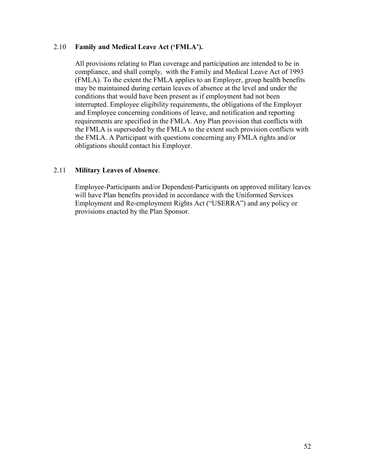#### 2.10 **Family and Medical Leave Act ('FMLA').**

 All provisions relating to Plan coverage and participation are intended to be in compliance, and shall comply, with the Family and Medical Leave Act of 1993 (FMLA). To the extent the FMLA applies to an Employer, group health benefits may be maintained during certain leaves of absence at the level and under the conditions that would have been present as if employment had not been interrupted. Employee eligibility requirements, the obligations of the Employer and Employee concerning conditions of leave, and notification and reporting requirements are specified in the FMLA. Any Plan provision that conflicts with the FMLA is superseded by the FMLA to the extent such provision conflicts with the FMLA. A Participant with questions concerning any FMLA rights and/or obligations should contact his Employer.

### 2.11 **Military Leaves of Absence**.

 Employee-Participants and/or Dependent-Participants on approved military leaves will have Plan benefits provided in accordance with the Uniformed Services Employment and Re-employment Rights Act ("USERRA") and any policy or provisions enacted by the Plan Sponsor.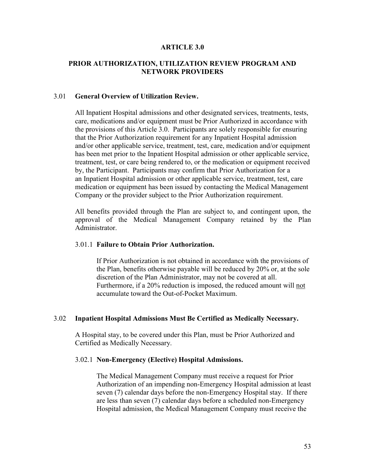#### **ARTICLE 3.0**

#### **PRIOR AUTHORIZATION, UTILIZATION REVIEW PROGRAM AND NETWORK PROVIDERS**

#### 3.01 **General Overview of Utilization Review.**

All Inpatient Hospital admissions and other designated services, treatments, tests, care, medications and/or equipment must be Prior Authorized in accordance with the provisions of this Article 3.0. Participants are solely responsible for ensuring that the Prior Authorization requirement for any Inpatient Hospital admission and/or other applicable service, treatment, test, care, medication and/or equipment has been met prior to the Inpatient Hospital admission or other applicable service, treatment, test, or care being rendered to, or the medication or equipment received by, the Participant. Participants may confirm that Prior Authorization for a an Inpatient Hospital admission or other applicable service, treatment, test, care medication or equipment has been issued by contacting the Medical Management Company or the provider subject to the Prior Authorization requirement.

 All benefits provided through the Plan are subject to, and contingent upon, the approval of the Medical Management Company retained by the Plan Administrator.

#### 3.01.1 **Failure to Obtain Prior Authorization.**

 If Prior Authorization is not obtained in accordance with the provisions of the Plan, benefits otherwise payable will be reduced by 20% or, at the sole discretion of the Plan Administrator, may not be covered at all. Furthermore, if a 20% reduction is imposed, the reduced amount will not accumulate toward the Out-of-Pocket Maximum.

#### 3.02 **Inpatient Hospital Admissions Must Be Certified as Medically Necessary.**

 A Hospital stay, to be covered under this Plan, must be Prior Authorized and Certified as Medically Necessary.

#### 3.02.1 **Non-Emergency (Elective) Hospital Admissions.**

 The Medical Management Company must receive a request for Prior Authorization of an impending non-Emergency Hospital admission at least seven (7) calendar days before the non-Emergency Hospital stay. If there are less than seven (7) calendar days before a scheduled non-Emergency Hospital admission, the Medical Management Company must receive the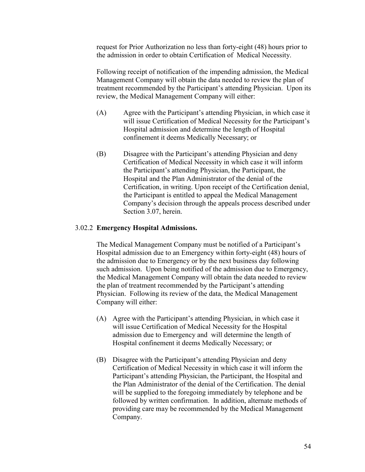request for Prior Authorization no less than forty-eight (48) hours prior to the admission in order to obtain Certification of Medical Necessity.

 Following receipt of notification of the impending admission, the Medical Management Company will obtain the data needed to review the plan of treatment recommended by the Participant's attending Physician. Upon its review, the Medical Management Company will either:

- (A) Agree with the Participant's attending Physician, in which case it will issue Certification of Medical Necessity for the Participant's Hospital admission and determine the length of Hospital confinement it deems Medically Necessary; or
- (B) Disagree with the Participant's attending Physician and deny Certification of Medical Necessity in which case it will inform the Participant's attending Physician, the Participant, the Hospital and the Plan Administrator of the denial of the Certification, in writing. Upon receipt of the Certification denial, the Participant is entitled to appeal the Medical Management Company's decision through the appeals process described under Section 3.07, herein.

#### 3.02.2 **Emergency Hospital Admissions.**

 The Medical Management Company must be notified of a Participant's Hospital admission due to an Emergency within forty-eight (48) hours of the admission due to Emergency or by the next business day following such admission. Upon being notified of the admission due to Emergency, the Medical Management Company will obtain the data needed to review the plan of treatment recommended by the Participant's attending Physician. Following its review of the data, the Medical Management Company will either:

- (A) Agree with the Participant's attending Physician, in which case it will issue Certification of Medical Necessity for the Hospital admission due to Emergency and will determine the length of Hospital confinement it deems Medically Necessary; or
- (B) Disagree with the Participant's attending Physician and deny Certification of Medical Necessity in which case it will inform the Participant's attending Physician, the Participant, the Hospital and the Plan Administrator of the denial of the Certification. The denial will be supplied to the foregoing immediately by telephone and be followed by written confirmation. In addition, alternate methods of providing care may be recommended by the Medical Management Company.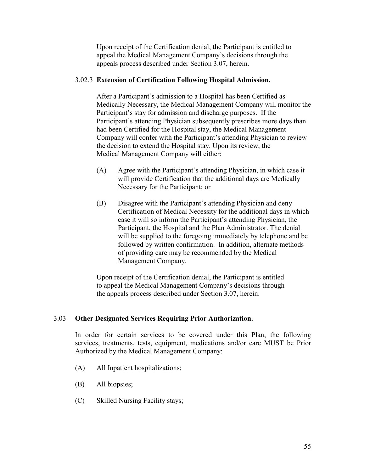Upon receipt of the Certification denial, the Participant is entitled to appeal the Medical Management Company's decisions through the appeals process described under Section 3.07, herein.

## 3.02.3 **Extension of Certification Following Hospital Admission.**

 After a Participant's admission to a Hospital has been Certified as Medically Necessary, the Medical Management Company will monitor the Participant's stay for admission and discharge purposes. If the Participant's attending Physician subsequently prescribes more days than had been Certified for the Hospital stay, the Medical Management Company will confer with the Participant's attending Physician to review the decision to extend the Hospital stay. Upon its review, the Medical Management Company will either:

- (A) Agree with the Participant's attending Physician, in which case it will provide Certification that the additional days are Medically Necessary for the Participant; or
- (B) Disagree with the Participant's attending Physician and deny Certification of Medical Necessity for the additional days in which case it will so inform the Participant's attending Physician, the Participant, the Hospital and the Plan Administrator. The denial will be supplied to the foregoing immediately by telephone and be followed by written confirmation. In addition, alternate methods of providing care may be recommended by the Medical Management Company.

 Upon receipt of the Certification denial, the Participant is entitled to appeal the Medical Management Company's decisions through the appeals process described under Section 3.07, herein.

## 3.03 **Other Designated Services Requiring Prior Authorization.**

 In order for certain services to be covered under this Plan, the following services, treatments, tests, equipment, medications and/or care MUST be Prior Authorized by the Medical Management Company:

- (A) All Inpatient hospitalizations;
- (B) All biopsies;
- (C) Skilled Nursing Facility stays;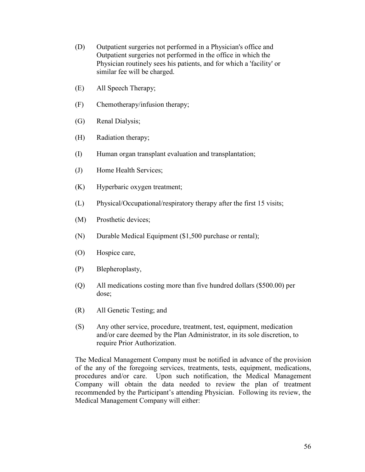- (D) Outpatient surgeries not performed in a Physician's office and Outpatient surgeries not performed in the office in which the Physician routinely sees his patients, and for which a 'facility' or similar fee will be charged.
- (E) All Speech Therapy;
- (F) Chemotherapy/infusion therapy;
- (G) Renal Dialysis;
- (H) Radiation therapy;
- (I) Human organ transplant evaluation and transplantation;
- (J) Home Health Services;
- (K) Hyperbaric oxygen treatment;
- (L) Physical/Occupational/respiratory therapy after the first 15 visits;
- (M) Prosthetic devices;
- (N) Durable Medical Equipment (\$1,500 purchase or rental);
- (O) Hospice care,
- (P) Blepheroplasty,
- (Q) All medications costing more than five hundred dollars (\$500.00) per dose;
- (R) All Genetic Testing; and
- (S) Any other service, procedure, treatment, test, equipment, medication and/or care deemed by the Plan Administrator, in its sole discretion, to require Prior Authorization.

 The Medical Management Company must be notified in advance of the provision of the any of the foregoing services, treatments, tests, equipment, medications, procedures and/or care. Upon such notification, the Medical Management Company will obtain the data needed to review the plan of treatment recommended by the Participant's attending Physician. Following its review, the Medical Management Company will either: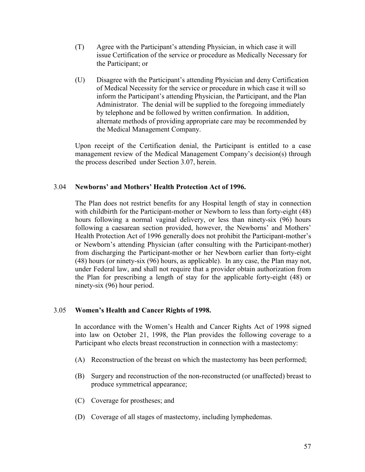- (T) Agree with the Participant's attending Physician, in which case it will issue Certification of the service or procedure as Medically Necessary for the Participant; or
- (U) Disagree with the Participant's attending Physician and deny Certification of Medical Necessity for the service or procedure in which case it will so inform the Participant's attending Physician, the Participant, and the Plan Administrator. The denial will be supplied to the foregoing immediately by telephone and be followed by written confirmation. In addition, alternate methods of providing appropriate care may be recommended by the Medical Management Company.

 Upon receipt of the Certification denial, the Participant is entitled to a case management review of the Medical Management Company's decision(s) through the process described under Section 3.07, herein.

## 3.04 **Newborns' and Mothers' Health Protection Act of 1996.**

The Plan does not restrict benefits for any Hospital length of stay in connection with childbirth for the Participant-mother or Newborn to less than forty-eight (48) hours following a normal vaginal delivery, or less than ninety-six (96) hours following a caesarean section provided, however, the Newborns' and Mothers' Health Protection Act of 1996 generally does not prohibit the Participant-mother's or Newborn's attending Physician (after consulting with the Participant-mother) from discharging the Participant-mother or her Newborn earlier than forty-eight (48) hours (or ninety-six (96) hours, as applicable). In any case, the Plan may not, under Federal law, and shall not require that a provider obtain authorization from the Plan for prescribing a length of stay for the applicable forty-eight (48) or ninety-six (96) hour period.

#### 3.05 **Women's Health and Cancer Rights of 1998.**

 In accordance with the Women's Health and Cancer Rights Act of 1998 signed into law on October 21, 1998, the Plan provides the following coverage to a Participant who elects breast reconstruction in connection with a mastectomy:

- (A) Reconstruction of the breast on which the mastectomy has been performed;
- (B) Surgery and reconstruction of the non-reconstructed (or unaffected) breast to produce symmetrical appearance;
- (C) Coverage for prostheses; and
- (D) Coverage of all stages of mastectomy, including lymphedemas.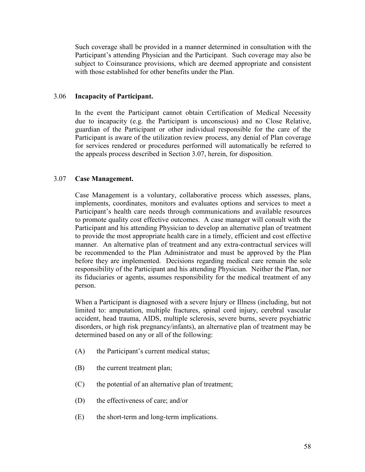Such coverage shall be provided in a manner determined in consultation with the Participant's attending Physician and the Participant. Such coverage may also be subject to Coinsurance provisions, which are deemed appropriate and consistent with those established for other benefits under the Plan.

#### 3.06 **Incapacity of Participant.**

 In the event the Participant cannot obtain Certification of Medical Necessity due to incapacity (e.g. the Participant is unconscious) and no Close Relative, guardian of the Participant or other individual responsible for the care of the Participant is aware of the utilization review process, any denial of Plan coverage for services rendered or procedures performed will automatically be referred to the appeals process described in Section 3.07, herein, for disposition.

### 3.07 **Case Management.**

 Case Management is a voluntary, collaborative process which assesses, plans, implements, coordinates, monitors and evaluates options and services to meet a Participant's health care needs through communications and available resources to promote quality cost effective outcomes. A case manager will consult with the Participant and his attending Physician to develop an alternative plan of treatment to provide the most appropriate health care in a timely, efficient and cost effective manner. An alternative plan of treatment and any extra-contractual services will be recommended to the Plan Administrator and must be approved by the Plan before they are implemented. Decisions regarding medical care remain the sole responsibility of the Participant and his attending Physician. Neither the Plan, nor its fiduciaries or agents, assumes responsibility for the medical treatment of any person.

 When a Participant is diagnosed with a severe Injury or Illness (including, but not limited to: amputation, multiple fractures, spinal cord injury, cerebral vascular accident, head trauma, AIDS, multiple sclerosis, severe burns, severe psychiatric disorders, or high risk pregnancy/infants), an alternative plan of treatment may be determined based on any or all of the following:

- (A) the Participant's current medical status;
- (B) the current treatment plan;
- (C) the potential of an alternative plan of treatment;
- (D) the effectiveness of care; and/or
- (E) the short-term and long-term implications.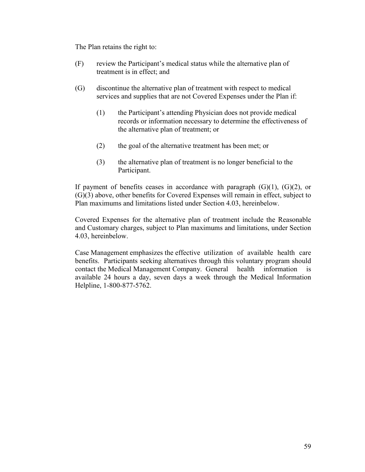The Plan retains the right to:

- (F) review the Participant's medical status while the alternative plan of treatment is in effect; and
- (G) discontinue the alternative plan of treatment with respect to medical services and supplies that are not Covered Expenses under the Plan if:
	- (1) the Participant's attending Physician does not provide medical records or information necessary to determine the effectiveness of the alternative plan of treatment; or
	- (2) the goal of the alternative treatment has been met; or
	- (3) the alternative plan of treatment is no longer beneficial to the Participant.

If payment of benefits ceases in accordance with paragraph  $(G)(1)$ ,  $(G)(2)$ , or (G)(3) above, other benefits for Covered Expenses will remain in effect, subject to Plan maximums and limitations listed under Section 4.03, hereinbelow.

 Covered Expenses for the alternative plan of treatment include the Reasonable and Customary charges, subject to Plan maximums and limitations, under Section 4.03, hereinbelow.

 Case Management emphasizes the effective utilization of available health care benefits. Participants seeking alternatives through this voluntary program should contact the Medical Management Company. General health information is available 24 hours a day, seven days a week through the Medical Information Helpline, 1-800-877-5762.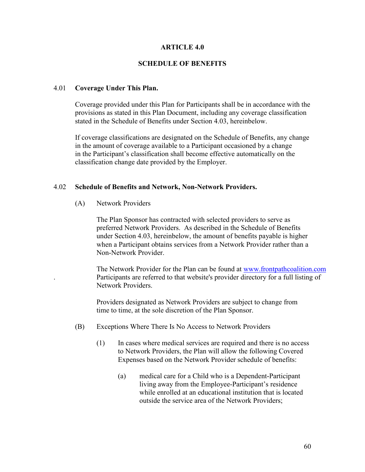#### **ARTICLE 4.0**

#### **SCHEDULE OF BENEFITS**

#### 4.01 **Coverage Under This Plan.**

 Coverage provided under this Plan for Participants shall be in accordance with the provisions as stated in this Plan Document, including any coverage classification stated in the Schedule of Benefits under Section 4.03, hereinbelow.

 If coverage classifications are designated on the Schedule of Benefits, any change in the amount of coverage available to a Participant occasioned by a change in the Participant's classification shall become effective automatically on the classification change date provided by the Employer.

#### 4.02 **Schedule of Benefits and Network, Non-Network Providers.**

(A) Network Providers

 The Plan Sponsor has contracted with selected providers to serve as preferred Network Providers. As described in the Schedule of Benefits under Section 4.03, hereinbelow, the amount of benefits payable is higher when a Participant obtains services from a Network Provider rather than a Non-Network Provider.

 The Network Provider for the Plan can be found at www.frontpathcoalition.com . Participants are referred to that website's provider directory for a full listing of Network Providers.

 Providers designated as Network Providers are subject to change from time to time, at the sole discretion of the Plan Sponsor.

- (B) Exceptions Where There Is No Access to Network Providers
	- (1) In cases where medical services are required and there is no access to Network Providers, the Plan will allow the following Covered Expenses based on the Network Provider schedule of benefits:
		- (a) medical care for a Child who is a Dependent-Participant living away from the Employee-Participant's residence while enrolled at an educational institution that is located outside the service area of the Network Providers;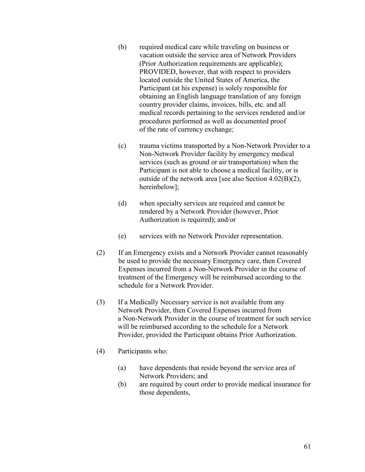- (b) required medical care while traveling on business or vacation outside the service area of Network Providers (Prior Authorization requirements are applicable); PROVIDED, however, that with respect to providers located outside the United States of America, the Participant (at his expense) is solely responsible for obtaining an English language translation of any foreign country provider claims, invoices, bills, etc. and all medical records pertaining to the services rendered and/or procedures performed as well as documented proof of the rate of currency exchange;
- (c) trauma victims transported by a Non-Network Provider to a Non-Network Provider facility by emergency medical services (such as ground or air transportation) when the Participant is not able to choose a medical facility, or is outside of the network area [see also Section 4.02(B)(2), hereinbelow];
- (d) when specialty services are required and cannot be rendered by a Network Provider (however, Prior Authorization is required); and/or
- (e) services with no Network Provider representation.
- (2) If an Emergency exists and a Network Provider cannot reasonably be used to provide the necessary Emergency care, then Covered Expenses incurred from a Non-Network Provider in the course of treatment of the Emergency will be reimbursed according to the schedule for a Network Provider.
- (3) If a Medically Necessary service is not available from any Network Provider, then Covered Expenses incurred from a Non-Network Provider in the course of treatment for such service will be reimbursed according to the schedule for a Network Provider, provided the Participant obtains Prior Authorization.
- (4) Participants who:
	- (a) have dependents that reside beyond the service area of Network Providers; and
	- (b) are required by court order to provide medical insurance for those dependents,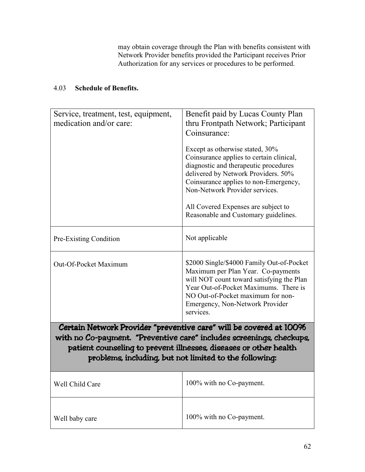may obtain coverage through the Plan with benefits consistent with Network Provider benefits provided the Participant receives Prior Authorization for any services or procedures to be performed.

# 4.03 **Schedule of Benefits.**

| Service, treatment, test, equipment,<br>medication and/or care: | Benefit paid by Lucas County Plan<br>thru Frontpath Network; Participant<br>Coinsurance:<br>Except as otherwise stated, 30%<br>Coinsurance applies to certain clinical,<br>diagnostic and therapeutic procedures<br>delivered by Network Providers. 50%<br>Coinsurance applies to non-Emergency,<br>Non-Network Provider services.<br>All Covered Expenses are subject to<br>Reasonable and Customary guidelines. |
|-----------------------------------------------------------------|-------------------------------------------------------------------------------------------------------------------------------------------------------------------------------------------------------------------------------------------------------------------------------------------------------------------------------------------------------------------------------------------------------------------|
| Pre-Existing Condition                                          | Not applicable                                                                                                                                                                                                                                                                                                                                                                                                    |
| Out-Of-Pocket Maximum                                           | \$2000 Single/\$4000 Family Out-of-Pocket<br>Maximum per Plan Year. Co-payments<br>will NOT count toward satisfying the Plan<br>Year Out-of-Pocket Maximums. There is<br>NO Out-of-Pocket maximum for non-<br>Emergency, Non-Network Provider<br>services.                                                                                                                                                        |
|                                                                 | Certain Network Provider "preventive care" will be covered at 100%                                                                                                                                                                                                                                                                                                                                                |
|                                                                 | with no Co-payment. "Preventive care" includes screenings, checkups,<br>patient counseling to prevent illnesses, diseases or other health<br>problems, including, but not limited to the following:                                                                                                                                                                                                               |
| Well Child Care                                                 | 100% with no Co-payment.                                                                                                                                                                                                                                                                                                                                                                                          |
| Well baby care                                                  | 100% with no Co-payment.                                                                                                                                                                                                                                                                                                                                                                                          |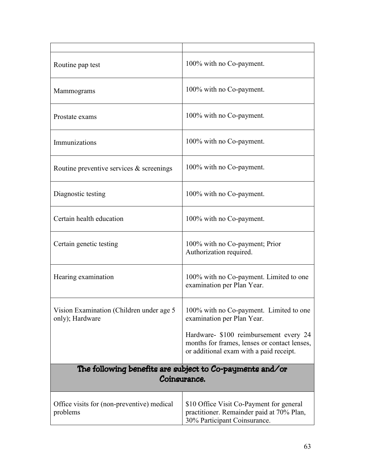| Routine pap test                                                         | 100% with no Co-payment.                                                                                                          |
|--------------------------------------------------------------------------|-----------------------------------------------------------------------------------------------------------------------------------|
| Mammograms                                                               | 100% with no Co-payment.                                                                                                          |
| Prostate exams                                                           | 100% with no Co-payment.                                                                                                          |
| Immunizations                                                            | 100% with no Co-payment.                                                                                                          |
| Routine preventive services $\&$ screenings                              | 100% with no Co-payment.                                                                                                          |
| Diagnostic testing                                                       | 100% with no Co-payment.                                                                                                          |
| Certain health education                                                 | 100% with no Co-payment.                                                                                                          |
| Certain genetic testing                                                  | 100% with no Co-payment; Prior<br>Authorization required.                                                                         |
| Hearing examination                                                      | 100% with no Co-payment. Limited to one<br>examination per Plan Year.                                                             |
| Vision Examination (Children under age 5<br>only); Hardware              | 100% with no Co-payment. Limited to one<br>examination per Plan Year.                                                             |
|                                                                          | Hardware- \$100 reimbursement every 24<br>months for frames, lenses or contact lenses,<br>or additional exam with a paid receipt. |
| The following benefits are subject to Co-payments and/or<br>Coinsurance. |                                                                                                                                   |
| Office visits for (non-preventive) medical<br>problems                   | \$10 Office Visit Co-Payment for general<br>practitioner. Remainder paid at 70% Plan,<br>30% Participant Coinsurance.             |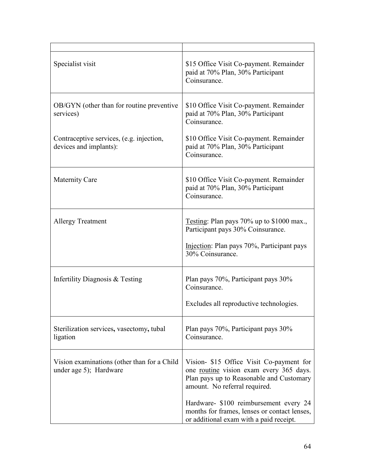| Specialist visit                                                      | \$15 Office Visit Co-payment. Remainder<br>paid at 70% Plan, 30% Participant<br>Coinsurance.                                                                                                               |
|-----------------------------------------------------------------------|------------------------------------------------------------------------------------------------------------------------------------------------------------------------------------------------------------|
| OB/GYN (other than for routine preventive<br>services)                | \$10 Office Visit Co-payment. Remainder<br>paid at 70% Plan, 30% Participant<br>Coinsurance.                                                                                                               |
| Contraceptive services, (e.g. injection,<br>devices and implants):    | \$10 Office Visit Co-payment. Remainder<br>paid at 70% Plan, 30% Participant<br>Coinsurance.                                                                                                               |
| <b>Maternity Care</b>                                                 | \$10 Office Visit Co-payment. Remainder<br>paid at 70% Plan, 30% Participant<br>Coinsurance.                                                                                                               |
| <b>Allergy Treatment</b>                                              | Testing: Plan pays $70\%$ up to \$1000 max.,<br>Participant pays 30% Coinsurance.<br>Injection: Plan pays 70%, Participant pays<br>30% Coinsurance.                                                        |
| Infertility Diagnosis & Testing                                       | Plan pays 70%, Participant pays 30%<br>Coinsurance.<br>Excludes all reproductive technologies.                                                                                                             |
| Sterilization services, vasectomy, tubal<br>ligation                  | Plan pays 70%, Participant pays 30%<br>Coinsurance.                                                                                                                                                        |
| Vision examinations (other than for a Child<br>under age 5); Hardware | Vision- \$15 Office Visit Co-payment for<br>one routine vision exam every 365 days.<br>Plan pays up to Reasonable and Customary<br>amount. No referral required.<br>Hardware- \$100 reimbursement every 24 |
|                                                                       | months for frames, lenses or contact lenses,<br>or additional exam with a paid receipt.                                                                                                                    |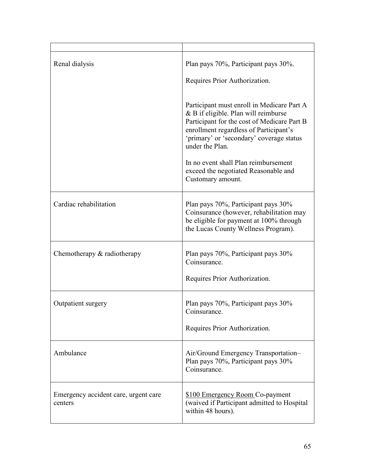| Renal dialysis                                  | Plan pays 70%, Participant pays 30%.<br>Requires Prior Authorization.                                                                                                                                                                      |
|-------------------------------------------------|--------------------------------------------------------------------------------------------------------------------------------------------------------------------------------------------------------------------------------------------|
|                                                 | Participant must enroll in Medicare Part A<br>& B if eligible. Plan will reimburse<br>Participant for the cost of Medicare Part B<br>enrollment regardless of Participant's<br>'primary' or 'secondary' coverage status<br>under the Plan. |
|                                                 | In no event shall Plan reimbursement<br>exceed the negotiated Reasonable and<br>Customary amount.                                                                                                                                          |
| Cardiac rehabilitation                          | Plan pays 70%, Participant pays 30%<br>Coinsurance (however, rehabilitation may<br>be eligible for payment at 100% through<br>the Lucas County Wellness Program).                                                                          |
| Chemotherapy $&$ radiotherapy                   | Plan pays 70%, Participant pays 30%<br>Coinsurance.<br>Requires Prior Authorization.                                                                                                                                                       |
| Outpatient surgery                              | Plan pays 70%, Participant pays 30%<br>Coinsurance.<br>Requires Prior Authorization.                                                                                                                                                       |
| Ambulance                                       | Air/Ground Emergency Transportation-<br>Plan pays 70%, Participant pays 30%<br>Coinsurance.                                                                                                                                                |
| Emergency accident care, urgent care<br>centers | \$100 Emergency Room Co-payment<br>(waived if Participant admitted to Hospital<br>within 48 hours).                                                                                                                                        |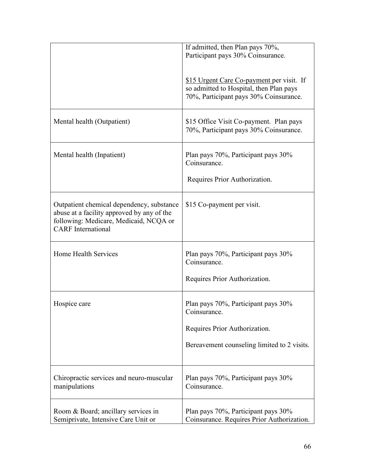|                                                                                                                                                                | If admitted, then Plan pays 70%,<br>Participant pays 30% Coinsurance.             |
|----------------------------------------------------------------------------------------------------------------------------------------------------------------|-----------------------------------------------------------------------------------|
|                                                                                                                                                                | \$15 Urgent Care Co-payment per visit. If                                         |
|                                                                                                                                                                | so admitted to Hospital, then Plan pays<br>70%, Participant pays 30% Coinsurance. |
| Mental health (Outpatient)                                                                                                                                     | \$15 Office Visit Co-payment. Plan pays<br>70%, Participant pays 30% Coinsurance. |
| Mental health (Inpatient)                                                                                                                                      | Plan pays 70%, Participant pays 30%<br>Coinsurance.                               |
|                                                                                                                                                                | Requires Prior Authorization.                                                     |
| Outpatient chemical dependency, substance<br>abuse at a facility approved by any of the<br>following: Medicare, Medicaid, NCQA or<br><b>CARF</b> International | \$15 Co-payment per visit.                                                        |
| Home Health Services                                                                                                                                           | Plan pays 70%, Participant pays 30%<br>Coinsurance.                               |
|                                                                                                                                                                | Requires Prior Authorization.                                                     |
| Hospice care                                                                                                                                                   | Plan pays 70%, Participant pays 30%<br>Coinsurance.                               |
|                                                                                                                                                                | Requires Prior Authorization.                                                     |
|                                                                                                                                                                | Bereavement counseling limited to 2 visits.                                       |
| Chiropractic services and neuro-muscular<br>manipulations                                                                                                      | Plan pays 70%, Participant pays 30%<br>Coinsurance.                               |
| Room & Board; ancillary services in<br>Semiprivate, Intensive Care Unit or                                                                                     | Plan pays 70%, Participant pays 30%<br>Coinsurance. Requires Prior Authorization. |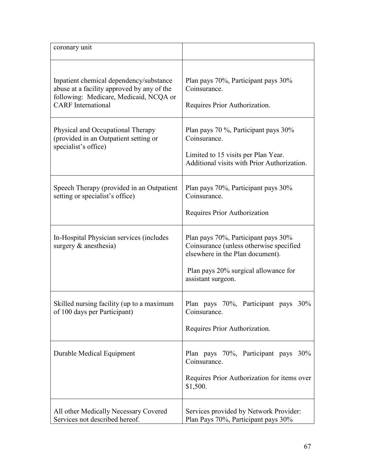| coronary unit                                                                                                                                                |                                                                                                                                                                                  |
|--------------------------------------------------------------------------------------------------------------------------------------------------------------|----------------------------------------------------------------------------------------------------------------------------------------------------------------------------------|
| Inpatient chemical dependency/substance<br>abuse at a facility approved by any of the<br>following: Medicare, Medicaid, NCQA or<br><b>CARF</b> International | Plan pays 70%, Participant pays 30%<br>Coinsurance.<br>Requires Prior Authorization.                                                                                             |
| Physical and Occupational Therapy<br>(provided in an Outpatient setting or<br>specialist's office)                                                           | Plan pays 70 %, Participant pays 30%<br>Coinsurance.<br>Limited to 15 visits per Plan Year.<br>Additional visits with Prior Authorization.                                       |
| Speech Therapy (provided in an Outpatient<br>setting or specialist's office)                                                                                 | Plan pays 70%, Participant pays 30%<br>Coinsurance.<br>Requires Prior Authorization                                                                                              |
| In-Hospital Physician services (includes<br>surgery & anesthesia)                                                                                            | Plan pays 70%, Participant pays 30%<br>Coinsurance (unless otherwise specified<br>elsewhere in the Plan document).<br>Plan pays 20% surgical allowance for<br>assistant surgeon. |
| Skilled nursing facility (up to a maximum<br>of 100 days per Participant)                                                                                    | Plan pays 70%, Participant pays 30%<br>Coinsurance.<br>Requires Prior Authorization.                                                                                             |
| Durable Medical Equipment                                                                                                                                    | Plan pays 70%, Participant pays 30%<br>Coinsurance.<br>Requires Prior Authorization for items over<br>\$1,500.                                                                   |
| All other Medically Necessary Covered<br>Services not described hereof.                                                                                      | Services provided by Network Provider:<br>Plan Pays 70%, Participant pays 30%                                                                                                    |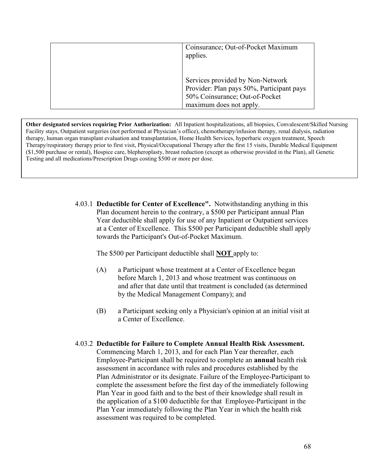| Coinsurance; Out-of-Pocket Maximum<br>applies.                                                                                             |
|--------------------------------------------------------------------------------------------------------------------------------------------|
| Services provided by Non-Network<br>Provider: Plan pays 50%, Participant pays<br>50% Coinsurance; Out-of-Pocket<br>maximum does not apply. |

**Other designated services requiring Prior Authorization:** All Inpatient hospitalizations, all biopsies, Convalescent/Skilled Nursing Facility stays, Outpatient surgeries (not performed at Physician's office), chemotherapy/infusion therapy, renal dialysis, radiation therapy, human organ transplant evaluation and transplantation, Home Health Services, hyperbaric oxygen treatment, Speech Therapy/respiratory therapy prior to first visit, Physical/Occupational Therapy after the first 15 visits, Durable Medical Equipment (\$1,500 purchase or rental), Hospice care, blepheroplasty, breast reduction (except as otherwise provided in the Plan), all Genetic Testing and all medications/Prescription Drugs costing \$500 or more per dose.

> 4.03.1 **Deductible for Center of Excellence".** Notwithstanding anything in this Plan document herein to the contrary, a \$500 per Participant annual Plan Year deductible shall apply for use of any Inpatient or Outpatient services at a Center of Excellence. This \$500 per Participant deductible shall apply towards the Participant's Out-of-Pocket Maximum.

The \$500 per Participant deductible shall **NOT** apply to:

- (A) a Participant whose treatment at a Center of Excellence began before March 1, 2013 and whose treatment was continuous on and after that date until that treatment is concluded (as determined by the Medical Management Company); and
- (B) a Participant seeking only a Physician's opinion at an initial visit at a Center of Excellence.
- 4.03.2 **Deductible for Failure to Complete Annual Health Risk Assessment.** Commencing March 1, 2013, and for each Plan Year thereafter, each Employee-Participant shall be required to complete an **annual** health risk assessment in accordance with rules and procedures established by the Plan Administrator or its designate. Failure of the Employee-Participant to complete the assessment before the first day of the immediately following Plan Year in good faith and to the best of their knowledge shall result in the application of a \$100 deductible for that Employee-Participant in the Plan Year immediately following the Plan Year in which the health risk assessment was required to be completed.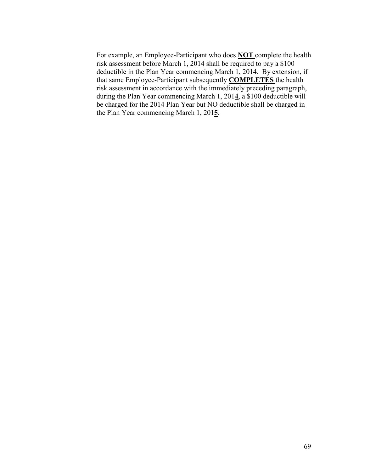For example, an Employee-Participant who does **NOT** complete the health risk assessment before March 1, 2014 shall be required to pay a \$100 deductible in the Plan Year commencing March 1, 2014. By extension, if that same Employee-Participant subsequently **COMPLETES** the health risk assessment in accordance with the immediately preceding paragraph, during the Plan Year commencing March 1, 201**4**, a \$100 deductible will be charged for the 2014 Plan Year but NO deductible shall be charged in the Plan Year commencing March 1, 201**5**.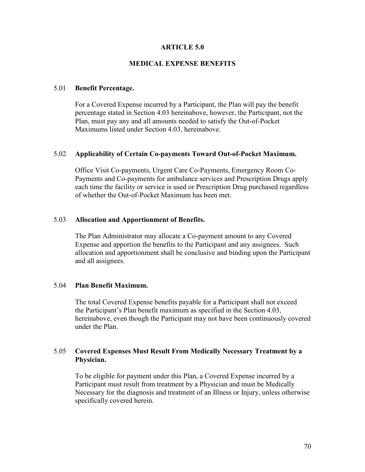#### **ARTICLE 5.0**

#### **MEDICAL EXPENSE BENEFITS**

#### 5.01 **Benefit Percentage.**

 For a Covered Expense incurred by a Participant, the Plan will pay the benefit percentage stated in Section 4.03 hereinabove, however, the Participant, not the Plan, must pay any and all amounts needed to satisfy the Out-of-Pocket Maximums listed under Section 4.03, hereinabove.

#### 5.02 **Applicability of Certain Co-payments Toward Out-of-Pocket Maximum.**

Office Visit Co-payments, Urgent Care Co-Payments, Emergency Room Co- Payments and Co-payments for ambulance services and Prescription Drugs apply each time the facility or service is used or Prescription Drug purchased regardless of whether the Out-of-Pocket Maximum has been met.

#### 5.03 **Allocation and Apportionment of Benefits.**

 The Plan Administrator may allocate a Co-payment amount to any Covered Expense and apportion the benefits to the Participant and any assignees. Such allocation and apportionment shall be conclusive and binding upon the Participant and all assignees.

#### 5.04 **Plan Benefit Maximum.**

 The total Covered Expense benefits payable for a Participant shall not exceed the Participant's Plan benefit maximum as specified in the Section 4.03, hereinabove, even though the Participant may not have been continuously covered under the Plan.

#### 5.05 **Covered Expenses Must Result From Medically Necessary Treatment by a Physician.**

 To be eligible for payment under this Plan, a Covered Expense incurred by a Participant must result from treatment by a Physician and must be Medically Necessary for the diagnosis and treatment of an Illness or Injury, unless otherwise specifically covered herein.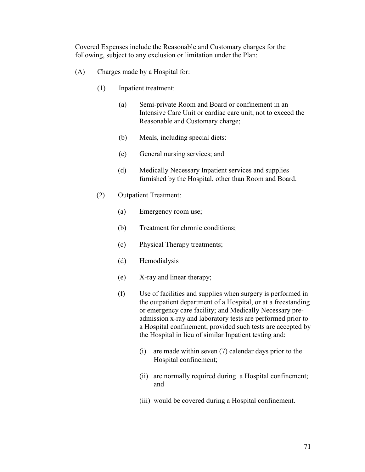Covered Expenses include the Reasonable and Customary charges for the following, subject to any exclusion or limitation under the Plan:

- (A) Charges made by a Hospital for:
	- (1) Inpatient treatment:
		- (a) Semi-private Room and Board or confinement in an Intensive Care Unit or cardiac care unit, not to exceed the Reasonable and Customary charge;
		- (b) Meals, including special diets:
		- (c) General nursing services; and
		- (d) Medically Necessary Inpatient services and supplies furnished by the Hospital, other than Room and Board.
	- (2) Outpatient Treatment:
		- (a) Emergency room use;
		- (b) Treatment for chronic conditions;
		- (c) Physical Therapy treatments;
		- (d) Hemodialysis
		- (e) X-ray and linear therapy;
		- (f) Use of facilities and supplies when surgery is performed in the outpatient department of a Hospital, or at a freestanding or emergency care facility; and Medically Necessary pre admission x-ray and laboratory tests are performed prior to a Hospital confinement, provided such tests are accepted by the Hospital in lieu of similar Inpatient testing and:
			- (i) are made within seven (7) calendar days prior to the Hospital confinement;
			- (ii) are normally required during a Hospital confinement; and
			- (iii) would be covered during a Hospital confinement.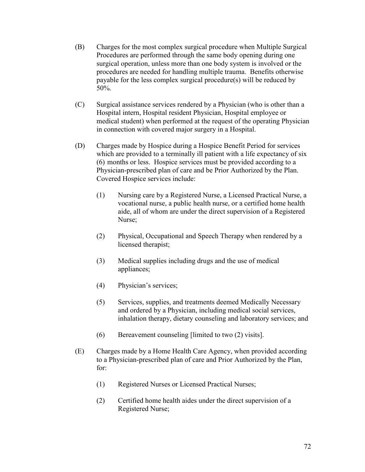- (B) Charges for the most complex surgical procedure when Multiple Surgical Procedures are performed through the same body opening during one surgical operation, unless more than one body system is involved or the procedures are needed for handling multiple trauma. Benefits otherwise payable for the less complex surgical procedure(s) will be reduced by 50%.
- (C) Surgical assistance services rendered by a Physician (who is other than a Hospital intern, Hospital resident Physician, Hospital employee or medical student) when performed at the request of the operating Physician in connection with covered major surgery in a Hospital.
- (D) Charges made by Hospice during a Hospice Benefit Period for services which are provided to a terminally ill patient with a life expectancy of six (6) months or less. Hospice services must be provided according to a Physician-prescribed plan of care and be Prior Authorized by the Plan. Covered Hospice services include:
	- (1) Nursing care by a Registered Nurse, a Licensed Practical Nurse, a vocational nurse, a public health nurse, or a certified home health aide, all of whom are under the direct supervision of a Registered Nurse;
	- (2) Physical, Occupational and Speech Therapy when rendered by a licensed therapist;
	- (3) Medical supplies including drugs and the use of medical appliances;
	- (4) Physician's services;
	- (5) Services, supplies, and treatments deemed Medically Necessary and ordered by a Physician, including medical social services, inhalation therapy, dietary counseling and laboratory services; and
	- (6) Bereavement counseling [limited to two (2) visits].
- (E) Charges made by a Home Health Care Agency, when provided according to a Physician-prescribed plan of care and Prior Authorized by the Plan, for:
	- (1) Registered Nurses or Licensed Practical Nurses;
	- (2) Certified home health aides under the direct supervision of a Registered Nurse;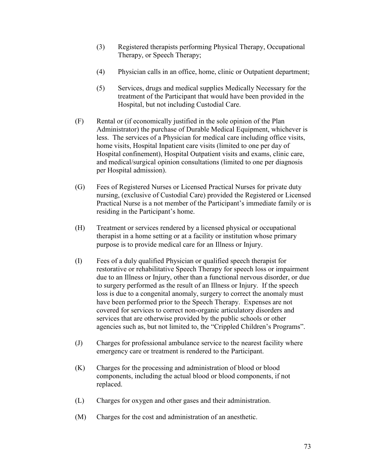- (3) Registered therapists performing Physical Therapy, Occupational Therapy, or Speech Therapy;
- (4) Physician calls in an office, home, clinic or Outpatient department;
- (5) Services, drugs and medical supplies Medically Necessary for the treatment of the Participant that would have been provided in the Hospital, but not including Custodial Care.
- (F) Rental or (if economically justified in the sole opinion of the Plan Administrator) the purchase of Durable Medical Equipment, whichever is less. The services of a Physician for medical care including office visits, home visits, Hospital Inpatient care visits (limited to one per day of Hospital confinement), Hospital Outpatient visits and exams, clinic care, and medical/surgical opinion consultations (limited to one per diagnosis per Hospital admission).
- (G) Fees of Registered Nurses or Licensed Practical Nurses for private duty nursing, (exclusive of Custodial Care) provided the Registered or Licensed Practical Nurse is a not member of the Participant's immediate family or is residing in the Participant's home.
- (H) Treatment or services rendered by a licensed physical or occupational therapist in a home setting or at a facility or institution whose primary purpose is to provide medical care for an Illness or Injury.
- (I) Fees of a duly qualified Physician or qualified speech therapist for restorative or rehabilitative Speech Therapy for speech loss or impairment due to an Illness or Injury, other than a functional nervous disorder, or due to surgery performed as the result of an Illness or Injury. If the speech loss is due to a congenital anomaly, surgery to correct the anomaly must have been performed prior to the Speech Therapy. Expenses are not covered for services to correct non-organic articulatory disorders and services that are otherwise provided by the public schools or other agencies such as, but not limited to, the "Crippled Children's Programs".
- (J) Charges for professional ambulance service to the nearest facility where emergency care or treatment is rendered to the Participant.
- (K) Charges for the processing and administration of blood or blood components, including the actual blood or blood components, if not replaced.
- (L) Charges for oxygen and other gases and their administration.
- (M) Charges for the cost and administration of an anesthetic.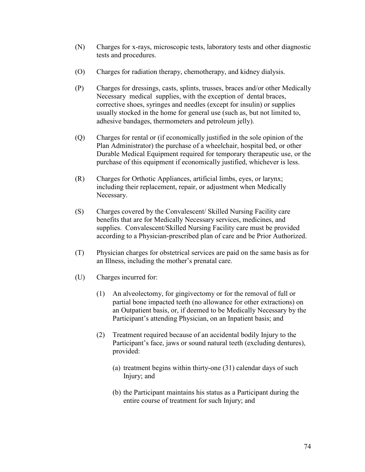- (N) Charges for x-rays, microscopic tests, laboratory tests and other diagnostic tests and procedures.
- (O) Charges for radiation therapy, chemotherapy, and kidney dialysis.
- (P) Charges for dressings, casts, splints, trusses, braces and/or other Medically Necessary medical supplies, with the exception of dental braces, corrective shoes, syringes and needles (except for insulin) or supplies usually stocked in the home for general use (such as, but not limited to, adhesive bandages, thermometers and petroleum jelly).
- (Q) Charges for rental or (if economically justified in the sole opinion of the Plan Administrator) the purchase of a wheelchair, hospital bed, or other Durable Medical Equipment required for temporary therapeutic use, or the purchase of this equipment if economically justified, whichever is less.
- (R) Charges for Orthotic Appliances, artificial limbs, eyes, or larynx; including their replacement, repair, or adjustment when Medically Necessary.
- (S) Charges covered by the Convalescent/ Skilled Nursing Facility care benefits that are for Medically Necessary services, medicines, and supplies. Convalescent/Skilled Nursing Facility care must be provided according to a Physician-prescribed plan of care and be Prior Authorized.
- (T) Physician charges for obstetrical services are paid on the same basis as for an Illness, including the mother's prenatal care.
- (U) Charges incurred for:
	- (1) An alveolectomy, for gingivectomy or for the removal of full or partial bone impacted teeth (no allowance for other extractions) on an Outpatient basis, or, if deemed to be Medically Necessary by the Participant's attending Physician, on an Inpatient basis; and
	- (2) Treatment required because of an accidental bodily Injury to the Participant's face, jaws or sound natural teeth (excluding dentures), provided:
		- (a) treatment begins within thirty-one (31) calendar days of such Injury; and
		- (b) the Participant maintains his status as a Participant during the entire course of treatment for such Injury; and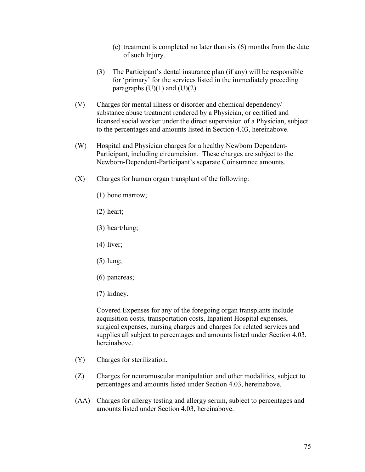- (c) treatment is completed no later than six (6) months from the date of such Injury.
- (3) The Participant's dental insurance plan (if any) will be responsible for 'primary' for the services listed in the immediately preceding paragraphs  $(U)(1)$  and  $(U)(2)$ .
- (V) Charges for mental illness or disorder and chemical dependency/ substance abuse treatment rendered by a Physician, or certified and licensed social worker under the direct supervision of a Physician, subject to the percentages and amounts listed in Section 4.03, hereinabove.
- (W) Hospital and Physician charges for a healthy Newborn Dependent- Participant, including circumcision. These charges are subject to the Newborn-Dependent-Participant's separate Coinsurance amounts.
- (X) Charges for human organ transplant of the following:
	- (1) bone marrow;
	- (2) heart;
	- (3) heart/lung;
	- (4) liver;
	- (5) lung;
	- (6) pancreas;
	- (7) kidney.

 Covered Expenses for any of the foregoing organ transplants include acquisition costs, transportation costs, Inpatient Hospital expenses, surgical expenses, nursing charges and charges for related services and supplies all subject to percentages and amounts listed under Section 4.03, hereinabove.

- (Y) Charges for sterilization.
- (Z) Charges for neuromuscular manipulation and other modalities, subject to percentages and amounts listed under Section 4.03, hereinabove.
- (AA) Charges for allergy testing and allergy serum, subject to percentages and amounts listed under Section 4.03, hereinabove.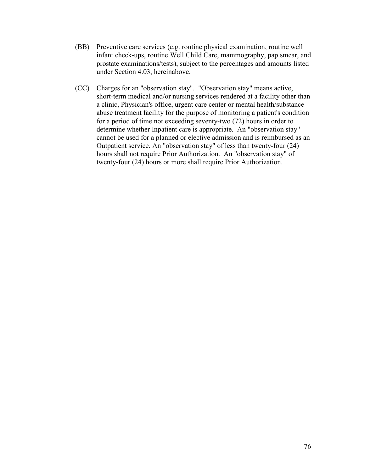- (BB) Preventive care services (e.g. routine physical examination, routine well infant check-ups, routine Well Child Care, mammography, pap smear, and prostate examinations/tests), subject to the percentages and amounts listed under Section 4.03, hereinabove.
- (CC) Charges for an "observation stay". "Observation stay" means active, short-term medical and/or nursing services rendered at a facility other than a clinic, Physician's office, urgent care center or mental health/substance abuse treatment facility for the purpose of monitoring a patient's condition for a period of time not exceeding seventy-two (72) hours in order to determine whether Inpatient care is appropriate. An "observation stay" cannot be used for a planned or elective admission and is reimbursed as an Outpatient service. An "observation stay" of less than twenty-four (24) hours shall not require Prior Authorization. An "observation stay" of twenty-four (24) hours or more shall require Prior Authorization.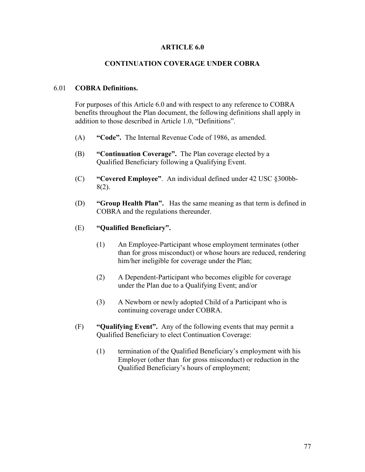## **ARTICLE 6.0**

## **CONTINUATION COVERAGE UNDER COBRA**

## 6.01 **COBRA Definitions.**

 For purposes of this Article 6.0 and with respect to any reference to COBRA benefits throughout the Plan document, the following definitions shall apply in addition to those described in Article 1.0, "Definitions".

- (A) **"Code".** The Internal Revenue Code of 1986, as amended.
- (B) **"Continuation Coverage".** The Plan coverage elected by a Qualified Beneficiary following a Qualifying Event.
- (C) **"Covered Employee"**. An individual defined under 42 USC §300bb- 8(2).
- (D) **"Group Health Plan".** Has the same meaning as that term is defined in COBRA and the regulations thereunder.

## (E) **"Qualified Beneficiary".**

- (1) An Employee-Participant whose employment terminates (other than for gross misconduct) or whose hours are reduced, rendering him/her ineligible for coverage under the Plan;
- (2) A Dependent-Participant who becomes eligible for coverage under the Plan due to a Qualifying Event; and/or
- (3) A Newborn or newly adopted Child of a Participant who is continuing coverage under COBRA.
- (F) **"Qualifying Event".** Any of the following events that may permit a Qualified Beneficiary to elect Continuation Coverage:
	- (1) termination of the Qualified Beneficiary's employment with his Employer (other than for gross misconduct) or reduction in the Qualified Beneficiary's hours of employment;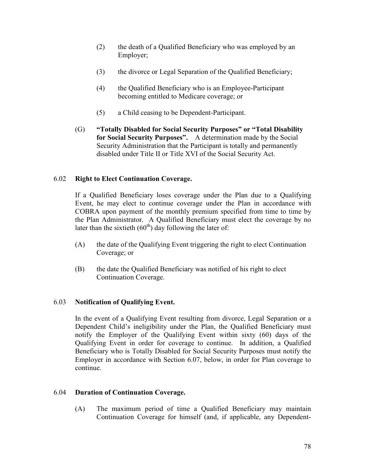- (2) the death of a Qualified Beneficiary who was employed by an Employer;
- (3) the divorce or Legal Separation of the Qualified Beneficiary;
- (4) the Qualified Beneficiary who is an Employee-Participant becoming entitled to Medicare coverage; or
- (5) a Child ceasing to be Dependent-Participant.
- (G) **"Totally Disabled for Social Security Purposes" or "Total Disability for Social Security Purposes".** A determination made by the Social Security Administration that the Participant is totally and permanently disabled under Title II or Title XVI of the Social Security Act.

# 6.02 **Right to Elect Continuation Coverage.**

 If a Qualified Beneficiary loses coverage under the Plan due to a Qualifying Event, he may elect to continue coverage under the Plan in accordance with COBRA upon payment of the monthly premium specified from time to time by the Plan Administrator. A Qualified Beneficiary must elect the coverage by no later than the sixtieth  $(60<sup>th</sup>)$  day following the later of:

- (A) the date of the Qualifying Event triggering the right to elect Continuation Coverage; or
- (B) the date the Qualified Beneficiary was notified of his right to elect Continuation Coverage.

# 6.03 **Notification of Qualifying Event.**

 In the event of a Qualifying Event resulting from divorce, Legal Separation or a Dependent Child's ineligibility under the Plan, the Qualified Beneficiary must notify the Employer of the Qualifying Event within sixty (60) days of the Qualifying Event in order for coverage to continue. In addition, a Qualified Beneficiary who is Totally Disabled for Social Security Purposes must notify the Employer in accordance with Section 6.07, below, in order for Plan coverage to continue.

## 6.04 **Duration of Continuation Coverage.**

 (A) The maximum period of time a Qualified Beneficiary may maintain Continuation Coverage for himself (and, if applicable, any Dependent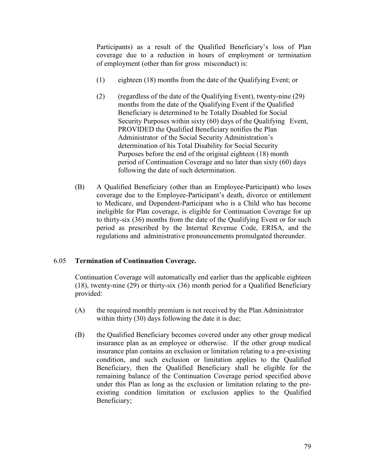Participants) as a result of the Qualified Beneficiary's loss of Plan coverage due to a reduction in hours of employment or termination of employment (other than for gross misconduct) is:

- (1) eighteen (18) months from the date of the Qualifying Event; or
- (2) (regardless of the date of the Qualifying Event), twenty-nine (29) months from the date of the Qualifying Event if the Qualified Beneficiary is determined to be Totally Disabled for Social Security Purposes within sixty (60) days of the Qualifying Event, PROVIDED the Qualified Beneficiary notifies the Plan Administrator of the Social Security Administration's determination of his Total Disability for Social Security Purposes before the end of the original eighteen (18) month period of Continuation Coverage and no later than sixty (60) days following the date of such determination.
- (B) A Qualified Beneficiary (other than an Employee-Participant) who loses coverage due to the Employee-Participant's death, divorce or entitlement to Medicare, and Dependent-Participant who is a Child who has become ineligible for Plan coverage, is eligible for Continuation Coverage for up to thirty-six (36) months from the date of the Qualifying Event or for such period as prescribed by the Internal Revenue Code, ERISA, and the regulations and administrative pronouncements promulgated thereunder.

## 6.05 **Termination of Continuation Coverage.**

 Continuation Coverage will automatically end earlier than the applicable eighteen (18), twenty-nine (29) or thirty-six (36) month period for a Qualified Beneficiary provided:

- (A) the required monthly premium is not received by the Plan Administrator within thirty (30) days following the date it is due;
- (B) the Qualified Beneficiary becomes covered under any other group medical insurance plan as an employee or otherwise. If the other group medical insurance plan contains an exclusion or limitation relating to a pre-existing condition, and such exclusion or limitation applies to the Qualified Beneficiary, then the Qualified Beneficiary shall be eligible for the remaining balance of the Continuation Coverage period specified above under this Plan as long as the exclusion or limitation relating to the pre existing condition limitation or exclusion applies to the Qualified Beneficiary;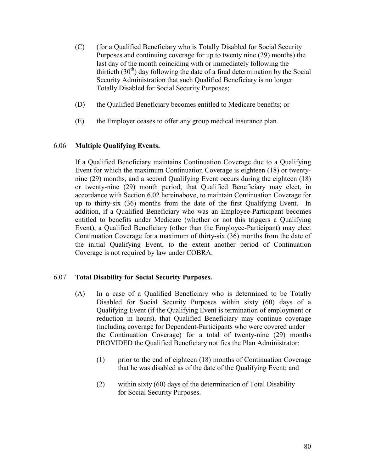- (C) (for a Qualified Beneficiary who is Totally Disabled for Social Security Purposes and continuing coverage for up to twenty nine (29) months) the last day of the month coinciding with or immediately following the thirtieth  $(30<sup>th</sup>)$  day following the date of a final determination by the Social Security Administration that such Qualified Beneficiary is no longer Totally Disabled for Social Security Purposes;
- (D) the Qualified Beneficiary becomes entitled to Medicare benefits; or
- (E) the Employer ceases to offer any group medical insurance plan.

# 6.06 **Multiple Qualifying Events.**

 If a Qualified Beneficiary maintains Continuation Coverage due to a Qualifying Event for which the maximum Continuation Coverage is eighteen (18) or twenty nine (29) months, and a second Qualifying Event occurs during the eighteen (18) or twenty-nine (29) month period, that Qualified Beneficiary may elect, in accordance with Section 6.02 hereinabove, to maintain Continuation Coverage for up to thirty-six (36) months from the date of the first Qualifying Event. In addition, if a Qualified Beneficiary who was an Employee-Participant becomes entitled to benefits under Medicare (whether or not this triggers a Qualifying Event), a Qualified Beneficiary (other than the Employee-Participant) may elect Continuation Coverage for a maximum of thirty-six (36) months from the date of the initial Qualifying Event, to the extent another period of Continuation Coverage is not required by law under COBRA.

## 6.07 **Total Disability for Social Security Purposes.**

- (A) In a case of a Qualified Beneficiary who is determined to be Totally Disabled for Social Security Purposes within sixty (60) days of a Qualifying Event (if the Qualifying Event is termination of employment or reduction in hours), that Qualified Beneficiary may continue coverage (including coverage for Dependent-Participants who were covered under the Continuation Coverage) for a total of twenty-nine (29) months PROVIDED the Qualified Beneficiary notifies the Plan Administrator:
	- (1) prior to the end of eighteen (18) months of Continuation Coverage that he was disabled as of the date of the Qualifying Event; and
	- (2) within sixty (60) days of the determination of Total Disability for Social Security Purposes.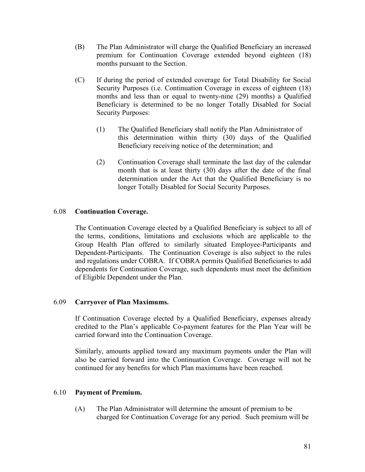- (B) The Plan Administrator will charge the Qualified Beneficiary an increased premium for Continuation Coverage extended beyond eighteen (18) months pursuant to the Section.
- (C) If during the period of extended coverage for Total Disability for Social Security Purposes (i.e. Continuation Coverage in excess of eighteen (18) months and less than or equal to twenty-nine (29) months) a Qualified Beneficiary is determined to be no longer Totally Disabled for Social Security Purposes:
	- (1) The Qualified Beneficiary shall notify the Plan Administrator of this determination within thirty (30) days of the Qualified Beneficiary receiving notice of the determination; and
	- (2) Continuation Coverage shall terminate the last day of the calendar month that is at least thirty (30) days after the date of the final determination under the Act that the Qualified Beneficiary is no longer Totally Disabled for Social Security Purposes.

## 6.08 **Continuation Coverage.**

 The Continuation Coverage elected by a Qualified Beneficiary is subject to all of the terms, conditions, limitations and exclusions which are applicable to the Group Health Plan offered to similarly situated Employee-Participants and Dependent-Participants. The Continuation Coverage is also subject to the rules and regulations under COBRA. If COBRA permits Qualified Beneficiaries to add dependents for Continuation Coverage, such dependents must meet the definition of Eligible Dependent under the Plan.

## 6.09 **Carryover of Plan Maximums.**

 If Continuation Coverage elected by a Qualified Beneficiary, expenses already credited to the Plan's applicable Co-payment features for the Plan Year will be carried forward into the Continuation Coverage.

 Similarly, amounts applied toward any maximum payments under the Plan will also be carried forward into the Continuation Coverage. Coverage will not be continued for any benefits for which Plan maximums have been reached.

## 6.10 **Payment of Premium.**

(A) The Plan Administrator will determine the amount of premium to be charged for Continuation Coverage for any period. Such premium will be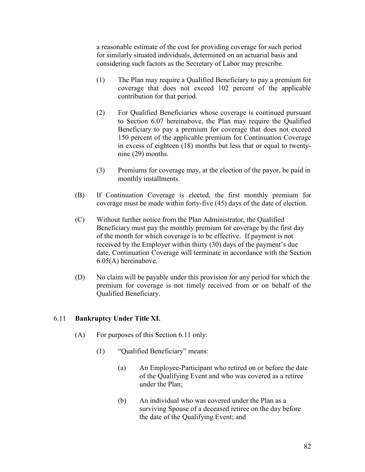a reasonable estimate of the cost for providing coverage for such period for similarly situated individuals, determined on an actuarial basis and considering such factors as the Secretary of Labor may prescribe.

- (1) The Plan may require a Qualified Beneficiary to pay a premium for coverage that does not exceed 102 percent of the applicable contribution for that period.
- (2) For Qualified Beneficiaries whose coverage is continued pursuant to Section 6.07 hereinabove, the Plan may require the Qualified Beneficiary to pay a premium for coverage that does not exceed 150 percent of the applicable premium for Continuation Coverage in excess of eighteen (18) months but less that or equal to twenty nine (29) months.
- (3) Premiums for coverage may, at the election of the payor, be paid in monthly installments.
- (B) If Continuation Coverage is elected, the first monthly premium for coverage must be made within forty-five (45) days of the date of election.
- (C) Without further notice from the Plan Administrator, the Qualified Beneficiary must pay the monthly premium for coverage by the first day of the month for which coverage is to be effective. If payment is not received by the Employer within thirty (30) days of the payment's due date, Continuation Coverage will terminate in accordance with the Section 6.05(A) hereinabove.
- (D) No claim will be payable under this provision for any period for which the premium for coverage is not timely received from or on behalf of the Qualified Beneficiary.

## 6.11 **Bankruptcy Under Title XI.**

- (A) For purposes of this Section 6.11 only:
	- (1) "Qualified Beneficiary" means:
		- (a) An Employee-Participant who retired on or before the date of the Qualifying Event and who was covered as a retiree under the Plan;
		- (b) An individual who was covered under the Plan as a surviving Spouse of a deceased retiree on the day before the date of the Qualifying Event; and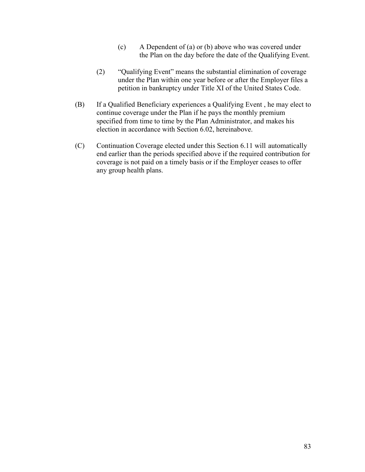- (c) A Dependent of (a) or (b) above who was covered under the Plan on the day before the date of the Qualifying Event.
- (2) "Qualifying Event" means the substantial elimination of coverage under the Plan within one year before or after the Employer files a petition in bankruptcy under Title XI of the United States Code.
- (B) If a Qualified Beneficiary experiences a Qualifying Event , he may elect to continue coverage under the Plan if he pays the monthly premium specified from time to time by the Plan Administrator, and makes his election in accordance with Section 6.02, hereinabove.
- (C) Continuation Coverage elected under this Section 6.11 will automatically end earlier than the periods specified above if the required contribution for coverage is not paid on a timely basis or if the Employer ceases to offer any group health plans.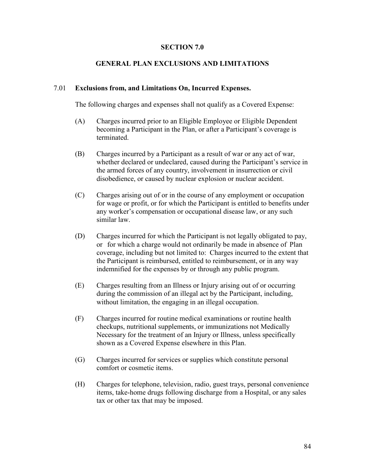## **SECTION 7.0**

## **GENERAL PLAN EXCLUSIONS AND LIMITATIONS**

#### 7.01 **Exclusions from, and Limitations On, Incurred Expenses.**

The following charges and expenses shall not qualify as a Covered Expense:

- (A) Charges incurred prior to an Eligible Employee or Eligible Dependent becoming a Participant in the Plan, or after a Participant's coverage is terminated.
- (B) Charges incurred by a Participant as a result of war or any act of war, whether declared or undeclared, caused during the Participant's service in the armed forces of any country, involvement in insurrection or civil disobedience, or caused by nuclear explosion or nuclear accident.
- (C) Charges arising out of or in the course of any employment or occupation for wage or profit, or for which the Participant is entitled to benefits under any worker's compensation or occupational disease law, or any such similar law.
- (D) Charges incurred for which the Participant is not legally obligated to pay, or for which a charge would not ordinarily be made in absence of Plan coverage, including but not limited to: Charges incurred to the extent that the Participant is reimbursed, entitled to reimbursement, or in any way indemnified for the expenses by or through any public program.
- (E) Charges resulting from an Illness or Injury arising out of or occurring during the commission of an illegal act by the Participant, including, without limitation, the engaging in an illegal occupation.
- (F) Charges incurred for routine medical examinations or routine health checkups, nutritional supplements, or immunizations not Medically Necessary for the treatment of an Injury or Illness, unless specifically shown as a Covered Expense elsewhere in this Plan.
- (G) Charges incurred for services or supplies which constitute personal comfort or cosmetic items.
- (H) Charges for telephone, television, radio, guest trays, personal convenience items, take-home drugs following discharge from a Hospital, or any sales tax or other tax that may be imposed.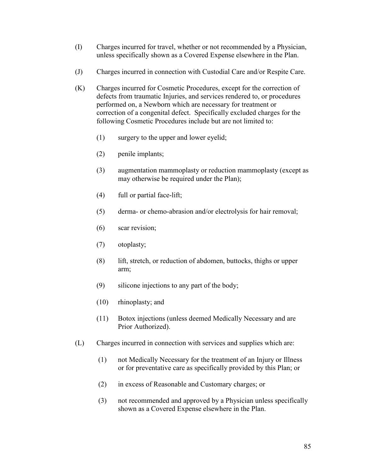- (I) Charges incurred for travel, whether or not recommended by a Physician, unless specifically shown as a Covered Expense elsewhere in the Plan.
- (J) Charges incurred in connection with Custodial Care and/or Respite Care.
- (K) Charges incurred for Cosmetic Procedures, except for the correction of defects from traumatic Injuries, and services rendered to, or procedures performed on, a Newborn which are necessary for treatment or correction of a congenital defect. Specifically excluded charges for the following Cosmetic Procedures include but are not limited to:
	- (1) surgery to the upper and lower eyelid;
	- (2) penile implants;
	- (3) augmentation mammoplasty or reduction mammoplasty (except as may otherwise be required under the Plan);
	- (4) full or partial face-lift;
	- (5) derma- or chemo-abrasion and/or electrolysis for hair removal;
	- (6) scar revision;
	- (7) otoplasty;
	- (8) lift, stretch, or reduction of abdomen, buttocks, thighs or upper arm;
	- (9) silicone injections to any part of the body;
	- (10) rhinoplasty; and
	- (11) Botox injections (unless deemed Medically Necessary and are Prior Authorized).
- (L) Charges incurred in connection with services and supplies which are:
	- (1) not Medically Necessary for the treatment of an Injury or Illness or for preventative care as specifically provided by this Plan; or
	- (2) in excess of Reasonable and Customary charges; or
	- (3) not recommended and approved by a Physician unless specifically shown as a Covered Expense elsewhere in the Plan.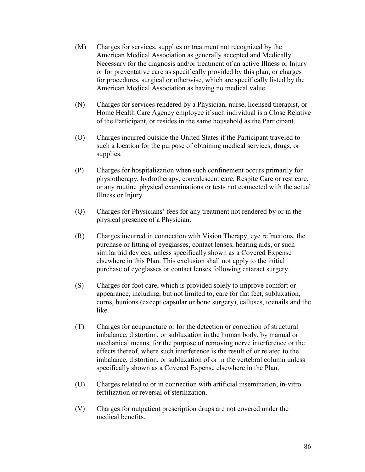- (M) Charges for services, supplies or treatment not recognized by the American Medical Association as generally accepted and Medically Necessary for the diagnosis and/or treatment of an active Illness or Injury or for preventative care as specifically provided by this plan; or charges for procedures, surgical or otherwise, which are specifically listed by the American Medical Association as having no medical value.
- (N) Charges for services rendered by a Physician, nurse, licensed therapist, or Home Health Care Agency employee if such individual is a Close Relative of the Participant, or resides in the same household as the Participant.
- (O) Charges incurred outside the United States if the Participant traveled to such a location for the purpose of obtaining medical services, drugs, or supplies.
- (P) Charges for hospitalization when such confinement occurs primarily for physiotherapy, hydrotherapy, convalescent care, Respite Care or rest care, or any routine physical examinations or tests not connected with the actual Illness or Injury.
- (Q) Charges for Physicians' fees for any treatment not rendered by or in the physical presence of a Physician.
- (R) Charges incurred in connection with Vision Therapy, eye refractions, the purchase or fitting of eyeglasses, contact lenses, hearing aids, or such similar aid devices, unless specifically shown as a Covered Expense elsewhere in this Plan. This exclusion shall not apply to the initial purchase of eyeglasses or contact lenses following cataract surgery.
- (S) Charges for foot care, which is provided solely to improve comfort or appearance, including, but not limited to, care for flat feet, subluxation, corns, bunions (except capsular or bone surgery), calluses, toenails and the like.
- (T) Charges for acupuncture or for the detection or correction of structural imbalance, distortion, or subluxation in the human body, by manual or mechanical means, for the purpose of removing nerve interference or the effects thereof, where such interference is the result of or related to the imbalance, distortion, or subluxation of or in the vertebral column unless specifically shown as a Covered Expense elsewhere in the Plan.
- (U) Charges related to or in connection with artificial insemination, in-vitro fertilization or reversal of sterilization.
- (V) Charges for outpatient prescription drugs are not covered under the medical benefits.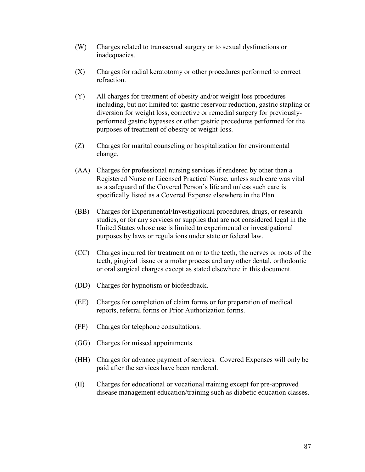- (W) Charges related to transsexual surgery or to sexual dysfunctions or inadequacies.
- (X) Charges for radial keratotomy or other procedures performed to correct refraction.
- (Y) All charges for treatment of obesity and/or weight loss procedures including, but not limited to: gastric reservoir reduction, gastric stapling or diversion for weight loss, corrective or remedial surgery for previously performed gastric bypasses or other gastric procedures performed for the purposes of treatment of obesity or weight-loss.
- (Z) Charges for marital counseling or hospitalization for environmental change.
- (AA) Charges for professional nursing services if rendered by other than a Registered Nurse or Licensed Practical Nurse, unless such care was vital as a safeguard of the Covered Person's life and unless such care is specifically listed as a Covered Expense elsewhere in the Plan.
- (BB) Charges for Experimental/Investigational procedures, drugs, or research studies, or for any services or supplies that are not considered legal in the United States whose use is limited to experimental or investigational purposes by laws or regulations under state or federal law.
- (CC) Charges incurred for treatment on or to the teeth, the nerves or roots of the teeth, gingival tissue or a molar process and any other dental, orthodontic or oral surgical charges except as stated elsewhere in this document.
- (DD) Charges for hypnotism or biofeedback.
- (EE) Charges for completion of claim forms or for preparation of medical reports, referral forms or Prior Authorization forms.
- (FF) Charges for telephone consultations.
- (GG) Charges for missed appointments.
- (HH) Charges for advance payment of services. Covered Expenses will only be paid after the services have been rendered.
- (II) Charges for educational or vocational training except for pre-approved disease management education/training such as diabetic education classes.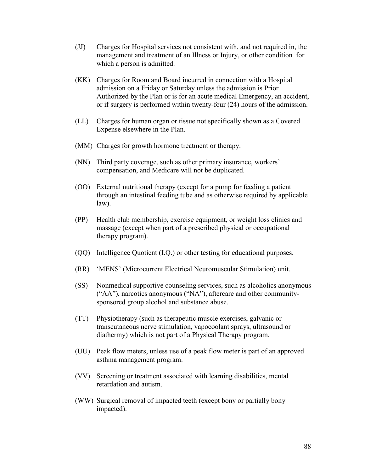- (JJ) Charges for Hospital services not consistent with, and not required in, the management and treatment of an Illness or Injury, or other condition for which a person is admitted.
- (KK) Charges for Room and Board incurred in connection with a Hospital admission on a Friday or Saturday unless the admission is Prior Authorized by the Plan or is for an acute medical Emergency, an accident, or if surgery is performed within twenty-four (24) hours of the admission.
- (LL) Charges for human organ or tissue not specifically shown as a Covered Expense elsewhere in the Plan.
- (MM) Charges for growth hormone treatment or therapy.
- (NN) Third party coverage, such as other primary insurance, workers' compensation, and Medicare will not be duplicated.
- (OO) External nutritional therapy (except for a pump for feeding a patient through an intestinal feeding tube and as otherwise required by applicable law).
- (PP) Health club membership, exercise equipment, or weight loss clinics and massage (except when part of a prescribed physical or occupational therapy program).
- (QQ) Intelligence Quotient (I.Q.) or other testing for educational purposes.
- (RR) 'MENS' (Microcurrent Electrical Neuromuscular Stimulation) unit.
- (SS) Nonmedical supportive counseling services, such as alcoholics anonymous ("AA"), narcotics anonymous ("NA"), aftercare and other community sponsored group alcohol and substance abuse.
- (TT) Physiotherapy (such as therapeutic muscle exercises, galvanic or transcutaneous nerve stimulation, vapocoolant sprays, ultrasound or diathermy) which is not part of a Physical Therapy program.
- (UU) Peak flow meters, unless use of a peak flow meter is part of an approved asthma management program.
- (VV) Screening or treatment associated with learning disabilities, mental retardation and autism.
- (WW) Surgical removal of impacted teeth (except bony or partially bony impacted).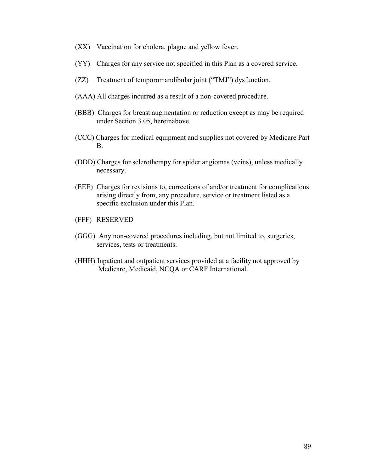- (XX) Vaccination for cholera, plague and yellow fever.
- (YY) Charges for any service not specified in this Plan as a covered service.
- (ZZ) Treatment of temporomandibular joint ("TMJ") dysfunction.
- (AAA) All charges incurred as a result of a non-covered procedure.
- (BBB) Charges for breast augmentation or reduction except as may be required under Section 3.05, hereinabove.
- (CCC) Charges for medical equipment and supplies not covered by Medicare Part B.
- (DDD) Charges for sclerotherapy for spider angiomas (veins), unless medically necessary.
- (EEE) Charges for revisions to, corrections of and/or treatment for complications arising directly from, any procedure, service or treatment listed as a specific exclusion under this Plan.
- (FFF) RESERVED
- (GGG) Any non-covered procedures including, but not limited to, surgeries, services, tests or treatments.
- (HHH) Inpatient and outpatient services provided at a facility not approved by Medicare, Medicaid, NCQA or CARF International.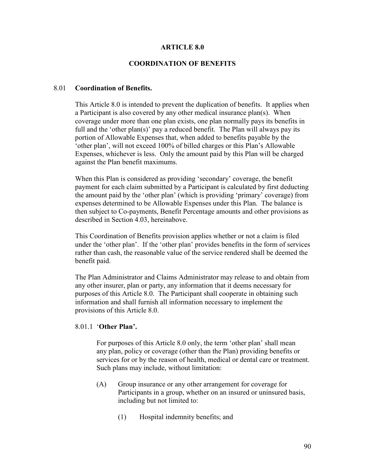## **ARTICLE 8.0**

## **COORDINATION OF BENEFITS**

#### 8.01 **Coordination of Benefits.**

 This Article 8.0 is intended to prevent the duplication of benefits. It applies when a Participant is also covered by any other medical insurance plan(s). When coverage under more than one plan exists, one plan normally pays its benefits in full and the 'other plan(s)' pay a reduced benefit. The Plan will always pay its portion of Allowable Expenses that, when added to benefits payable by the 'other plan', will not exceed 100% of billed charges or this Plan's Allowable Expenses, whichever is less. Only the amount paid by this Plan will be charged against the Plan benefit maximums.

 When this Plan is considered as providing 'secondary' coverage, the benefit payment for each claim submitted by a Participant is calculated by first deducting the amount paid by the 'other plan' (which is providing 'primary' coverage) from expenses determined to be Allowable Expenses under this Plan. The balance is then subject to Co-payments, Benefit Percentage amounts and other provisions as described in Section 4.03, hereinabove.

 This Coordination of Benefits provision applies whether or not a claim is filed under the 'other plan'. If the 'other plan' provides benefits in the form of services rather than cash, the reasonable value of the service rendered shall be deemed the benefit paid.

 The Plan Administrator and Claims Administrator may release to and obtain from any other insurer, plan or party, any information that it deems necessary for purposes of this Article 8.0. The Participant shall cooperate in obtaining such information and shall furnish all information necessary to implement the provisions of this Article 8.0.

#### 8.01.1 '**Other Plan'.**

 For purposes of this Article 8.0 only, the term 'other plan' shall mean any plan, policy or coverage (other than the Plan) providing benefits or services for or by the reason of health, medical or dental care or treatment. Such plans may include, without limitation:

- (A) Group insurance or any other arrangement for coverage for Participants in a group, whether on an insured or uninsured basis, including but not limited to:
	- (1) Hospital indemnity benefits; and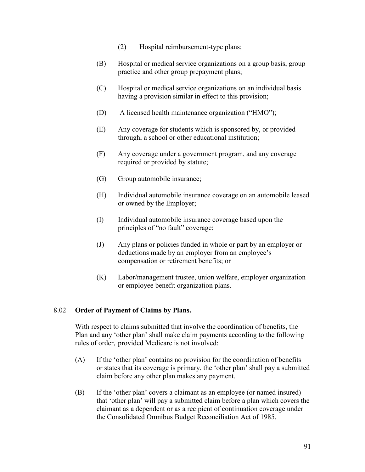- (2) Hospital reimbursement-type plans;
- (B) Hospital or medical service organizations on a group basis, group practice and other group prepayment plans;
- (C) Hospital or medical service organizations on an individual basis having a provision similar in effect to this provision;
- (D) A licensed health maintenance organization ("HMO");
- (E) Any coverage for students which is sponsored by, or provided through, a school or other educational institution;
- (F) Any coverage under a government program, and any coverage required or provided by statute;
- (G) Group automobile insurance;
- (H) Individual automobile insurance coverage on an automobile leased or owned by the Employer;
- (I) Individual automobile insurance coverage based upon the principles of "no fault" coverage;
- (J) Any plans or policies funded in whole or part by an employer or deductions made by an employer from an employee's compensation or retirement benefits; or
- (K) Labor/management trustee, union welfare, employer organization or employee benefit organization plans.

## 8.02 **Order of Payment of Claims by Plans.**

 With respect to claims submitted that involve the coordination of benefits, the Plan and any 'other plan' shall make claim payments according to the following rules of order, provided Medicare is not involved:

- (A) If the 'other plan' contains no provision for the coordination of benefits or states that its coverage is primary, the 'other plan' shall pay a submitted claim before any other plan makes any payment.
- (B) If the 'other plan' covers a claimant as an employee (or named insured) that 'other plan' will pay a submitted claim before a plan which covers the claimant as a dependent or as a recipient of continuation coverage under the Consolidated Omnibus Budget Reconciliation Act of 1985.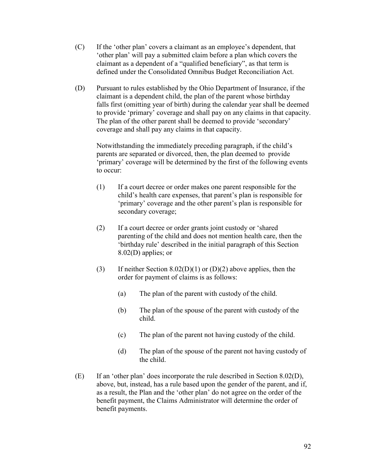- (C) If the 'other plan' covers a claimant as an employee's dependent, that 'other plan' will pay a submitted claim before a plan which covers the claimant as a dependent of a "qualified beneficiary", as that term is defined under the Consolidated Omnibus Budget Reconciliation Act.
- (D) Pursuant to rules established by the Ohio Department of Insurance, if the claimant is a dependent child, the plan of the parent whose birthday falls first (omitting year of birth) during the calendar year shall be deemed to provide 'primary' coverage and shall pay on any claims in that capacity. The plan of the other parent shall be deemed to provide 'secondary' coverage and shall pay any claims in that capacity.

 Notwithstanding the immediately preceding paragraph, if the child's parents are separated or divorced, then, the plan deemed to provide 'primary' coverage will be determined by the first of the following events to occur:

- (1) If a court decree or order makes one parent responsible for the child's health care expenses, that parent's plan is responsible for 'primary' coverage and the other parent's plan is responsible for secondary coverage;
- (2) If a court decree or order grants joint custody or 'shared parenting of the child and does not mention health care, then the 'birthday rule' described in the initial paragraph of this Section 8.02(D) applies; or
- (3) If neither Section 8.02(D)(1) or (D)(2) above applies, then the order for payment of claims is as follows:
	- (a) The plan of the parent with custody of the child.
	- (b) The plan of the spouse of the parent with custody of the child.
	- (c) The plan of the parent not having custody of the child.
	- (d) The plan of the spouse of the parent not having custody of the child.
- (E) If an 'other plan' does incorporate the rule described in Section 8.02(D), above, but, instead, has a rule based upon the gender of the parent, and if, as a result, the Plan and the 'other plan' do not agree on the order of the benefit payment, the Claims Administrator will determine the order of benefit payments.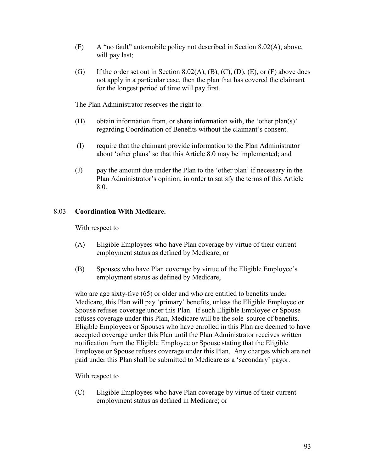- $(F)$  A "no fault" automobile policy not described in Section 8.02(A), above, will pay last;
- (G) If the order set out in Section 8.02(A), (B), (C), (D), (E), or (F) above does not apply in a particular case, then the plan that has covered the claimant for the longest period of time will pay first.

The Plan Administrator reserves the right to:

- (H) obtain information from, or share information with, the 'other plan(s)' regarding Coordination of Benefits without the claimant's consent.
- (I) require that the claimant provide information to the Plan Administrator about 'other plans' so that this Article 8.0 may be implemented; and
- (J) pay the amount due under the Plan to the 'other plan' if necessary in the Plan Administrator's opinion, in order to satisfy the terms of this Article 8.0.

# 8.03 **Coordination With Medicare.**

With respect to

- (A) Eligible Employees who have Plan coverage by virtue of their current employment status as defined by Medicare; or
- (B) Spouses who have Plan coverage by virtue of the Eligible Employee's employment status as defined by Medicare,

 who are age sixty-five (65) or older and who are entitled to benefits under Medicare, this Plan will pay 'primary' benefits, unless the Eligible Employee or Spouse refuses coverage under this Plan. If such Eligible Employee or Spouse refuses coverage under this Plan, Medicare will be the sole source of benefits. Eligible Employees or Spouses who have enrolled in this Plan are deemed to have accepted coverage under this Plan until the Plan Administrator receives written notification from the Eligible Employee or Spouse stating that the Eligible Employee or Spouse refuses coverage under this Plan. Any charges which are not paid under this Plan shall be submitted to Medicare as a 'secondary' payor.

With respect to

 (C) Eligible Employees who have Plan coverage by virtue of their current employment status as defined in Medicare; or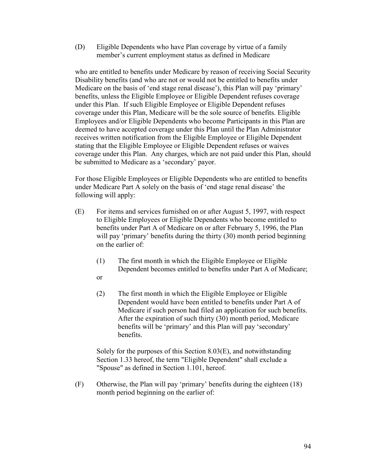(D) Eligible Dependents who have Plan coverage by virtue of a family member's current employment status as defined in Medicare

 who are entitled to benefits under Medicare by reason of receiving Social Security Disability benefits (and who are not or would not be entitled to benefits under Medicare on the basis of 'end stage renal disease'), this Plan will pay 'primary' benefits, unless the Eligible Employee or Eligible Dependent refuses coverage under this Plan. If such Eligible Employee or Eligible Dependent refuses coverage under this Plan, Medicare will be the sole source of benefits. Eligible Employees and/or Eligible Dependents who become Participants in this Plan are deemed to have accepted coverage under this Plan until the Plan Administrator receives written notification from the Eligible Employee or Eligible Dependent stating that the Eligible Employee or Eligible Dependent refuses or waives coverage under this Plan. Any charges, which are not paid under this Plan, should be submitted to Medicare as a 'secondary' payor.

 For those Eligible Employees or Eligible Dependents who are entitled to benefits under Medicare Part A solely on the basis of 'end stage renal disease' the following will apply:

- (E) For items and services furnished on or after August 5, 1997, with respect to Eligible Employees or Eligible Dependents who become entitled to benefits under Part A of Medicare on or after February 5, 1996, the Plan will pay 'primary' benefits during the thirty (30) month period beginning on the earlier of:
	- (1) The first month in which the Eligible Employee or Eligible Dependent becomes entitled to benefits under Part A of Medicare;
	- or
	- (2) The first month in which the Eligible Employee or Eligible Dependent would have been entitled to benefits under Part A of Medicare if such person had filed an application for such benefits. After the expiration of such thirty (30) month period, Medicare benefits will be 'primary' and this Plan will pay 'secondary' benefits.

 Solely for the purposes of this Section 8.03(E), and notwithstanding Section 1.33 hereof, the term "Eligible Dependent" shall exclude a "Spouse" as defined in Section 1.101, hereof.

(F) Otherwise, the Plan will pay 'primary' benefits during the eighteen (18) month period beginning on the earlier of: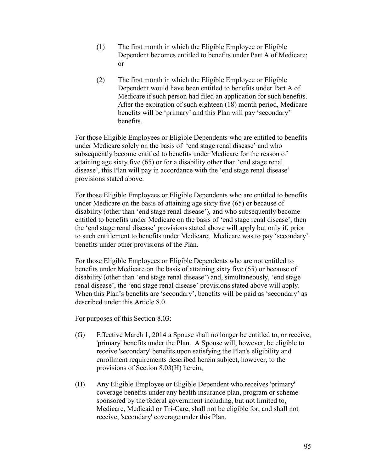- (1) The first month in which the Eligible Employee or Eligible Dependent becomes entitled to benefits under Part A of Medicare; or
- (2) The first month in which the Eligible Employee or Eligible Dependent would have been entitled to benefits under Part A of Medicare if such person had filed an application for such benefits. After the expiration of such eighteen (18) month period, Medicare benefits will be 'primary' and this Plan will pay 'secondary' benefits.

 For those Eligible Employees or Eligible Dependents who are entitled to benefits under Medicare solely on the basis of 'end stage renal disease' and who subsequently become entitled to benefits under Medicare for the reason of attaining age sixty five (65) or for a disability other than 'end stage renal disease', this Plan will pay in accordance with the 'end stage renal disease' provisions stated above.

 For those Eligible Employees or Eligible Dependents who are entitled to benefits under Medicare on the basis of attaining age sixty five (65) or because of disability (other than 'end stage renal disease'), and who subsequently become entitled to benefits under Medicare on the basis of 'end stage renal disease', then the 'end stage renal disease' provisions stated above will apply but only if, prior to such entitlement to benefits under Medicare, Medicare was to pay 'secondary' benefits under other provisions of the Plan.

 For those Eligible Employees or Eligible Dependents who are not entitled to benefits under Medicare on the basis of attaining sixty five (65) or because of disability (other than 'end stage renal disease') and, simultaneously, 'end stage renal disease', the 'end stage renal disease' provisions stated above will apply. When this Plan's benefits are 'secondary', benefits will be paid as 'secondary' as described under this Article 8.0.

For purposes of this Section 8.03:

- (G) Effective March 1, 2014 a Spouse shall no longer be entitled to, or receive, 'primary' benefits under the Plan. A Spouse will, however, be eligible to receive 'secondary' benefits upon satisfying the Plan's eligibility and enrollment requirements described herein subject, however, to the provisions of Section 8.03(H) herein,
- (H) Any Eligible Employee or Eligible Dependent who receives 'primary' coverage benefits under any health insurance plan, program or scheme sponsored by the federal government including, but not limited to, Medicare, Medicaid or Tri-Care, shall not be eligible for, and shall not receive, 'secondary' coverage under this Plan.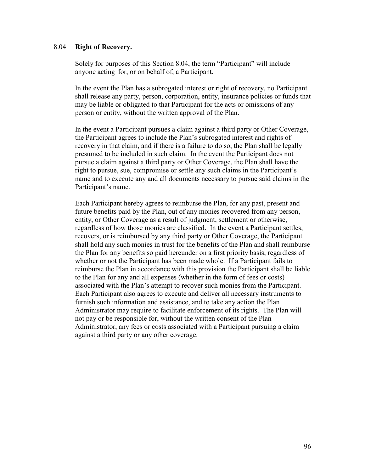## 8.04 **Right of Recovery.**

 Solely for purposes of this Section 8.04, the term "Participant" will include anyone acting for, or on behalf of, a Participant.

 In the event the Plan has a subrogated interest or right of recovery, no Participant shall release any party, person, corporation, entity, insurance policies or funds that may be liable or obligated to that Participant for the acts or omissions of any person or entity, without the written approval of the Plan.

 In the event a Participant pursues a claim against a third party or Other Coverage, the Participant agrees to include the Plan's subrogated interest and rights of recovery in that claim, and if there is a failure to do so, the Plan shall be legally presumed to be included in such claim. In the event the Participant does not pursue a claim against a third party or Other Coverage, the Plan shall have the right to pursue, sue, compromise or settle any such claims in the Participant's name and to execute any and all documents necessary to pursue said claims in the Participant's name.

 Each Participant hereby agrees to reimburse the Plan, for any past, present and future benefits paid by the Plan, out of any monies recovered from any person, entity, or Other Coverage as a result of judgment, settlement or otherwise, regardless of how those monies are classified. In the event a Participant settles, recovers, or is reimbursed by any third party or Other Coverage, the Participant shall hold any such monies in trust for the benefits of the Plan and shall reimburse the Plan for any benefits so paid hereunder on a first priority basis, regardless of whether or not the Participant has been made whole. If a Participant fails to reimburse the Plan in accordance with this provision the Participant shall be liable to the Plan for any and all expenses (whether in the form of fees or costs) associated with the Plan's attempt to recover such monies from the Participant. Each Participant also agrees to execute and deliver all necessary instruments to furnish such information and assistance, and to take any action the Plan Administrator may require to facilitate enforcement of its rights. The Plan will not pay or be responsible for, without the written consent of the Plan Administrator, any fees or costs associated with a Participant pursuing a claim against a third party or any other coverage.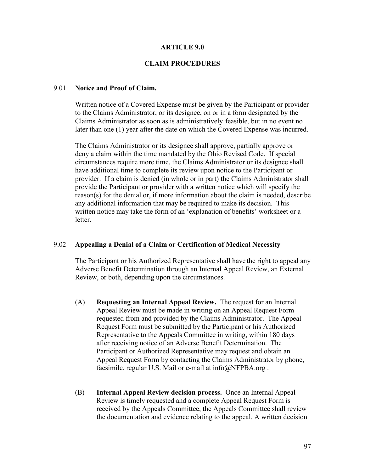### **ARTICLE 9.0**

#### **CLAIM PROCEDURES**

#### 9.01 **Notice and Proof of Claim.**

 Written notice of a Covered Expense must be given by the Participant or provider to the Claims Administrator, or its designee, on or in a form designated by the Claims Administrator as soon as is administratively feasible, but in no event no later than one (1) year after the date on which the Covered Expense was incurred.

 The Claims Administrator or its designee shall approve, partially approve or deny a claim within the time mandated by the Ohio Revised Code. If special circumstances require more time, the Claims Administrator or its designee shall have additional time to complete its review upon notice to the Participant or provider. If a claim is denied (in whole or in part) the Claims Administrator shall provide the Participant or provider with a written notice which will specify the reason(s) for the denial or, if more information about the claim is needed, describe any additional information that may be required to make its decision. This written notice may take the form of an 'explanation of benefits' worksheet or a letter.

#### 9.02 **Appealing a Denial of a Claim or Certification of Medical Necessity**

 The Participant or his Authorized Representative shall have the right to appeal any Adverse Benefit Determination through an Internal Appeal Review, an External Review, or both, depending upon the circumstances.

- (A) **Requesting an Internal Appeal Review.** The request for an Internal Appeal Review must be made in writing on an Appeal Request Form requested from and provided by the Claims Administrator. The Appeal Request Form must be submitted by the Participant or his Authorized Representative to the Appeals Committee in writing, within 180 days after receiving notice of an Adverse Benefit Determination. The Participant or Authorized Representative may request and obtain an Appeal Request Form by contacting the Claims Administrator by phone, facsimile, regular U.S. Mail or e-mail at info@NFPBA.org.
- (B) **Internal Appeal Review decision process.** Once an Internal Appeal Review is timely requested and a complete Appeal Request Form is received by the Appeals Committee, the Appeals Committee shall review the documentation and evidence relating to the appeal. A written decision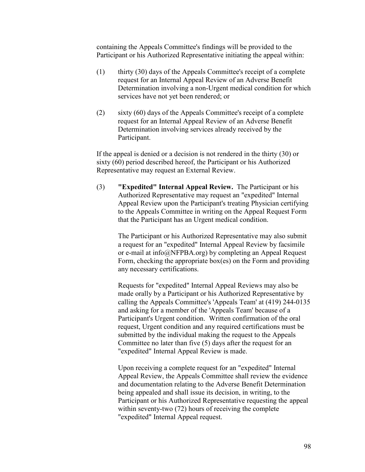containing the Appeals Committee's findings will be provided to the Participant or his Authorized Representative initiating the appeal within:

- (1) thirty (30) days of the Appeals Committee's receipt of a complete request for an Internal Appeal Review of an Adverse Benefit Determination involving a non-Urgent medical condition for which services have not yet been rendered; or
- (2) sixty (60) days of the Appeals Committee's receipt of a complete request for an Internal Appeal Review of an Adverse Benefit Determination involving services already received by the Participant.

 If the appeal is denied or a decision is not rendered in the thirty (30) or sixty (60) period described hereof, the Participant or his Authorized Representative may request an External Review.

 (3) **"Expedited" Internal Appeal Review.** The Participant or his Authorized Representative may request an "expedited" Internal Appeal Review upon the Participant's treating Physician certifying to the Appeals Committee in writing on the Appeal Request Form that the Participant has an Urgent medical condition.

> The Participant or his Authorized Representative may also submit a request for an "expedited" Internal Appeal Review by facsimile or e-mail at info@NFPBA.org) by completing an Appeal Request Form, checking the appropriate box(es) on the Form and providing any necessary certifications.

> Requests for "expedited" Internal Appeal Reviews may also be made orally by a Participant or his Authorized Representative by calling the Appeals Committee's 'Appeals Team' at (419) 244-0135 and asking for a member of the 'Appeals Team' because of a Participant's Urgent condition. Written confirmation of the oral request, Urgent condition and any required certifications must be submitted by the individual making the request to the Appeals Committee no later than five (5) days after the request for an "expedited" Internal Appeal Review is made.

> Upon receiving a complete request for an "expedited" Internal Appeal Review, the Appeals Committee shall review the evidence and documentation relating to the Adverse Benefit Determination being appealed and shall issue its decision, in writing, to the Participant or his Authorized Representative requesting the appeal within seventy-two (72) hours of receiving the complete "expedited" Internal Appeal request.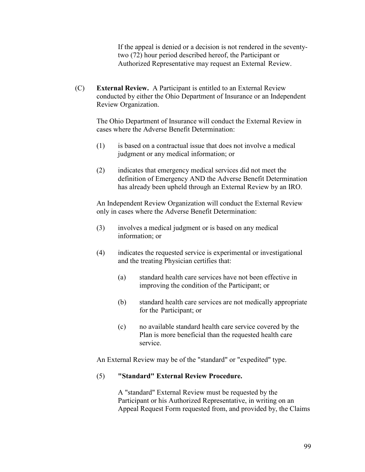If the appeal is denied or a decision is not rendered in the seventy two (72) hour period described hereof, the Participant or Authorized Representative may request an External Review.

 (C) **External Review.** A Participant is entitled to an External Review conducted by either the Ohio Department of Insurance or an Independent Review Organization.

 The Ohio Department of Insurance will conduct the External Review in cases where the Adverse Benefit Determination:

- (1) is based on a contractual issue that does not involve a medical judgment or any medical information; or
- (2) indicates that emergency medical services did not meet the definition of Emergency AND the Adverse Benefit Determination has already been upheld through an External Review by an IRO.

 An Independent Review Organization will conduct the External Review only in cases where the Adverse Benefit Determination:

- (3) involves a medical judgment or is based on any medical information; or
- (4) indicates the requested service is experimental or investigational and the treating Physician certifies that:
	- (a) standard health care services have not been effective in improving the condition of the Participant; or
	- (b) standard health care services are not medically appropriate for the Participant; or
	- (c) no available standard health care service covered by the Plan is more beneficial than the requested health care service.

An External Review may be of the "standard" or "expedited" type.

## (5) **"Standard" External Review Procedure.**

A "standard" External Review must be requested by the Participant or his Authorized Representative, in writing on an Appeal Request Form requested from, and provided by, the Claims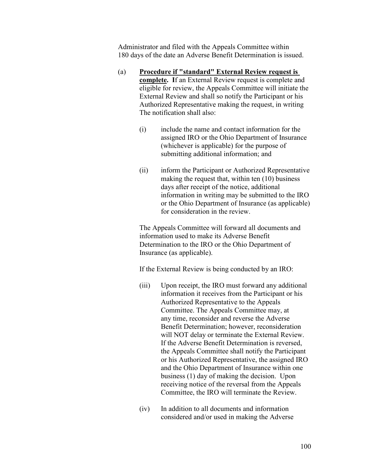Administrator and filed with the Appeals Committee within 180 days of the date an Adverse Benefit Determination is issued.

- (a) **Procedure if "standard" External Review request is complete. I**f an External Review request is complete and eligible for review, the Appeals Committee will initiate the External Review and shall so notify the Participant or his Authorized Representative making the request, in writing The notification shall also:
	- (i) include the name and contact information for the assigned IRO or the Ohio Department of Insurance (whichever is applicable) for the purpose of submitting additional information; and
	- (ii) inform the Participant or Authorized Representative making the request that, within ten (10) business days after receipt of the notice, additional information in writing may be submitted to the IRO or the Ohio Department of Insurance (as applicable) for consideration in the review.

 The Appeals Committee will forward all documents and information used to make its Adverse Benefit Determination to the IRO or the Ohio Department of Insurance (as applicable).

If the External Review is being conducted by an IRO:

- (iii) Upon receipt, the IRO must forward any additional information it receives from the Participant or his Authorized Representative to the Appeals Committee. The Appeals Committee may, at any time, reconsider and reverse the Adverse Benefit Determination; however, reconsideration will NOT delay or terminate the External Review. If the Adverse Benefit Determination is reversed, the Appeals Committee shall notify the Participant or his Authorized Representative, the assigned IRO and the Ohio Department of Insurance within one business (1) day of making the decision. Upon receiving notice of the reversal from the Appeals Committee, the IRO will terminate the Review.
- (iv) In addition to all documents and information considered and/or used in making the Adverse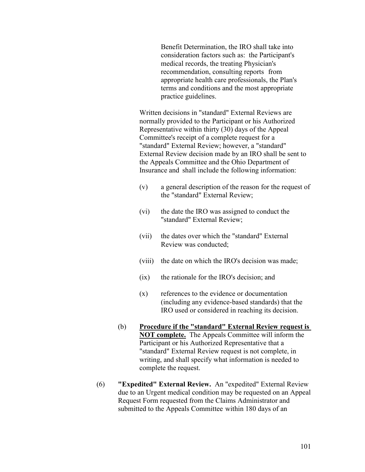Benefit Determination, the IRO shall take into consideration factors such as: the Participant's medical records, the treating Physician's recommendation, consulting reports from appropriate health care professionals, the Plan's terms and conditions and the most appropriate practice guidelines.

 Written decisions in "standard" External Reviews are normally provided to the Participant or his Authorized Representative within thirty (30) days of the Appeal Committee's receipt of a complete request for a "standard" External Review; however, a "standard" External Review decision made by an IRO shall be sent to the Appeals Committee and the Ohio Department of Insurance and shall include the following information:

- (v) a general description of the reason for the request of the "standard" External Review;
- (vi) the date the IRO was assigned to conduct the "standard" External Review;
- (vii) the dates over which the "standard" External Review was conducted;
- (viii) the date on which the IRO's decision was made;
- (ix) the rationale for the IRO's decision; and
- (x) references to the evidence or documentation (including any evidence-based standards) that the IRO used or considered in reaching its decision.
- (b) **Procedure if the "standard" External Review request is NOT complete.** The Appeals Committee will inform the Participant or his Authorized Representative that a "standard" External Review request is not complete, in writing, and shall specify what information is needed to complete the request.
- (6) **"Expedited" External Review.** An "expedited" External Review due to an Urgent medical condition may be requested on an Appeal Request Form requested from the Claims Administrator and submitted to the Appeals Committee within 180 days of an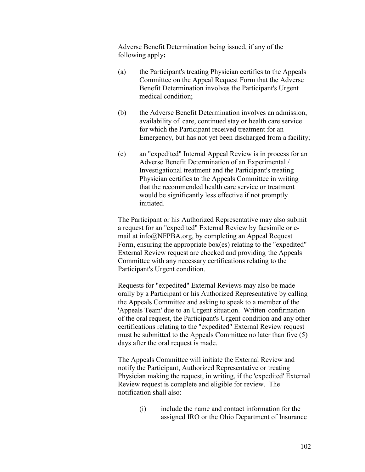Adverse Benefit Determination being issued, if any of the following apply**:** 

- (a) the Participant's treating Physician certifies to the Appeals Committee on the Appeal Request Form that the Adverse Benefit Determination involves the Participant's Urgent medical condition;
- (b) the Adverse Benefit Determination involves an admission, availability of care, continued stay or health care service for which the Participant received treatment for an Emergency, but has not yet been discharged from a facility;
- (c) an "expedited" Internal Appeal Review is in process for an Adverse Benefit Determination of an Experimental / Investigational treatment and the Participant's treating Physician certifies to the Appeals Committee in writing that the recommended health care service or treatment would be significantly less effective if not promptly initiated.

 The Participant or his Authorized Representative may also submit a request for an "expedited" External Review by facsimile or e mail at info@NFPBA.org, by completing an Appeal Request Form, ensuring the appropriate box(es) relating to the "expedited" External Review request are checked and providing the Appeals Committee with any necessary certifications relating to the Participant's Urgent condition.

 Requests for "expedited" External Reviews may also be made orally by a Participant or his Authorized Representative by calling the Appeals Committee and asking to speak to a member of the 'Appeals Team' due to an Urgent situation. Written confirmation of the oral request, the Participant's Urgent condition and any other certifications relating to the "expedited" External Review request must be submitted to the Appeals Committee no later than five (5) days after the oral request is made.

 The Appeals Committee will initiate the External Review and notify the Participant, Authorized Representative or treating Physician making the request, in writing, if the 'expedited' External Review request is complete and eligible for review. The notification shall also:

> (i) include the name and contact information for the assigned IRO or the Ohio Department of Insurance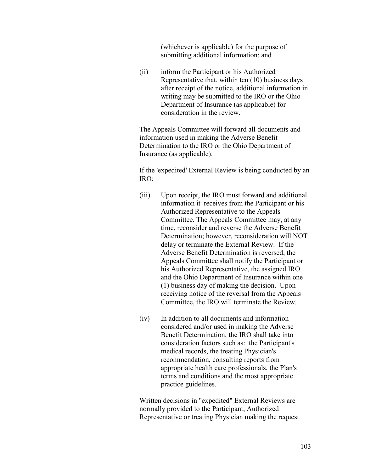(whichever is applicable) for the purpose of submitting additional information; and

 (ii) inform the Participant or his Authorized Representative that, within ten (10) business days after receipt of the notice, additional information in writing may be submitted to the IRO or the Ohio Department of Insurance (as applicable) for consideration in the review.

 The Appeals Committee will forward all documents and information used in making the Adverse Benefit Determination to the IRO or the Ohio Department of Insurance (as applicable).

 If the 'expedited' External Review is being conducted by an IRO:

- (iii) Upon receipt, the IRO must forward and additional information it receives from the Participant or his Authorized Representative to the Appeals Committee. The Appeals Committee may, at any time, reconsider and reverse the Adverse Benefit Determination; however, reconsideration will NOT delay or terminate the External Review. If the Adverse Benefit Determination is reversed, the Appeals Committee shall notify the Participant or his Authorized Representative, the assigned IRO and the Ohio Department of Insurance within one (1) business day of making the decision. Upon receiving notice of the reversal from the Appeals Committee, the IRO will terminate the Review.
- (iv) In addition to all documents and information considered and/or used in making the Adverse Benefit Determination, the IRO shall take into consideration factors such as: the Participant's medical records, the treating Physician's recommendation, consulting reports from appropriate health care professionals, the Plan's terms and conditions and the most appropriate practice guidelines.

 Written decisions in "expedited" External Reviews are normally provided to the Participant, Authorized Representative or treating Physician making the request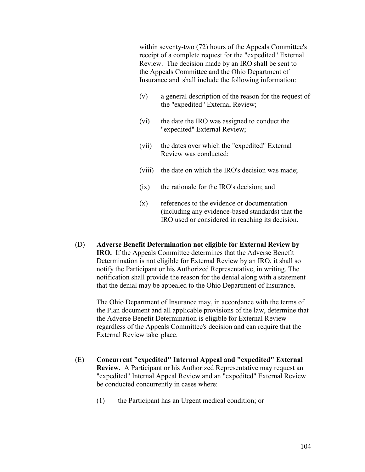within seventy-two (72) hours of the Appeals Committee's receipt of a complete request for the "expedited" External Review. The decision made by an IRO shall be sent to the Appeals Committee and the Ohio Department of Insurance and shall include the following information:

- (v) a general description of the reason for the request of the "expedited" External Review;
- (vi) the date the IRO was assigned to conduct the "expedited" External Review;
- (vii) the dates over which the "expedited" External Review was conducted;
- (viii) the date on which the IRO's decision was made;
- (ix) the rationale for the IRO's decision; and
- (x) references to the evidence or documentation (including any evidence-based standards) that the IRO used or considered in reaching its decision.
- (D) **Adverse Benefit Determination not eligible for External Review by IRO.** If the Appeals Committee determines that the Adverse Benefit Determination is not eligible for External Review by an IRO, it shall so notify the Participant or his Authorized Representative, in writing. The notification shall provide the reason for the denial along with a statement that the denial may be appealed to the Ohio Department of Insurance.

 The Ohio Department of Insurance may, in accordance with the terms of the Plan document and all applicable provisions of the law, determine that the Adverse Benefit Determination is eligible for External Review regardless of the Appeals Committee's decision and can require that the External Review take place.

- (E) **Concurrent "expedited" Internal Appeal and "expedited" External Review.** A Participant or his Authorized Representative may request an "expedited" Internal Appeal Review and an "expedited" External Review be conducted concurrently in cases where:
	- (1) the Participant has an Urgent medical condition; or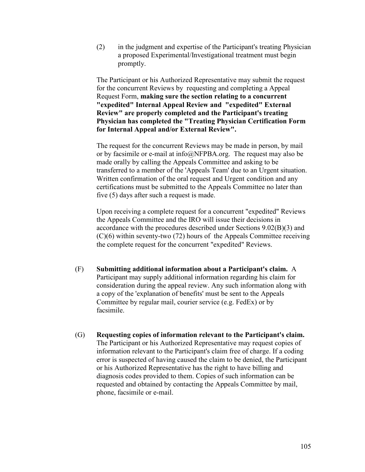(2) in the judgment and expertise of the Participant's treating Physician a proposed Experimental/Investigational treatment must begin promptly.

 The Participant or his Authorized Representative may submit the request for the concurrent Reviews by requesting and completing a Appeal Request Form, **making sure the section relating to a concurrent "expedited" Internal Appeal Review and "expedited" External Review" are properly completed and the Participant's treating Physician has completed the "Treating Physician Certification Form for Internal Appeal and/or External Review".** 

The request for the concurrent Reviews may be made in person, by mail or by facsimile or e-mail at info@NFPBA.org. The request may also be made orally by calling the Appeals Committee and asking to be transferred to a member of the 'Appeals Team' due to an Urgent situation. Written confirmation of the oral request and Urgent condition and any certifications must be submitted to the Appeals Committee no later than five (5) days after such a request is made.

 Upon receiving a complete request for a concurrent "expedited" Reviews the Appeals Committee and the IRO will issue their decisions in accordance with the procedures described under Sections 9.02(B)(3) and (C)(6) within seventy-two (72) hours of the Appeals Committee receiving the complete request for the concurrent "expedited" Reviews.

- (F) **Submitting additional information about a Participant's claim.** A Participant may supply additional information regarding his claim for consideration during the appeal review. Any such information along with a copy of the 'explanation of benefits' must be sent to the Appeals Committee by regular mail, courier service (e.g. FedEx) or by facsimile.
- (G) **Requesting copies of information relevant to the Participant's claim.** The Participant or his Authorized Representative may request copies of information relevant to the Participant's claim free of charge. If a coding error is suspected of having caused the claim to be denied, the Participant or his Authorized Representative has the right to have billing and diagnosis codes provided to them. Copies of such information can be requested and obtained by contacting the Appeals Committee by mail, phone, facsimile or e-mail.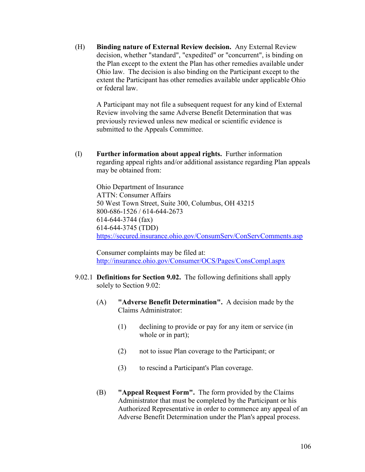(H) **Binding nature of External Review decision.** Any External Review decision, whether "standard", "expedited" or "concurrent", is binding on the Plan except to the extent the Plan has other remedies available under Ohio law. The decision is also binding on the Participant except to the extent the Participant has other remedies available under applicable Ohio or federal law.

 A Participant may not file a subsequent request for any kind of External Review involving the same Adverse Benefit Determination that was previously reviewed unless new medical or scientific evidence is submitted to the Appeals Committee.

(I) **Further information about appeal rights.** Further information regarding appeal rights and/or additional assistance regarding Plan appeals may be obtained from:

 Ohio Department of Insurance ATTN: Consumer Affairs 50 West Town Street, Suite 300, Columbus, OH 43215 800-686-1526 / 614-644-2673 614-644-3744 (fax) 614-644-3745 (TDD) https://secured.insurance.ohio.gov/ConsumServ/ConServComments.asp

 Consumer complaints may be filed at: http://insurance.ohio.gov/Consumer/OCS/Pages/ConsCompl.aspx

- 9.02.1 **Definitions for Section 9.02.** The following definitions shall apply solely to Section 9.02:
	- (A) **"Adverse Benefit Determination".** A decision made by the Claims Administrator:
		- (1) declining to provide or pay for any item or service (in whole or in part);
		- (2) not to issue Plan coverage to the Participant; or
		- (3) to rescind a Participant's Plan coverage.
	- (B) **"Appeal Request Form".** The form provided by the Claims Administrator that must be completed by the Participant or his Authorized Representative in order to commence any appeal of an Adverse Benefit Determination under the Plan's appeal process.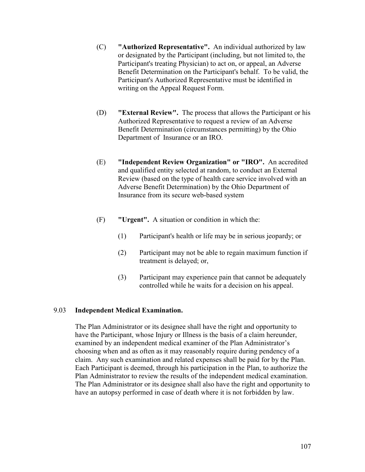- (C) **"Authorized Representative".** An individual authorized by law or designated by the Participant (including, but not limited to, the Participant's treating Physician) to act on, or appeal, an Adverse Benefit Determination on the Participant's behalf. To be valid, the Participant's Authorized Representative must be identified in writing on the Appeal Request Form.
- (D) **"External Review".** The process that allows the Participant or his Authorized Representative to request a review of an Adverse Benefit Determination (circumstances permitting) by the Ohio Department of Insurance or an IRO.
- (E) **"Independent Review Organization" or "IRO".** An accredited and qualified entity selected at random, to conduct an External Review (based on the type of health care service involved with an Adverse Benefit Determination) by the Ohio Department of Insurance from its secure web-based system
- (F) **"Urgent".** A situation or condition in which the:
	- (1) Participant's health or life may be in serious jeopardy; or
	- (2) Participant may not be able to regain maximum function if treatment is delayed; or,
	- (3) Participant may experience pain that cannot be adequately controlled while he waits for a decision on his appeal.

## 9.03 **Independent Medical Examination.**

 The Plan Administrator or its designee shall have the right and opportunity to have the Participant, whose Injury or Illness is the basis of a claim hereunder, examined by an independent medical examiner of the Plan Administrator's choosing when and as often as it may reasonably require during pendency of a claim. Any such examination and related expenses shall be paid for by the Plan. Each Participant is deemed, through his participation in the Plan, to authorize the Plan Administrator to review the results of the independent medical examination. The Plan Administrator or its designee shall also have the right and opportunity to have an autopsy performed in case of death where it is not forbidden by law.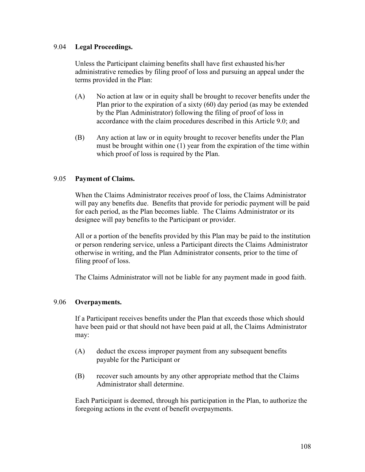## 9.04 **Legal Proceedings.**

Unless the Participant claiming benefits shall have first exhausted his/her administrative remedies by filing proof of loss and pursuing an appeal under the terms provided in the Plan:

- (A) No action at law or in equity shall be brought to recover benefits under the Plan prior to the expiration of a sixty (60) day period (as may be extended by the Plan Administrator) following the filing of proof of loss in accordance with the claim procedures described in this Article 9.0; and
- (B) Any action at law or in equity brought to recover benefits under the Plan must be brought within one (1) year from the expiration of the time within which proof of loss is required by the Plan.

# 9.05 **Payment of Claims.**

 When the Claims Administrator receives proof of loss, the Claims Administrator will pay any benefits due. Benefits that provide for periodic payment will be paid for each period, as the Plan becomes liable. The Claims Administrator or its designee will pay benefits to the Participant or provider.

 All or a portion of the benefits provided by this Plan may be paid to the institution or person rendering service, unless a Participant directs the Claims Administrator otherwise in writing, and the Plan Administrator consents, prior to the time of filing proof of loss.

The Claims Administrator will not be liable for any payment made in good faith.

# 9.06 **Overpayments.**

 If a Participant receives benefits under the Plan that exceeds those which should have been paid or that should not have been paid at all, the Claims Administrator may:

- (A) deduct the excess improper payment from any subsequent benefits payable for the Participant or
- (B) recover such amounts by any other appropriate method that the Claims Administrator shall determine.

 Each Participant is deemed, through his participation in the Plan, to authorize the foregoing actions in the event of benefit overpayments.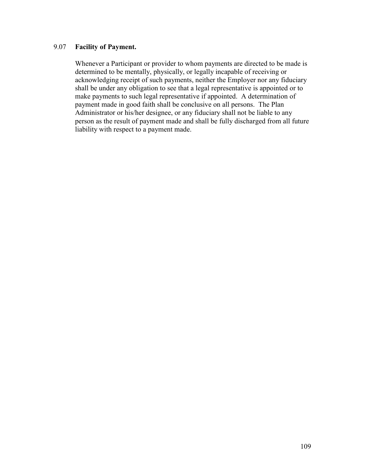# 9.07 **Facility of Payment.**

 Whenever a Participant or provider to whom payments are directed to be made is determined to be mentally, physically, or legally incapable of receiving or acknowledging receipt of such payments, neither the Employer nor any fiduciary shall be under any obligation to see that a legal representative is appointed or to make payments to such legal representative if appointed. A determination of payment made in good faith shall be conclusive on all persons. The Plan Administrator or his/her designee, or any fiduciary shall not be liable to any person as the result of payment made and shall be fully discharged from all future liability with respect to a payment made.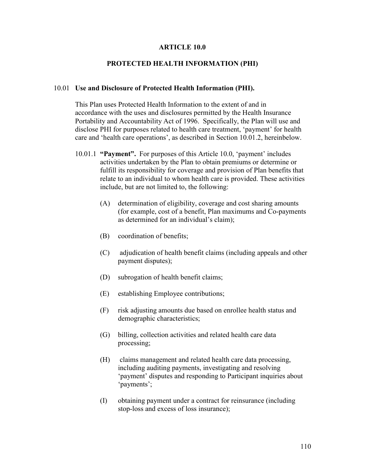#### **ARTICLE 10.0**

### **PROTECTED HEALTH INFORMATION (PHI)**

#### 10.01 **Use and Disclosure of Protected Health Information (PHI).**

 This Plan uses Protected Health Information to the extent of and in accordance with the uses and disclosures permitted by the Health Insurance Portability and Accountability Act of 1996. Specifically, the Plan will use and disclose PHI for purposes related to health care treatment, 'payment' for health care and 'health care operations', as described in Section 10.01.2, hereinbelow.

- 10.01.1 **"Payment".** For purposes of this Article 10.0, 'payment' includes activities undertaken by the Plan to obtain premiums or determine or fulfill its responsibility for coverage and provision of Plan benefits that relate to an individual to whom health care is provided. These activities include, but are not limited to, the following:
	- (A) determination of eligibility, coverage and cost sharing amounts (for example, cost of a benefit, Plan maximums and Co-payments as determined for an individual's claim);
	- (B) coordination of benefits;
	- (C) adjudication of health benefit claims (including appeals and other payment disputes);
	- (D) subrogation of health benefit claims;
	- (E) establishing Employee contributions;
	- (F) risk adjusting amounts due based on enrollee health status and demographic characteristics;
	- (G) billing, collection activities and related health care data processing;
	- (H) claims management and related health care data processing, including auditing payments, investigating and resolving 'payment' disputes and responding to Participant inquiries about 'payments';
	- (I) obtaining payment under a contract for reinsurance (including stop-loss and excess of loss insurance);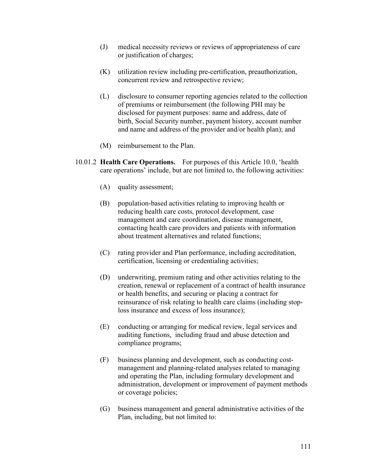- (J) medical necessity reviews or reviews of appropriateness of care or justification of charges;
- (K) utilization review including pre-certification, preauthorization, concurrent review and retrospective review;
- (L) disclosure to consumer reporting agencies related to the collection of premiums or reimbursement (the following PHI may be disclosed for payment purposes: name and address, date of birth, Social Security number, payment history, account number and name and address of the provider and/or health plan); and
- (M) reimbursement to the Plan.
- 10.01.2 **Health Care Operations.** For purposes of this Article 10.0, 'health care operations' include, but are not limited to, the following activities:
	- (A) quality assessment;
	- (B) population-based activities relating to improving health or reducing health care costs, protocol development, case management and care coordination, disease management, contacting health care providers and patients with information about treatment alternatives and related functions;
	- (C) rating provider and Plan performance, including accreditation, certification, licensing or credentialing activities;
	- (D) underwriting, premium rating and other activities relating to the creation, renewal or replacement of a contract of health insurance or health benefits, and securing or placing a contract for reinsurance of risk relating to health care claims (including stop loss insurance and excess of loss insurance);
	- (E) conducting or arranging for medical review, legal services and auditing functions, including fraud and abuse detection and compliance programs;
	- (F) business planning and development, such as conducting cost management and planning-related analyses related to managing and operating the Plan, including formulary development and administration, development or improvement of payment methods or coverage policies;
	- (G) business management and general administrative activities of the Plan, including, but not limited to: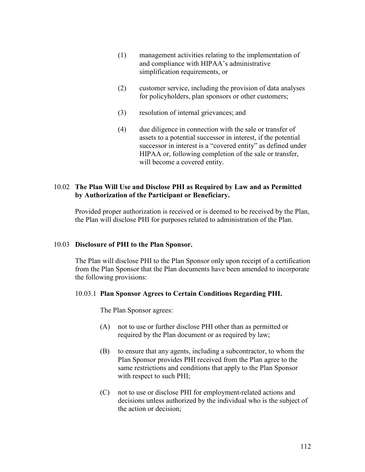- (1) management activities relating to the implementation of and compliance with HIPAA's administrative simplification requirements, or
- (2) customer service, including the provision of data analyses for policyholders, plan sponsors or other customers;
- (3) resolution of internal grievances; and
- (4) due diligence in connection with the sale or transfer of assets to a potential successor in interest, if the potential successor in interest is a "covered entity" as defined under HIPAA or, following completion of the sale or transfer, will become a covered entity.

# 10.02 **The Plan Will Use and Disclose PHI as Required by Law and as Permitted by Authorization of the Participant or Beneficiary.**

Provided proper authorization is received or is deemed to be received by the Plan, the Plan will disclose PHI for purposes related to administration of the Plan.

# 10.03 **Disclosure of PHI to the Plan Sponsor.**

The Plan will disclose PHI to the Plan Sponsor only upon receipt of a certification from the Plan Sponsor that the Plan documents have been amended to incorporate the following provisions:

### 10.03.1 **Plan Sponsor Agrees to Certain Conditions Regarding PHI.**

The Plan Sponsor agrees:

- (A) not to use or further disclose PHI other than as permitted or required by the Plan document or as required by law;
- (B) to ensure that any agents, including a subcontractor, to whom the Plan Sponsor provides PHI received from the Plan agree to the same restrictions and conditions that apply to the Plan Sponsor with respect to such PHI;
- (C) not to use or disclose PHI for employment-related actions and decisions unless authorized by the individual who is the subject of the action or decision;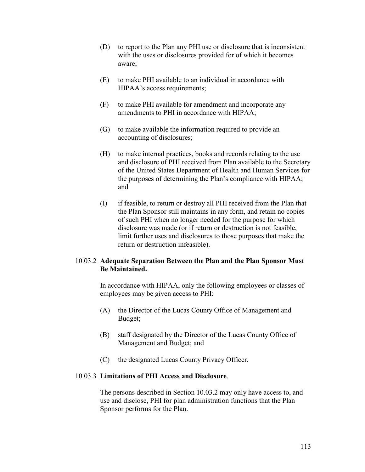- (D) to report to the Plan any PHI use or disclosure that is inconsistent with the uses or disclosures provided for of which it becomes aware;
- (E) to make PHI available to an individual in accordance with HIPAA's access requirements;
- (F) to make PHI available for amendment and incorporate any amendments to PHI in accordance with HIPAA;
- (G) to make available the information required to provide an accounting of disclosures;
- (H) to make internal practices, books and records relating to the use and disclosure of PHI received from Plan available to the Secretary of the United States Department of Health and Human Services for the purposes of determining the Plan's compliance with HIPAA; and
- (I) if feasible, to return or destroy all PHI received from the Plan that the Plan Sponsor still maintains in any form, and retain no copies of such PHI when no longer needed for the purpose for which disclosure was made (or if return or destruction is not feasible, limit further uses and disclosures to those purposes that make the return or destruction infeasible).

# 10.03.2 **Adequate Separation Between the Plan and the Plan Sponsor Must Be Maintained.**

 In accordance with HIPAA, only the following employees or classes of employees may be given access to PHI:

- (A) the Director of the Lucas County Office of Management and Budget;
- (B) staff designated by the Director of the Lucas County Office of Management and Budget; and
- (C) the designated Lucas County Privacy Officer.

# 10.03.3 **Limitations of PHI Access and Disclosure**.

 The persons described in Section 10.03.2 may only have access to, and use and disclose, PHI for plan administration functions that the Plan Sponsor performs for the Plan.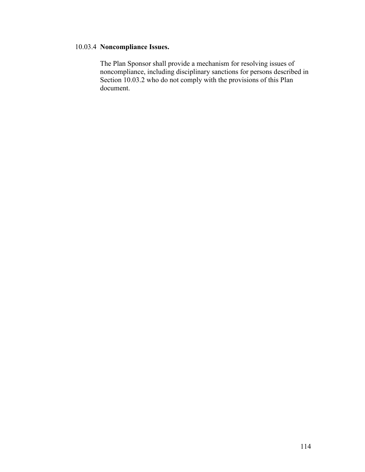# 10.03.4 **Noncompliance Issues.**

 The Plan Sponsor shall provide a mechanism for resolving issues of noncompliance, including disciplinary sanctions for persons described in Section 10.03.2 who do not comply with the provisions of this Plan document.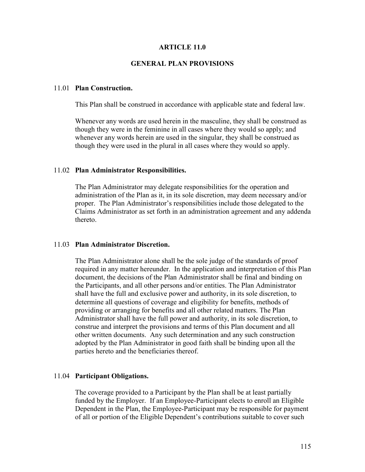### **ARTICLE 11.0**

### **GENERAL PLAN PROVISIONS**

#### 11.01 **Plan Construction.**

This Plan shall be construed in accordance with applicable state and federal law.

 Whenever any words are used herein in the masculine, they shall be construed as though they were in the feminine in all cases where they would so apply; and whenever any words herein are used in the singular, they shall be construed as though they were used in the plural in all cases where they would so apply.

#### 11.02 **Plan Administrator Responsibilities.**

 The Plan Administrator may delegate responsibilities for the operation and administration of the Plan as it, in its sole discretion, may deem necessary and/or proper. The Plan Administrator's responsibilities include those delegated to the Claims Administrator as set forth in an administration agreement and any addenda thereto.

#### 11.03 **Plan Administrator Discretion.**

 The Plan Administrator alone shall be the sole judge of the standards of proof required in any matter hereunder. In the application and interpretation of this Plan document, the decisions of the Plan Administrator shall be final and binding on the Participants, and all other persons and/or entities. The Plan Administrator shall have the full and exclusive power and authority, in its sole discretion, to determine all questions of coverage and eligibility for benefits, methods of providing or arranging for benefits and all other related matters. The Plan Administrator shall have the full power and authority, in its sole discretion, to construe and interpret the provisions and terms of this Plan document and all other written documents. Any such determination and any such construction adopted by the Plan Administrator in good faith shall be binding upon all the parties hereto and the beneficiaries thereof.

#### 11.04 **Participant Obligations.**

 The coverage provided to a Participant by the Plan shall be at least partially funded by the Employer. If an Employee-Participant elects to enroll an Eligible Dependent in the Plan, the Employee-Participant may be responsible for payment of all or portion of the Eligible Dependent's contributions suitable to cover such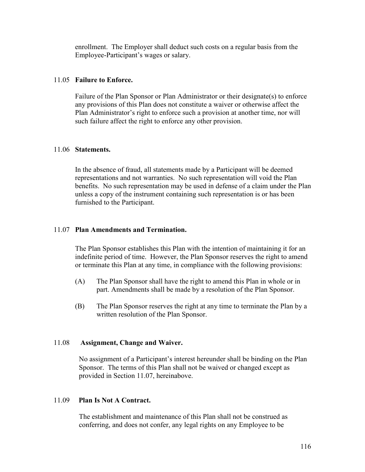enrollment. The Employer shall deduct such costs on a regular basis from the Employee-Participant's wages or salary.

## 11.05 **Failure to Enforce.**

 Failure of the Plan Sponsor or Plan Administrator or their designate(s) to enforce any provisions of this Plan does not constitute a waiver or otherwise affect the Plan Administrator's right to enforce such a provision at another time, nor will such failure affect the right to enforce any other provision.

### 11.06 **Statements.**

 In the absence of fraud, all statements made by a Participant will be deemed representations and not warranties. No such representation will void the Plan benefits. No such representation may be used in defense of a claim under the Plan unless a copy of the instrument containing such representation is or has been furnished to the Participant.

### 11.07 **Plan Amendments and Termination.**

 The Plan Sponsor establishes this Plan with the intention of maintaining it for an indefinite period of time. However, the Plan Sponsor reserves the right to amend or terminate this Plan at any time, in compliance with the following provisions:

- (A) The Plan Sponsor shall have the right to amend this Plan in whole or in part. Amendments shall be made by a resolution of the Plan Sponsor.
- (B) The Plan Sponsor reserves the right at any time to terminate the Plan by a written resolution of the Plan Sponsor.

### 11.08 **Assignment, Change and Waiver.**

 No assignment of a Participant's interest hereunder shall be binding on the Plan Sponsor. The terms of this Plan shall not be waived or changed except as provided in Section 11.07, hereinabove.

### 11.09 **Plan Is Not A Contract.**

 The establishment and maintenance of this Plan shall not be construed as conferring, and does not confer, any legal rights on any Employee to be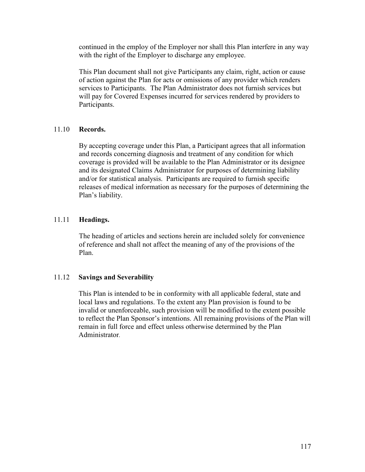continued in the employ of the Employer nor shall this Plan interfere in any way with the right of the Employer to discharge any employee.

 This Plan document shall not give Participants any claim, right, action or cause of action against the Plan for acts or omissions of any provider which renders services to Participants. The Plan Administrator does not furnish services but will pay for Covered Expenses incurred for services rendered by providers to Participants.

## 11.10 **Records.**

 By accepting coverage under this Plan, a Participant agrees that all information and records concerning diagnosis and treatment of any condition for which coverage is provided will be available to the Plan Administrator or its designee and its designated Claims Administrator for purposes of determining liability and/or for statistical analysis. Participants are required to furnish specific releases of medical information as necessary for the purposes of determining the Plan's liability.

# 11.11 **Headings.**

 The heading of articles and sections herein are included solely for convenience of reference and shall not affect the meaning of any of the provisions of the Plan.

# 11.12 **Savings and Severability**

This Plan is intended to be in conformity with all applicable federal, state and local laws and regulations. To the extent any Plan provision is found to be invalid or unenforceable, such provision will be modified to the extent possible to reflect the Plan Sponsor's intentions. All remaining provisions of the Plan will remain in full force and effect unless otherwise determined by the Plan Administrator.